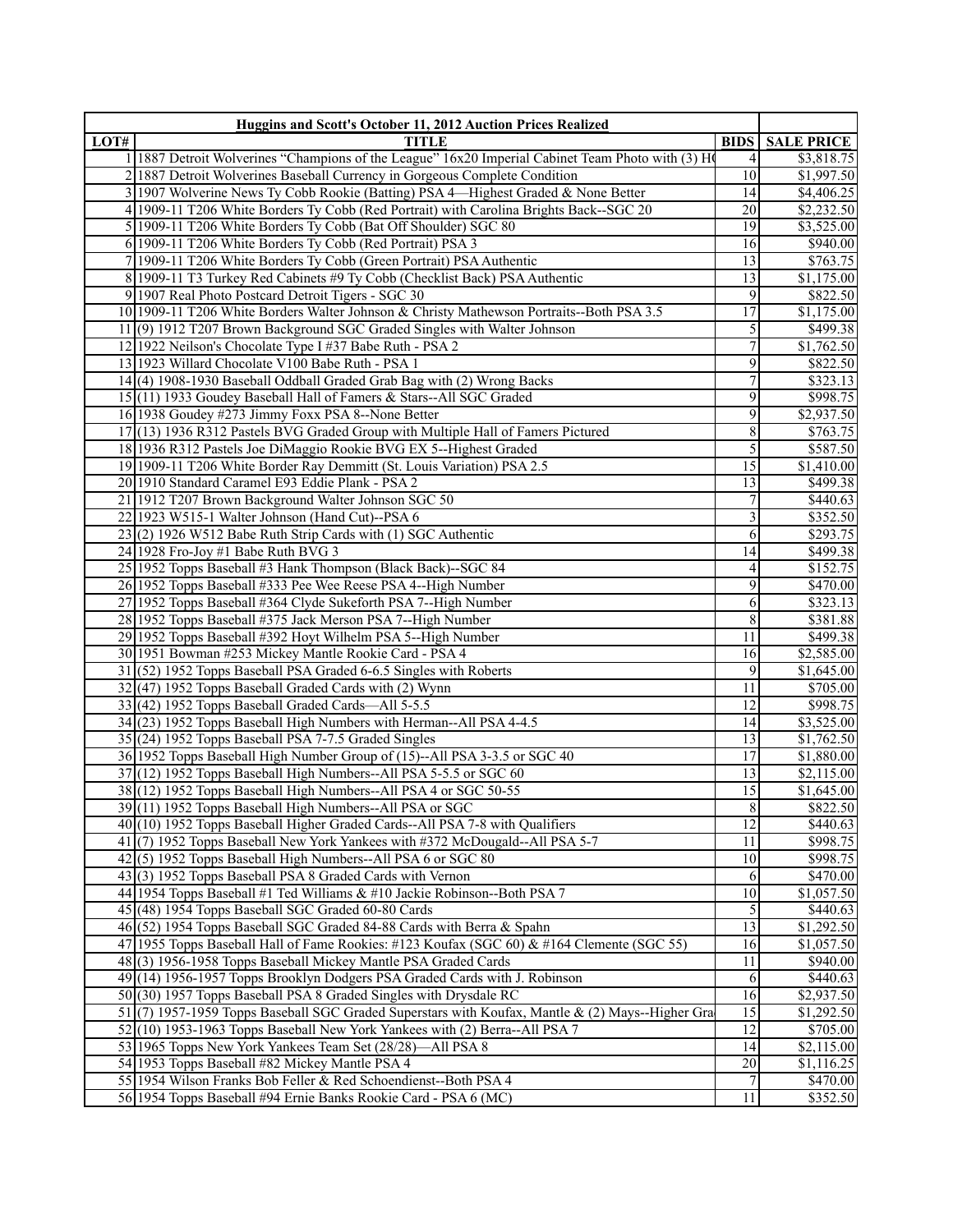|      | Huggins and Scott's October 11, 2012 Auction Prices Realized                                                                        |                     |                        |
|------|-------------------------------------------------------------------------------------------------------------------------------------|---------------------|------------------------|
| LOT# | <b>TITLE</b>                                                                                                                        | <b>BIDS</b>         | <b>SALE PRICE</b>      |
|      | 1   1887 Detroit Wolverines "Champions of the League" 16x20 Imperial Cabinet Team Photo with (3) H                                  | 4                   | \$3,818.75             |
|      | 2 1887 Detroit Wolverines Baseball Currency in Gorgeous Complete Condition                                                          | 10 <sup>1</sup>     | \$1,997.50             |
|      | 3 1907 Wolverine News Ty Cobb Rookie (Batting) PSA 4-Highest Graded & None Better                                                   | 14                  | \$4,406.25             |
|      | 4 1909-11 T206 White Borders Ty Cobb (Red Portrait) with Carolina Brights Back--SGC 20                                              | 20                  | \$2,232.50             |
|      | 5 1909-11 T206 White Borders Ty Cobb (Bat Off Shoulder) SGC 80                                                                      | 19                  | \$3,525.00             |
|      | 6 1909-11 T206 White Borders Ty Cobb (Red Portrait) PSA 3                                                                           | 16                  | \$940.00               |
|      | 7 1909-11 T206 White Borders Ty Cobb (Green Portrait) PSA Authentic                                                                 | 13                  | \$763.75               |
|      | 8 1909-11 T3 Turkey Red Cabinets #9 Ty Cobb (Checklist Back) PSA Authentic                                                          | $\overline{13}$     | \$1,175.00             |
|      | 9 1907 Real Photo Postcard Detroit Tigers - SGC 30                                                                                  | $\overline{9}$      | \$822.50               |
|      | 10 1909-11 T206 White Borders Walter Johnson & Christy Mathewson Portraits--Both PSA 3.5                                            | $\overline{17}$     | \$1,175.00             |
|      | 11(9) 1912 T207 Brown Background SGC Graded Singles with Walter Johnson<br>12 1922 Neilson's Chocolate Type I #37 Babe Ruth - PSA 2 | 5<br>$\overline{7}$ | \$499.38               |
|      | 13 1923 Willard Chocolate V100 Babe Ruth - PSA 1                                                                                    | 9                   | \$1,762.50<br>\$822.50 |
|      | 14(4) 1908-1930 Baseball Oddball Graded Grab Bag with (2) Wrong Backs                                                               | $\overline{7}$      | \$323.13               |
|      | 15(11) 1933 Goudey Baseball Hall of Famers & Stars--All SGC Graded                                                                  | $\overline{9}$      | \$998.75               |
|      | 16 1938 Goudey #273 Jimmy Foxx PSA 8--None Better                                                                                   | 9                   | \$2,937.50             |
|      | 17(13) 1936 R312 Pastels BVG Graded Group with Multiple Hall of Famers Pictured                                                     | $\,$ 8 $\,$         | \$763.75               |
|      | 18 1936 R312 Pastels Joe DiMaggio Rookie BVG EX 5--Highest Graded                                                                   | $\overline{5}$      | \$587.50               |
|      | 19 1909-11 T206 White Border Ray Demmitt (St. Louis Variation) PSA 2.5                                                              | $\overline{15}$     | \$1,410.00             |
|      | 20 1910 Standard Caramel E93 Eddie Plank - PSA 2                                                                                    | $\overline{13}$     | \$499.38               |
|      | 21 1912 T207 Brown Background Walter Johnson SGC 50                                                                                 | 7                   | \$440.63               |
|      | 22 1923 W515-1 Walter Johnson (Hand Cut)--PSA 6                                                                                     | $\mathfrak{Z}$      | \$352.50               |
|      | $23(2)$ 1926 W512 Babe Ruth Strip Cards with (1) SGC Authentic                                                                      | 6                   | \$293.75               |
|      | 24 1928 Fro-Joy #1 Babe Ruth BVG 3                                                                                                  | $\overline{14}$     | \$499.38               |
|      | 25 1952 Topps Baseball #3 Hank Thompson (Black Back)--SGC 84                                                                        | 4                   | \$152.75               |
|      | 26 1952 Topps Baseball #333 Pee Wee Reese PSA 4--High Number                                                                        | $\overline{9}$      | \$470.00               |
|      | 27 1952 Topps Baseball #364 Clyde Sukeforth PSA 7--High Number                                                                      | 6                   | \$323.13               |
|      | 28 1952 Topps Baseball #375 Jack Merson PSA 7--High Number                                                                          | 8                   | \$381.88               |
|      | 29 1952 Topps Baseball #392 Hoyt Wilhelm PSA 5--High Number                                                                         | 11                  | \$499.38               |
|      | 30 1951 Bowman #253 Mickey Mantle Rookie Card - PSA 4                                                                               | 16                  | \$2,585.00             |
|      | 31(52) 1952 Topps Baseball PSA Graded 6-6.5 Singles with Roberts                                                                    | 9                   | \$1,645.00             |
|      | $32(47)$ 1952 Topps Baseball Graded Cards with (2) Wynn                                                                             | 11                  | \$705.00               |
|      | $33(42)$ 1952 Topps Baseball Graded Cards—All 5-5.5                                                                                 | 12                  | \$998.75               |
|      | 34(23) 1952 Topps Baseball High Numbers with Herman--All PSA 4-4.5                                                                  | 14                  | \$3,525.00             |
|      | 35 (24) 1952 Topps Baseball PSA 7-7.5 Graded Singles                                                                                | 13                  | \$1,762.50             |
|      | 36 1952 Topps Baseball High Number Group of (15)--All PSA 3-3.5 or SGC 40                                                           | 17                  | \$1,880.00             |
|      | 37(12) 1952 Topps Baseball High Numbers--All PSA 5-5.5 or SGC 60                                                                    | $\overline{13}$     | \$2,115.00             |
|      | 38(12) 1952 Topps Baseball High Numbers--All PSA 4 or SGC 50-55                                                                     | $\overline{15}$     | \$1,645.00             |
|      | 39(11) 1952 Topps Baseball High Numbers--All PSA or SGC                                                                             | $\overline{8}$      | \$822.50               |
|      | 40(10) 1952 Topps Baseball Higher Graded Cards--All PSA 7-8 with Qualifiers                                                         | $\overline{12}$     | \$440.63               |
|      | 41(7) 1952 Topps Baseball New York Yankees with #372 McDougald--All PSA 5-7                                                         | 11<br>10            | \$998.75<br>\$998.75   |
|      | 42(5) 1952 Topps Baseball High Numbers--All PSA 6 or SGC 80<br>43(3) 1952 Topps Baseball PSA 8 Graded Cards with Vernon             | 6                   | \$470.00               |
|      | 44 1954 Topps Baseball #1 Ted Williams $\&$ #10 Jackie Robinson--Both PSA 7                                                         | $\overline{10}$     | \$1,057.50             |
|      | 45 (48) 1954 Topps Baseball SGC Graded 60-80 Cards                                                                                  | 5                   | \$440.63               |
|      | 46(52) 1954 Topps Baseball SGC Graded 84-88 Cards with Berra & Spahn                                                                | 13                  | \$1,292.50             |
|      | 47 1955 Topps Baseball Hall of Fame Rookies: #123 Koufax (SGC 60) & #164 Clemente (SGC 55)                                          | 16                  | \$1,057.50             |
|      | 48(3) 1956-1958 Topps Baseball Mickey Mantle PSA Graded Cards                                                                       | 11                  | \$940.00               |
|      | 49(14) 1956-1957 Topps Brooklyn Dodgers PSA Graded Cards with J. Robinson                                                           | 6                   | \$440.63               |
|      | 50(30) 1957 Topps Baseball PSA 8 Graded Singles with Drysdale RC                                                                    | 16                  | \$2,937.50             |
|      | 51 (7) 1957-1959 Topps Baseball SGC Graded Superstars with Koufax, Mantle & (2) Mays--Higher Gra                                    | 15                  | \$1,292.50             |
|      | 52(10) 1953-1963 Topps Baseball New York Yankees with (2) Berra--All PSA 7                                                          | 12                  | \$705.00               |
|      | 53 1965 Topps New York Yankees Team Set (28/28)—All PSA 8                                                                           | 4                   | \$2,115.00             |
|      | 54 1953 Topps Baseball #82 Mickey Mantle PSA 4                                                                                      | $20\,$              | \$1,116.25             |
|      | 55 1954 Wilson Franks Bob Feller & Red Schoendienst--Both PSA 4                                                                     | 7                   | \$470.00               |
|      | 56 1954 Topps Baseball #94 Ernie Banks Rookie Card - PSA 6 (MC)                                                                     | 11                  | \$352.50               |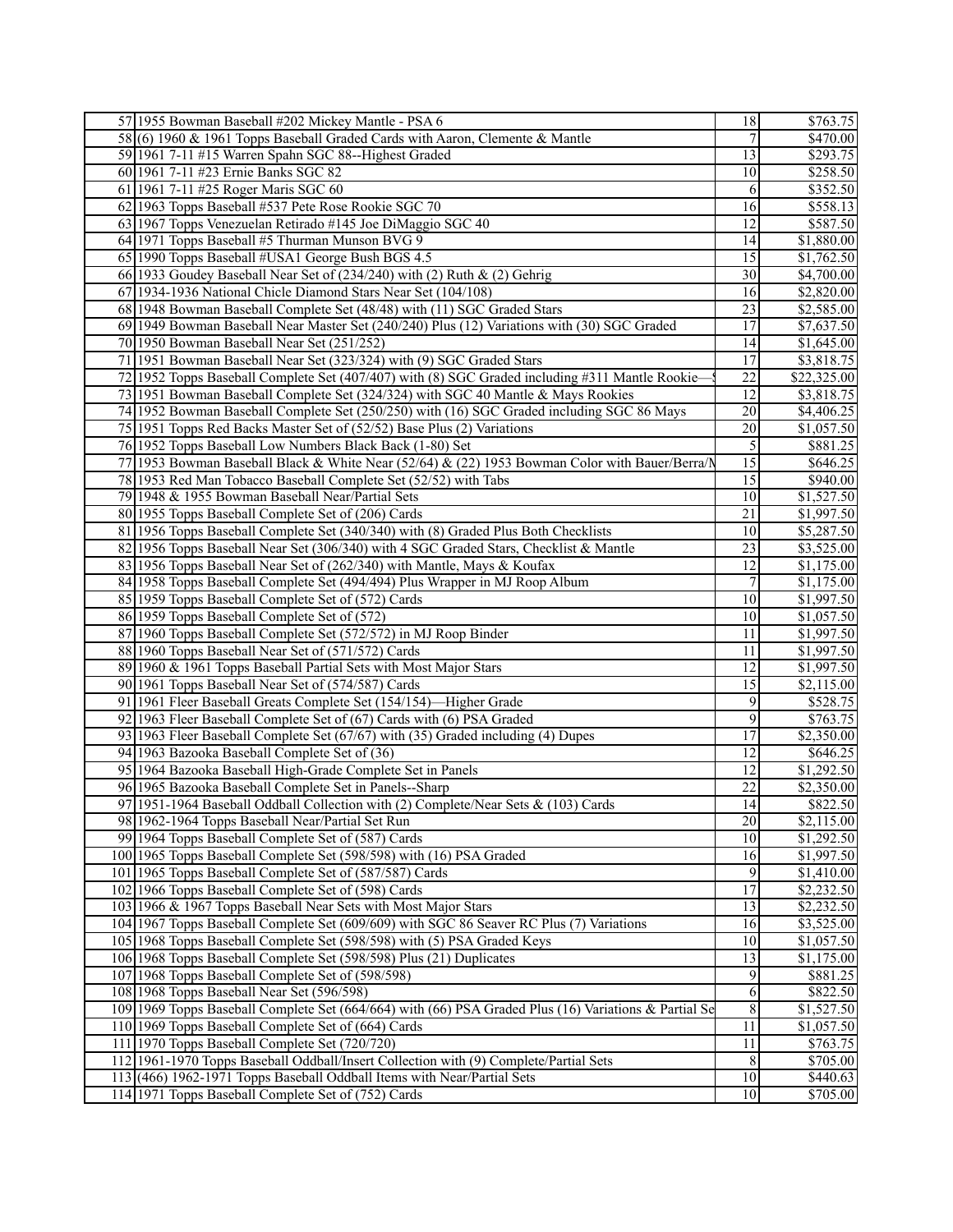| 57 1955 Bowman Baseball #202 Mickey Mantle - PSA 6<br>18<br>\$763.75<br>$\overline{7}$<br>58(6) 1960 & 1961 Topps Baseball Graded Cards with Aaron, Clemente & Mantle<br>\$470.00<br>$\overline{13}$<br>\$293.75<br>59 1961 7-11 #15 Warren Spahn SGC 88--Highest Graded<br>\$258.50<br>60 1961 7-11 #23 Ernie Banks SGC 82<br>10<br>61 1961 7-11 #25 Roger Maris SGC 60<br>\$352.50<br>6<br>$\overline{16}$<br>62 1963 Topps Baseball #537 Pete Rose Rookie SGC 70<br>\$558.13<br>12<br>63 1967 Topps Venezuelan Retirado #145 Joe DiMaggio SGC 40<br>\$587.50<br>64 1971 Topps Baseball #5 Thurman Munson BVG 9<br>14<br>\$1,880.00<br>$\overline{15}$<br>65 1990 Topps Baseball #USA1 George Bush BGS 4.5<br>\$1,762.50<br>66 1933 Goudey Baseball Near Set of (234/240) with (2) Ruth & (2) Gehrig<br>30<br>\$4,700.00<br>67 1934-1936 National Chicle Diamond Stars Near Set (104/108)<br>16<br>\$2,820.00<br>$\overline{23}$<br>68 1948 Bowman Baseball Complete Set (48/48) with (11) SGC Graded Stars<br>\$2,585.00<br>$\overline{17}$<br>69 1949 Bowman Baseball Near Master Set (240/240) Plus (12) Variations with (30) SGC Graded<br>\$7,637.50<br>70 1950 Bowman Baseball Near Set (251/252)<br>14<br>\$1,645.00<br>71 1951 Bowman Baseball Near Set (323/324) with (9) SGC Graded Stars<br>$\overline{17}$<br>\$3,818.75<br>72 1952 Topps Baseball Complete Set (407/407) with (8) SGC Graded including #311 Mantle Rookie-<br>22<br>\$22,325.00<br>73 1951 Bowman Baseball Complete Set (324/324) with SGC 40 Mantle & Mays Rookies<br>12<br>\$3,818.75<br>$\overline{20}$<br>74 1952 Bowman Baseball Complete Set (250/250) with (16) SGC Graded including SGC 86 Mays<br>\$4,406.25<br>$\overline{20}$<br>75 1951 Topps Red Backs Master Set of (52/52) Base Plus (2) Variations<br>\$1,057.50<br>5<br>76 1952 Topps Baseball Low Numbers Black Back (1-80) Set<br>\$881.25<br>15<br>77 1953 Bowman Baseball Black & White Near (52/64) & (22) 1953 Bowman Color with Bauer/Berra/<br>\$646.25<br>78 1953 Red Man Tobacco Baseball Complete Set (52/52) with Tabs<br>15<br>\$940.00<br>79 1948 & 1955 Bowman Baseball Near/Partial Sets<br>10<br>\$1,527.50<br>80 1955 Topps Baseball Complete Set of (206) Cards<br>21<br>\$1,997.50<br>81 1956 Topps Baseball Complete Set (340/340) with (8) Graded Plus Both Checklists<br>10<br>\$5,287.50<br>$\overline{23}$<br>82 1956 Topps Baseball Near Set (306/340) with 4 SGC Graded Stars, Checklist & Mantle<br>\$3,525.00<br>$\overline{12}$<br>83 1956 Topps Baseball Near Set of (262/340) with Mantle, Mays & Koufax<br>\$1,175.00<br>$\overline{7}$<br>84 1958 Topps Baseball Complete Set (494/494) Plus Wrapper in MJ Roop Album<br>\$1,175.00<br>85 1959 Topps Baseball Complete Set of (572) Cards<br>\$1,997.50<br>10<br>86 1959 Topps Baseball Complete Set of (572)<br>10<br>\$1,057.50<br>87 1960 Topps Baseball Complete Set (572/572) in MJ Roop Binder<br>11<br>\$1,997.50<br>88 1960 Topps Baseball Near Set of (571/572) Cards<br>11<br>\$1,997.50<br>89 1960 & 1961 Topps Baseball Partial Sets with Most Major Stars<br>12<br>\$1,997.50<br>$\overline{15}$<br>90 1961 Topps Baseball Near Set of (574/587) Cards<br>\$2,115.00<br>9<br>91 1961 Fleer Baseball Greats Complete Set (154/154)-Higher Grade<br>\$528.75<br>$\overline{9}$<br>92 1963 Fleer Baseball Complete Set of (67) Cards with (6) PSA Graded<br>\$763.75<br>$\overline{17}$<br>93 1963 Fleer Baseball Complete Set (67/67) with (35) Graded including (4) Dupes<br>\$2,350.00<br>$\overline{12}$<br>\$646.25<br>94 1963 Bazooka Baseball Complete Set of (36)<br>95 1964 Bazooka Baseball High-Grade Complete Set in Panels<br>12<br>\$1,292.50<br>$\overline{22}$<br>\$2,350.00<br>96/1965 Bazooka Baseball Complete Set in Panels--Sharp<br>\$822.50<br>97 1951-1964 Baseball Oddball Collection with (2) Complete/Near Sets & (103) Cards<br>14<br>98 1962-1964 Topps Baseball Near/Partial Set Run<br>20<br>\$2,115.00<br>99 1964 Topps Baseball Complete Set of (587) Cards<br>10<br>\$1,292.50<br>$\overline{16}$<br>100 1965 Topps Baseball Complete Set (598/598) with (16) PSA Graded<br>\$1,997.50<br>101 1965 Topps Baseball Complete Set of (587/587) Cards<br>9<br>\$1,410.00<br>17<br>\$2,232.50<br>102 1966 Topps Baseball Complete Set of (598) Cards<br>$\overline{13}$<br>103 1966 & 1967 Topps Baseball Near Sets with Most Major Stars<br>\$2,232.50<br>16<br>104 1967 Topps Baseball Complete Set (609/609) with SGC 86 Seaver RC Plus (7) Variations<br>\$3,525.00<br>10<br>105 1968 Topps Baseball Complete Set (598/598) with (5) PSA Graded Keys<br>\$1,057.50<br>13<br>106 1968 Topps Baseball Complete Set (598/598) Plus (21) Duplicates<br>\$1,175.00<br>9<br>107 1968 Topps Baseball Complete Set of (598/598)<br>\$881.25<br>$6 \mid$<br>108 1968 Topps Baseball Near Set (596/598)<br>\$822.50<br>$\sqrt{8}$<br>109 1969 Topps Baseball Complete Set (664/664) with (66) PSA Graded Plus (16) Variations & Partial Se<br>\$1,527.50<br>110 1969 Topps Baseball Complete Set of (664) Cards<br>11<br>\$1,057.50<br>11<br>111 1970 Topps Baseball Complete Set (720/720)<br>\$763.75<br>$\,8\,$<br>112 1961-1970 Topps Baseball Oddball/Insert Collection with (9) Complete/Partial Sets<br>\$705.00<br>113 (466) 1962-1971 Topps Baseball Oddball Items with Near/Partial Sets<br>10<br>\$440.63<br>\$705.00<br>114 1971 Topps Baseball Complete Set of (752) Cards<br>10 <sup>1</sup> |  |  |
|-------------------------------------------------------------------------------------------------------------------------------------------------------------------------------------------------------------------------------------------------------------------------------------------------------------------------------------------------------------------------------------------------------------------------------------------------------------------------------------------------------------------------------------------------------------------------------------------------------------------------------------------------------------------------------------------------------------------------------------------------------------------------------------------------------------------------------------------------------------------------------------------------------------------------------------------------------------------------------------------------------------------------------------------------------------------------------------------------------------------------------------------------------------------------------------------------------------------------------------------------------------------------------------------------------------------------------------------------------------------------------------------------------------------------------------------------------------------------------------------------------------------------------------------------------------------------------------------------------------------------------------------------------------------------------------------------------------------------------------------------------------------------------------------------------------------------------------------------------------------------------------------------------------------------------------------------------------------------------------------------------------------------------------------------------------------------------------------------------------------------------------------------------------------------------------------------------------------------------------------------------------------------------------------------------------------------------------------------------------------------------------------------------------------------------------------------------------------------------------------------------------------------------------------------------------------------------------------------------------------------------------------------------------------------------------------------------------------------------------------------------------------------------------------------------------------------------------------------------------------------------------------------------------------------------------------------------------------------------------------------------------------------------------------------------------------------------------------------------------------------------------------------------------------------------------------------------------------------------------------------------------------------------------------------------------------------------------------------------------------------------------------------------------------------------------------------------------------------------------------------------------------------------------------------------------------------------------------------------------------------------------------------------------------------------------------------------------------------------------------------------------------------------------------------------------------------------------------------------------------------------------------------------------------------------------------------------------------------------------------------------------------------------------------------------------------------------------------------------------------------------------------------------------------------------------------------------------------------------------------------------------------------------------------------------------------------------------------------------------------------------------------------------------------------------------------------------------------------------------------------------------------------------------------------------------------------------------------------------------------------------------------------------------------------------------------------------------------------------------------------------------------------------------------------------------------------------------------------------------------------------------------------------------------------------------------------------------------------------------------------------------------------------------------------------------------------------------------------------------------------------------------------------------------------------------------------------------------------------------------------------------------------------------------------------------------------------------------------------------------------------------------------------------------------------------------------------------------------------|--|--|
|                                                                                                                                                                                                                                                                                                                                                                                                                                                                                                                                                                                                                                                                                                                                                                                                                                                                                                                                                                                                                                                                                                                                                                                                                                                                                                                                                                                                                                                                                                                                                                                                                                                                                                                                                                                                                                                                                                                                                                                                                                                                                                                                                                                                                                                                                                                                                                                                                                                                                                                                                                                                                                                                                                                                                                                                                                                                                                                                                                                                                                                                                                                                                                                                                                                                                                                                                                                                                                                                                                                                                                                                                                                                                                                                                                                                                                                                                                                                                                                                                                                                                                                                                                                                                                                                                                                                                                                                                                                                                                                                                                                                                                                                                                                                                                                                                                                                                                                                                                                                                                                                                                                                                                                                                                                                                                                                                                                                                                                                               |  |  |
|                                                                                                                                                                                                                                                                                                                                                                                                                                                                                                                                                                                                                                                                                                                                                                                                                                                                                                                                                                                                                                                                                                                                                                                                                                                                                                                                                                                                                                                                                                                                                                                                                                                                                                                                                                                                                                                                                                                                                                                                                                                                                                                                                                                                                                                                                                                                                                                                                                                                                                                                                                                                                                                                                                                                                                                                                                                                                                                                                                                                                                                                                                                                                                                                                                                                                                                                                                                                                                                                                                                                                                                                                                                                                                                                                                                                                                                                                                                                                                                                                                                                                                                                                                                                                                                                                                                                                                                                                                                                                                                                                                                                                                                                                                                                                                                                                                                                                                                                                                                                                                                                                                                                                                                                                                                                                                                                                                                                                                                                               |  |  |
|                                                                                                                                                                                                                                                                                                                                                                                                                                                                                                                                                                                                                                                                                                                                                                                                                                                                                                                                                                                                                                                                                                                                                                                                                                                                                                                                                                                                                                                                                                                                                                                                                                                                                                                                                                                                                                                                                                                                                                                                                                                                                                                                                                                                                                                                                                                                                                                                                                                                                                                                                                                                                                                                                                                                                                                                                                                                                                                                                                                                                                                                                                                                                                                                                                                                                                                                                                                                                                                                                                                                                                                                                                                                                                                                                                                                                                                                                                                                                                                                                                                                                                                                                                                                                                                                                                                                                                                                                                                                                                                                                                                                                                                                                                                                                                                                                                                                                                                                                                                                                                                                                                                                                                                                                                                                                                                                                                                                                                                                               |  |  |
|                                                                                                                                                                                                                                                                                                                                                                                                                                                                                                                                                                                                                                                                                                                                                                                                                                                                                                                                                                                                                                                                                                                                                                                                                                                                                                                                                                                                                                                                                                                                                                                                                                                                                                                                                                                                                                                                                                                                                                                                                                                                                                                                                                                                                                                                                                                                                                                                                                                                                                                                                                                                                                                                                                                                                                                                                                                                                                                                                                                                                                                                                                                                                                                                                                                                                                                                                                                                                                                                                                                                                                                                                                                                                                                                                                                                                                                                                                                                                                                                                                                                                                                                                                                                                                                                                                                                                                                                                                                                                                                                                                                                                                                                                                                                                                                                                                                                                                                                                                                                                                                                                                                                                                                                                                                                                                                                                                                                                                                                               |  |  |
|                                                                                                                                                                                                                                                                                                                                                                                                                                                                                                                                                                                                                                                                                                                                                                                                                                                                                                                                                                                                                                                                                                                                                                                                                                                                                                                                                                                                                                                                                                                                                                                                                                                                                                                                                                                                                                                                                                                                                                                                                                                                                                                                                                                                                                                                                                                                                                                                                                                                                                                                                                                                                                                                                                                                                                                                                                                                                                                                                                                                                                                                                                                                                                                                                                                                                                                                                                                                                                                                                                                                                                                                                                                                                                                                                                                                                                                                                                                                                                                                                                                                                                                                                                                                                                                                                                                                                                                                                                                                                                                                                                                                                                                                                                                                                                                                                                                                                                                                                                                                                                                                                                                                                                                                                                                                                                                                                                                                                                                                               |  |  |
|                                                                                                                                                                                                                                                                                                                                                                                                                                                                                                                                                                                                                                                                                                                                                                                                                                                                                                                                                                                                                                                                                                                                                                                                                                                                                                                                                                                                                                                                                                                                                                                                                                                                                                                                                                                                                                                                                                                                                                                                                                                                                                                                                                                                                                                                                                                                                                                                                                                                                                                                                                                                                                                                                                                                                                                                                                                                                                                                                                                                                                                                                                                                                                                                                                                                                                                                                                                                                                                                                                                                                                                                                                                                                                                                                                                                                                                                                                                                                                                                                                                                                                                                                                                                                                                                                                                                                                                                                                                                                                                                                                                                                                                                                                                                                                                                                                                                                                                                                                                                                                                                                                                                                                                                                                                                                                                                                                                                                                                                               |  |  |
|                                                                                                                                                                                                                                                                                                                                                                                                                                                                                                                                                                                                                                                                                                                                                                                                                                                                                                                                                                                                                                                                                                                                                                                                                                                                                                                                                                                                                                                                                                                                                                                                                                                                                                                                                                                                                                                                                                                                                                                                                                                                                                                                                                                                                                                                                                                                                                                                                                                                                                                                                                                                                                                                                                                                                                                                                                                                                                                                                                                                                                                                                                                                                                                                                                                                                                                                                                                                                                                                                                                                                                                                                                                                                                                                                                                                                                                                                                                                                                                                                                                                                                                                                                                                                                                                                                                                                                                                                                                                                                                                                                                                                                                                                                                                                                                                                                                                                                                                                                                                                                                                                                                                                                                                                                                                                                                                                                                                                                                                               |  |  |
|                                                                                                                                                                                                                                                                                                                                                                                                                                                                                                                                                                                                                                                                                                                                                                                                                                                                                                                                                                                                                                                                                                                                                                                                                                                                                                                                                                                                                                                                                                                                                                                                                                                                                                                                                                                                                                                                                                                                                                                                                                                                                                                                                                                                                                                                                                                                                                                                                                                                                                                                                                                                                                                                                                                                                                                                                                                                                                                                                                                                                                                                                                                                                                                                                                                                                                                                                                                                                                                                                                                                                                                                                                                                                                                                                                                                                                                                                                                                                                                                                                                                                                                                                                                                                                                                                                                                                                                                                                                                                                                                                                                                                                                                                                                                                                                                                                                                                                                                                                                                                                                                                                                                                                                                                                                                                                                                                                                                                                                                               |  |  |
|                                                                                                                                                                                                                                                                                                                                                                                                                                                                                                                                                                                                                                                                                                                                                                                                                                                                                                                                                                                                                                                                                                                                                                                                                                                                                                                                                                                                                                                                                                                                                                                                                                                                                                                                                                                                                                                                                                                                                                                                                                                                                                                                                                                                                                                                                                                                                                                                                                                                                                                                                                                                                                                                                                                                                                                                                                                                                                                                                                                                                                                                                                                                                                                                                                                                                                                                                                                                                                                                                                                                                                                                                                                                                                                                                                                                                                                                                                                                                                                                                                                                                                                                                                                                                                                                                                                                                                                                                                                                                                                                                                                                                                                                                                                                                                                                                                                                                                                                                                                                                                                                                                                                                                                                                                                                                                                                                                                                                                                                               |  |  |
|                                                                                                                                                                                                                                                                                                                                                                                                                                                                                                                                                                                                                                                                                                                                                                                                                                                                                                                                                                                                                                                                                                                                                                                                                                                                                                                                                                                                                                                                                                                                                                                                                                                                                                                                                                                                                                                                                                                                                                                                                                                                                                                                                                                                                                                                                                                                                                                                                                                                                                                                                                                                                                                                                                                                                                                                                                                                                                                                                                                                                                                                                                                                                                                                                                                                                                                                                                                                                                                                                                                                                                                                                                                                                                                                                                                                                                                                                                                                                                                                                                                                                                                                                                                                                                                                                                                                                                                                                                                                                                                                                                                                                                                                                                                                                                                                                                                                                                                                                                                                                                                                                                                                                                                                                                                                                                                                                                                                                                                                               |  |  |
|                                                                                                                                                                                                                                                                                                                                                                                                                                                                                                                                                                                                                                                                                                                                                                                                                                                                                                                                                                                                                                                                                                                                                                                                                                                                                                                                                                                                                                                                                                                                                                                                                                                                                                                                                                                                                                                                                                                                                                                                                                                                                                                                                                                                                                                                                                                                                                                                                                                                                                                                                                                                                                                                                                                                                                                                                                                                                                                                                                                                                                                                                                                                                                                                                                                                                                                                                                                                                                                                                                                                                                                                                                                                                                                                                                                                                                                                                                                                                                                                                                                                                                                                                                                                                                                                                                                                                                                                                                                                                                                                                                                                                                                                                                                                                                                                                                                                                                                                                                                                                                                                                                                                                                                                                                                                                                                                                                                                                                                                               |  |  |
|                                                                                                                                                                                                                                                                                                                                                                                                                                                                                                                                                                                                                                                                                                                                                                                                                                                                                                                                                                                                                                                                                                                                                                                                                                                                                                                                                                                                                                                                                                                                                                                                                                                                                                                                                                                                                                                                                                                                                                                                                                                                                                                                                                                                                                                                                                                                                                                                                                                                                                                                                                                                                                                                                                                                                                                                                                                                                                                                                                                                                                                                                                                                                                                                                                                                                                                                                                                                                                                                                                                                                                                                                                                                                                                                                                                                                                                                                                                                                                                                                                                                                                                                                                                                                                                                                                                                                                                                                                                                                                                                                                                                                                                                                                                                                                                                                                                                                                                                                                                                                                                                                                                                                                                                                                                                                                                                                                                                                                                                               |  |  |
|                                                                                                                                                                                                                                                                                                                                                                                                                                                                                                                                                                                                                                                                                                                                                                                                                                                                                                                                                                                                                                                                                                                                                                                                                                                                                                                                                                                                                                                                                                                                                                                                                                                                                                                                                                                                                                                                                                                                                                                                                                                                                                                                                                                                                                                                                                                                                                                                                                                                                                                                                                                                                                                                                                                                                                                                                                                                                                                                                                                                                                                                                                                                                                                                                                                                                                                                                                                                                                                                                                                                                                                                                                                                                                                                                                                                                                                                                                                                                                                                                                                                                                                                                                                                                                                                                                                                                                                                                                                                                                                                                                                                                                                                                                                                                                                                                                                                                                                                                                                                                                                                                                                                                                                                                                                                                                                                                                                                                                                                               |  |  |
|                                                                                                                                                                                                                                                                                                                                                                                                                                                                                                                                                                                                                                                                                                                                                                                                                                                                                                                                                                                                                                                                                                                                                                                                                                                                                                                                                                                                                                                                                                                                                                                                                                                                                                                                                                                                                                                                                                                                                                                                                                                                                                                                                                                                                                                                                                                                                                                                                                                                                                                                                                                                                                                                                                                                                                                                                                                                                                                                                                                                                                                                                                                                                                                                                                                                                                                                                                                                                                                                                                                                                                                                                                                                                                                                                                                                                                                                                                                                                                                                                                                                                                                                                                                                                                                                                                                                                                                                                                                                                                                                                                                                                                                                                                                                                                                                                                                                                                                                                                                                                                                                                                                                                                                                                                                                                                                                                                                                                                                                               |  |  |
|                                                                                                                                                                                                                                                                                                                                                                                                                                                                                                                                                                                                                                                                                                                                                                                                                                                                                                                                                                                                                                                                                                                                                                                                                                                                                                                                                                                                                                                                                                                                                                                                                                                                                                                                                                                                                                                                                                                                                                                                                                                                                                                                                                                                                                                                                                                                                                                                                                                                                                                                                                                                                                                                                                                                                                                                                                                                                                                                                                                                                                                                                                                                                                                                                                                                                                                                                                                                                                                                                                                                                                                                                                                                                                                                                                                                                                                                                                                                                                                                                                                                                                                                                                                                                                                                                                                                                                                                                                                                                                                                                                                                                                                                                                                                                                                                                                                                                                                                                                                                                                                                                                                                                                                                                                                                                                                                                                                                                                                                               |  |  |
|                                                                                                                                                                                                                                                                                                                                                                                                                                                                                                                                                                                                                                                                                                                                                                                                                                                                                                                                                                                                                                                                                                                                                                                                                                                                                                                                                                                                                                                                                                                                                                                                                                                                                                                                                                                                                                                                                                                                                                                                                                                                                                                                                                                                                                                                                                                                                                                                                                                                                                                                                                                                                                                                                                                                                                                                                                                                                                                                                                                                                                                                                                                                                                                                                                                                                                                                                                                                                                                                                                                                                                                                                                                                                                                                                                                                                                                                                                                                                                                                                                                                                                                                                                                                                                                                                                                                                                                                                                                                                                                                                                                                                                                                                                                                                                                                                                                                                                                                                                                                                                                                                                                                                                                                                                                                                                                                                                                                                                                                               |  |  |
|                                                                                                                                                                                                                                                                                                                                                                                                                                                                                                                                                                                                                                                                                                                                                                                                                                                                                                                                                                                                                                                                                                                                                                                                                                                                                                                                                                                                                                                                                                                                                                                                                                                                                                                                                                                                                                                                                                                                                                                                                                                                                                                                                                                                                                                                                                                                                                                                                                                                                                                                                                                                                                                                                                                                                                                                                                                                                                                                                                                                                                                                                                                                                                                                                                                                                                                                                                                                                                                                                                                                                                                                                                                                                                                                                                                                                                                                                                                                                                                                                                                                                                                                                                                                                                                                                                                                                                                                                                                                                                                                                                                                                                                                                                                                                                                                                                                                                                                                                                                                                                                                                                                                                                                                                                                                                                                                                                                                                                                                               |  |  |
|                                                                                                                                                                                                                                                                                                                                                                                                                                                                                                                                                                                                                                                                                                                                                                                                                                                                                                                                                                                                                                                                                                                                                                                                                                                                                                                                                                                                                                                                                                                                                                                                                                                                                                                                                                                                                                                                                                                                                                                                                                                                                                                                                                                                                                                                                                                                                                                                                                                                                                                                                                                                                                                                                                                                                                                                                                                                                                                                                                                                                                                                                                                                                                                                                                                                                                                                                                                                                                                                                                                                                                                                                                                                                                                                                                                                                                                                                                                                                                                                                                                                                                                                                                                                                                                                                                                                                                                                                                                                                                                                                                                                                                                                                                                                                                                                                                                                                                                                                                                                                                                                                                                                                                                                                                                                                                                                                                                                                                                                               |  |  |
|                                                                                                                                                                                                                                                                                                                                                                                                                                                                                                                                                                                                                                                                                                                                                                                                                                                                                                                                                                                                                                                                                                                                                                                                                                                                                                                                                                                                                                                                                                                                                                                                                                                                                                                                                                                                                                                                                                                                                                                                                                                                                                                                                                                                                                                                                                                                                                                                                                                                                                                                                                                                                                                                                                                                                                                                                                                                                                                                                                                                                                                                                                                                                                                                                                                                                                                                                                                                                                                                                                                                                                                                                                                                                                                                                                                                                                                                                                                                                                                                                                                                                                                                                                                                                                                                                                                                                                                                                                                                                                                                                                                                                                                                                                                                                                                                                                                                                                                                                                                                                                                                                                                                                                                                                                                                                                                                                                                                                                                                               |  |  |
|                                                                                                                                                                                                                                                                                                                                                                                                                                                                                                                                                                                                                                                                                                                                                                                                                                                                                                                                                                                                                                                                                                                                                                                                                                                                                                                                                                                                                                                                                                                                                                                                                                                                                                                                                                                                                                                                                                                                                                                                                                                                                                                                                                                                                                                                                                                                                                                                                                                                                                                                                                                                                                                                                                                                                                                                                                                                                                                                                                                                                                                                                                                                                                                                                                                                                                                                                                                                                                                                                                                                                                                                                                                                                                                                                                                                                                                                                                                                                                                                                                                                                                                                                                                                                                                                                                                                                                                                                                                                                                                                                                                                                                                                                                                                                                                                                                                                                                                                                                                                                                                                                                                                                                                                                                                                                                                                                                                                                                                                               |  |  |
|                                                                                                                                                                                                                                                                                                                                                                                                                                                                                                                                                                                                                                                                                                                                                                                                                                                                                                                                                                                                                                                                                                                                                                                                                                                                                                                                                                                                                                                                                                                                                                                                                                                                                                                                                                                                                                                                                                                                                                                                                                                                                                                                                                                                                                                                                                                                                                                                                                                                                                                                                                                                                                                                                                                                                                                                                                                                                                                                                                                                                                                                                                                                                                                                                                                                                                                                                                                                                                                                                                                                                                                                                                                                                                                                                                                                                                                                                                                                                                                                                                                                                                                                                                                                                                                                                                                                                                                                                                                                                                                                                                                                                                                                                                                                                                                                                                                                                                                                                                                                                                                                                                                                                                                                                                                                                                                                                                                                                                                                               |  |  |
|                                                                                                                                                                                                                                                                                                                                                                                                                                                                                                                                                                                                                                                                                                                                                                                                                                                                                                                                                                                                                                                                                                                                                                                                                                                                                                                                                                                                                                                                                                                                                                                                                                                                                                                                                                                                                                                                                                                                                                                                                                                                                                                                                                                                                                                                                                                                                                                                                                                                                                                                                                                                                                                                                                                                                                                                                                                                                                                                                                                                                                                                                                                                                                                                                                                                                                                                                                                                                                                                                                                                                                                                                                                                                                                                                                                                                                                                                                                                                                                                                                                                                                                                                                                                                                                                                                                                                                                                                                                                                                                                                                                                                                                                                                                                                                                                                                                                                                                                                                                                                                                                                                                                                                                                                                                                                                                                                                                                                                                                               |  |  |
|                                                                                                                                                                                                                                                                                                                                                                                                                                                                                                                                                                                                                                                                                                                                                                                                                                                                                                                                                                                                                                                                                                                                                                                                                                                                                                                                                                                                                                                                                                                                                                                                                                                                                                                                                                                                                                                                                                                                                                                                                                                                                                                                                                                                                                                                                                                                                                                                                                                                                                                                                                                                                                                                                                                                                                                                                                                                                                                                                                                                                                                                                                                                                                                                                                                                                                                                                                                                                                                                                                                                                                                                                                                                                                                                                                                                                                                                                                                                                                                                                                                                                                                                                                                                                                                                                                                                                                                                                                                                                                                                                                                                                                                                                                                                                                                                                                                                                                                                                                                                                                                                                                                                                                                                                                                                                                                                                                                                                                                                               |  |  |
|                                                                                                                                                                                                                                                                                                                                                                                                                                                                                                                                                                                                                                                                                                                                                                                                                                                                                                                                                                                                                                                                                                                                                                                                                                                                                                                                                                                                                                                                                                                                                                                                                                                                                                                                                                                                                                                                                                                                                                                                                                                                                                                                                                                                                                                                                                                                                                                                                                                                                                                                                                                                                                                                                                                                                                                                                                                                                                                                                                                                                                                                                                                                                                                                                                                                                                                                                                                                                                                                                                                                                                                                                                                                                                                                                                                                                                                                                                                                                                                                                                                                                                                                                                                                                                                                                                                                                                                                                                                                                                                                                                                                                                                                                                                                                                                                                                                                                                                                                                                                                                                                                                                                                                                                                                                                                                                                                                                                                                                                               |  |  |
|                                                                                                                                                                                                                                                                                                                                                                                                                                                                                                                                                                                                                                                                                                                                                                                                                                                                                                                                                                                                                                                                                                                                                                                                                                                                                                                                                                                                                                                                                                                                                                                                                                                                                                                                                                                                                                                                                                                                                                                                                                                                                                                                                                                                                                                                                                                                                                                                                                                                                                                                                                                                                                                                                                                                                                                                                                                                                                                                                                                                                                                                                                                                                                                                                                                                                                                                                                                                                                                                                                                                                                                                                                                                                                                                                                                                                                                                                                                                                                                                                                                                                                                                                                                                                                                                                                                                                                                                                                                                                                                                                                                                                                                                                                                                                                                                                                                                                                                                                                                                                                                                                                                                                                                                                                                                                                                                                                                                                                                                               |  |  |
|                                                                                                                                                                                                                                                                                                                                                                                                                                                                                                                                                                                                                                                                                                                                                                                                                                                                                                                                                                                                                                                                                                                                                                                                                                                                                                                                                                                                                                                                                                                                                                                                                                                                                                                                                                                                                                                                                                                                                                                                                                                                                                                                                                                                                                                                                                                                                                                                                                                                                                                                                                                                                                                                                                                                                                                                                                                                                                                                                                                                                                                                                                                                                                                                                                                                                                                                                                                                                                                                                                                                                                                                                                                                                                                                                                                                                                                                                                                                                                                                                                                                                                                                                                                                                                                                                                                                                                                                                                                                                                                                                                                                                                                                                                                                                                                                                                                                                                                                                                                                                                                                                                                                                                                                                                                                                                                                                                                                                                                                               |  |  |
|                                                                                                                                                                                                                                                                                                                                                                                                                                                                                                                                                                                                                                                                                                                                                                                                                                                                                                                                                                                                                                                                                                                                                                                                                                                                                                                                                                                                                                                                                                                                                                                                                                                                                                                                                                                                                                                                                                                                                                                                                                                                                                                                                                                                                                                                                                                                                                                                                                                                                                                                                                                                                                                                                                                                                                                                                                                                                                                                                                                                                                                                                                                                                                                                                                                                                                                                                                                                                                                                                                                                                                                                                                                                                                                                                                                                                                                                                                                                                                                                                                                                                                                                                                                                                                                                                                                                                                                                                                                                                                                                                                                                                                                                                                                                                                                                                                                                                                                                                                                                                                                                                                                                                                                                                                                                                                                                                                                                                                                                               |  |  |
|                                                                                                                                                                                                                                                                                                                                                                                                                                                                                                                                                                                                                                                                                                                                                                                                                                                                                                                                                                                                                                                                                                                                                                                                                                                                                                                                                                                                                                                                                                                                                                                                                                                                                                                                                                                                                                                                                                                                                                                                                                                                                                                                                                                                                                                                                                                                                                                                                                                                                                                                                                                                                                                                                                                                                                                                                                                                                                                                                                                                                                                                                                                                                                                                                                                                                                                                                                                                                                                                                                                                                                                                                                                                                                                                                                                                                                                                                                                                                                                                                                                                                                                                                                                                                                                                                                                                                                                                                                                                                                                                                                                                                                                                                                                                                                                                                                                                                                                                                                                                                                                                                                                                                                                                                                                                                                                                                                                                                                                                               |  |  |
|                                                                                                                                                                                                                                                                                                                                                                                                                                                                                                                                                                                                                                                                                                                                                                                                                                                                                                                                                                                                                                                                                                                                                                                                                                                                                                                                                                                                                                                                                                                                                                                                                                                                                                                                                                                                                                                                                                                                                                                                                                                                                                                                                                                                                                                                                                                                                                                                                                                                                                                                                                                                                                                                                                                                                                                                                                                                                                                                                                                                                                                                                                                                                                                                                                                                                                                                                                                                                                                                                                                                                                                                                                                                                                                                                                                                                                                                                                                                                                                                                                                                                                                                                                                                                                                                                                                                                                                                                                                                                                                                                                                                                                                                                                                                                                                                                                                                                                                                                                                                                                                                                                                                                                                                                                                                                                                                                                                                                                                                               |  |  |
|                                                                                                                                                                                                                                                                                                                                                                                                                                                                                                                                                                                                                                                                                                                                                                                                                                                                                                                                                                                                                                                                                                                                                                                                                                                                                                                                                                                                                                                                                                                                                                                                                                                                                                                                                                                                                                                                                                                                                                                                                                                                                                                                                                                                                                                                                                                                                                                                                                                                                                                                                                                                                                                                                                                                                                                                                                                                                                                                                                                                                                                                                                                                                                                                                                                                                                                                                                                                                                                                                                                                                                                                                                                                                                                                                                                                                                                                                                                                                                                                                                                                                                                                                                                                                                                                                                                                                                                                                                                                                                                                                                                                                                                                                                                                                                                                                                                                                                                                                                                                                                                                                                                                                                                                                                                                                                                                                                                                                                                                               |  |  |
|                                                                                                                                                                                                                                                                                                                                                                                                                                                                                                                                                                                                                                                                                                                                                                                                                                                                                                                                                                                                                                                                                                                                                                                                                                                                                                                                                                                                                                                                                                                                                                                                                                                                                                                                                                                                                                                                                                                                                                                                                                                                                                                                                                                                                                                                                                                                                                                                                                                                                                                                                                                                                                                                                                                                                                                                                                                                                                                                                                                                                                                                                                                                                                                                                                                                                                                                                                                                                                                                                                                                                                                                                                                                                                                                                                                                                                                                                                                                                                                                                                                                                                                                                                                                                                                                                                                                                                                                                                                                                                                                                                                                                                                                                                                                                                                                                                                                                                                                                                                                                                                                                                                                                                                                                                                                                                                                                                                                                                                                               |  |  |
|                                                                                                                                                                                                                                                                                                                                                                                                                                                                                                                                                                                                                                                                                                                                                                                                                                                                                                                                                                                                                                                                                                                                                                                                                                                                                                                                                                                                                                                                                                                                                                                                                                                                                                                                                                                                                                                                                                                                                                                                                                                                                                                                                                                                                                                                                                                                                                                                                                                                                                                                                                                                                                                                                                                                                                                                                                                                                                                                                                                                                                                                                                                                                                                                                                                                                                                                                                                                                                                                                                                                                                                                                                                                                                                                                                                                                                                                                                                                                                                                                                                                                                                                                                                                                                                                                                                                                                                                                                                                                                                                                                                                                                                                                                                                                                                                                                                                                                                                                                                                                                                                                                                                                                                                                                                                                                                                                                                                                                                                               |  |  |
|                                                                                                                                                                                                                                                                                                                                                                                                                                                                                                                                                                                                                                                                                                                                                                                                                                                                                                                                                                                                                                                                                                                                                                                                                                                                                                                                                                                                                                                                                                                                                                                                                                                                                                                                                                                                                                                                                                                                                                                                                                                                                                                                                                                                                                                                                                                                                                                                                                                                                                                                                                                                                                                                                                                                                                                                                                                                                                                                                                                                                                                                                                                                                                                                                                                                                                                                                                                                                                                                                                                                                                                                                                                                                                                                                                                                                                                                                                                                                                                                                                                                                                                                                                                                                                                                                                                                                                                                                                                                                                                                                                                                                                                                                                                                                                                                                                                                                                                                                                                                                                                                                                                                                                                                                                                                                                                                                                                                                                                                               |  |  |
|                                                                                                                                                                                                                                                                                                                                                                                                                                                                                                                                                                                                                                                                                                                                                                                                                                                                                                                                                                                                                                                                                                                                                                                                                                                                                                                                                                                                                                                                                                                                                                                                                                                                                                                                                                                                                                                                                                                                                                                                                                                                                                                                                                                                                                                                                                                                                                                                                                                                                                                                                                                                                                                                                                                                                                                                                                                                                                                                                                                                                                                                                                                                                                                                                                                                                                                                                                                                                                                                                                                                                                                                                                                                                                                                                                                                                                                                                                                                                                                                                                                                                                                                                                                                                                                                                                                                                                                                                                                                                                                                                                                                                                                                                                                                                                                                                                                                                                                                                                                                                                                                                                                                                                                                                                                                                                                                                                                                                                                                               |  |  |
|                                                                                                                                                                                                                                                                                                                                                                                                                                                                                                                                                                                                                                                                                                                                                                                                                                                                                                                                                                                                                                                                                                                                                                                                                                                                                                                                                                                                                                                                                                                                                                                                                                                                                                                                                                                                                                                                                                                                                                                                                                                                                                                                                                                                                                                                                                                                                                                                                                                                                                                                                                                                                                                                                                                                                                                                                                                                                                                                                                                                                                                                                                                                                                                                                                                                                                                                                                                                                                                                                                                                                                                                                                                                                                                                                                                                                                                                                                                                                                                                                                                                                                                                                                                                                                                                                                                                                                                                                                                                                                                                                                                                                                                                                                                                                                                                                                                                                                                                                                                                                                                                                                                                                                                                                                                                                                                                                                                                                                                                               |  |  |
|                                                                                                                                                                                                                                                                                                                                                                                                                                                                                                                                                                                                                                                                                                                                                                                                                                                                                                                                                                                                                                                                                                                                                                                                                                                                                                                                                                                                                                                                                                                                                                                                                                                                                                                                                                                                                                                                                                                                                                                                                                                                                                                                                                                                                                                                                                                                                                                                                                                                                                                                                                                                                                                                                                                                                                                                                                                                                                                                                                                                                                                                                                                                                                                                                                                                                                                                                                                                                                                                                                                                                                                                                                                                                                                                                                                                                                                                                                                                                                                                                                                                                                                                                                                                                                                                                                                                                                                                                                                                                                                                                                                                                                                                                                                                                                                                                                                                                                                                                                                                                                                                                                                                                                                                                                                                                                                                                                                                                                                                               |  |  |
|                                                                                                                                                                                                                                                                                                                                                                                                                                                                                                                                                                                                                                                                                                                                                                                                                                                                                                                                                                                                                                                                                                                                                                                                                                                                                                                                                                                                                                                                                                                                                                                                                                                                                                                                                                                                                                                                                                                                                                                                                                                                                                                                                                                                                                                                                                                                                                                                                                                                                                                                                                                                                                                                                                                                                                                                                                                                                                                                                                                                                                                                                                                                                                                                                                                                                                                                                                                                                                                                                                                                                                                                                                                                                                                                                                                                                                                                                                                                                                                                                                                                                                                                                                                                                                                                                                                                                                                                                                                                                                                                                                                                                                                                                                                                                                                                                                                                                                                                                                                                                                                                                                                                                                                                                                                                                                                                                                                                                                                                               |  |  |
|                                                                                                                                                                                                                                                                                                                                                                                                                                                                                                                                                                                                                                                                                                                                                                                                                                                                                                                                                                                                                                                                                                                                                                                                                                                                                                                                                                                                                                                                                                                                                                                                                                                                                                                                                                                                                                                                                                                                                                                                                                                                                                                                                                                                                                                                                                                                                                                                                                                                                                                                                                                                                                                                                                                                                                                                                                                                                                                                                                                                                                                                                                                                                                                                                                                                                                                                                                                                                                                                                                                                                                                                                                                                                                                                                                                                                                                                                                                                                                                                                                                                                                                                                                                                                                                                                                                                                                                                                                                                                                                                                                                                                                                                                                                                                                                                                                                                                                                                                                                                                                                                                                                                                                                                                                                                                                                                                                                                                                                                               |  |  |
|                                                                                                                                                                                                                                                                                                                                                                                                                                                                                                                                                                                                                                                                                                                                                                                                                                                                                                                                                                                                                                                                                                                                                                                                                                                                                                                                                                                                                                                                                                                                                                                                                                                                                                                                                                                                                                                                                                                                                                                                                                                                                                                                                                                                                                                                                                                                                                                                                                                                                                                                                                                                                                                                                                                                                                                                                                                                                                                                                                                                                                                                                                                                                                                                                                                                                                                                                                                                                                                                                                                                                                                                                                                                                                                                                                                                                                                                                                                                                                                                                                                                                                                                                                                                                                                                                                                                                                                                                                                                                                                                                                                                                                                                                                                                                                                                                                                                                                                                                                                                                                                                                                                                                                                                                                                                                                                                                                                                                                                                               |  |  |
|                                                                                                                                                                                                                                                                                                                                                                                                                                                                                                                                                                                                                                                                                                                                                                                                                                                                                                                                                                                                                                                                                                                                                                                                                                                                                                                                                                                                                                                                                                                                                                                                                                                                                                                                                                                                                                                                                                                                                                                                                                                                                                                                                                                                                                                                                                                                                                                                                                                                                                                                                                                                                                                                                                                                                                                                                                                                                                                                                                                                                                                                                                                                                                                                                                                                                                                                                                                                                                                                                                                                                                                                                                                                                                                                                                                                                                                                                                                                                                                                                                                                                                                                                                                                                                                                                                                                                                                                                                                                                                                                                                                                                                                                                                                                                                                                                                                                                                                                                                                                                                                                                                                                                                                                                                                                                                                                                                                                                                                                               |  |  |
|                                                                                                                                                                                                                                                                                                                                                                                                                                                                                                                                                                                                                                                                                                                                                                                                                                                                                                                                                                                                                                                                                                                                                                                                                                                                                                                                                                                                                                                                                                                                                                                                                                                                                                                                                                                                                                                                                                                                                                                                                                                                                                                                                                                                                                                                                                                                                                                                                                                                                                                                                                                                                                                                                                                                                                                                                                                                                                                                                                                                                                                                                                                                                                                                                                                                                                                                                                                                                                                                                                                                                                                                                                                                                                                                                                                                                                                                                                                                                                                                                                                                                                                                                                                                                                                                                                                                                                                                                                                                                                                                                                                                                                                                                                                                                                                                                                                                                                                                                                                                                                                                                                                                                                                                                                                                                                                                                                                                                                                                               |  |  |
|                                                                                                                                                                                                                                                                                                                                                                                                                                                                                                                                                                                                                                                                                                                                                                                                                                                                                                                                                                                                                                                                                                                                                                                                                                                                                                                                                                                                                                                                                                                                                                                                                                                                                                                                                                                                                                                                                                                                                                                                                                                                                                                                                                                                                                                                                                                                                                                                                                                                                                                                                                                                                                                                                                                                                                                                                                                                                                                                                                                                                                                                                                                                                                                                                                                                                                                                                                                                                                                                                                                                                                                                                                                                                                                                                                                                                                                                                                                                                                                                                                                                                                                                                                                                                                                                                                                                                                                                                                                                                                                                                                                                                                                                                                                                                                                                                                                                                                                                                                                                                                                                                                                                                                                                                                                                                                                                                                                                                                                                               |  |  |
|                                                                                                                                                                                                                                                                                                                                                                                                                                                                                                                                                                                                                                                                                                                                                                                                                                                                                                                                                                                                                                                                                                                                                                                                                                                                                                                                                                                                                                                                                                                                                                                                                                                                                                                                                                                                                                                                                                                                                                                                                                                                                                                                                                                                                                                                                                                                                                                                                                                                                                                                                                                                                                                                                                                                                                                                                                                                                                                                                                                                                                                                                                                                                                                                                                                                                                                                                                                                                                                                                                                                                                                                                                                                                                                                                                                                                                                                                                                                                                                                                                                                                                                                                                                                                                                                                                                                                                                                                                                                                                                                                                                                                                                                                                                                                                                                                                                                                                                                                                                                                                                                                                                                                                                                                                                                                                                                                                                                                                                                               |  |  |
|                                                                                                                                                                                                                                                                                                                                                                                                                                                                                                                                                                                                                                                                                                                                                                                                                                                                                                                                                                                                                                                                                                                                                                                                                                                                                                                                                                                                                                                                                                                                                                                                                                                                                                                                                                                                                                                                                                                                                                                                                                                                                                                                                                                                                                                                                                                                                                                                                                                                                                                                                                                                                                                                                                                                                                                                                                                                                                                                                                                                                                                                                                                                                                                                                                                                                                                                                                                                                                                                                                                                                                                                                                                                                                                                                                                                                                                                                                                                                                                                                                                                                                                                                                                                                                                                                                                                                                                                                                                                                                                                                                                                                                                                                                                                                                                                                                                                                                                                                                                                                                                                                                                                                                                                                                                                                                                                                                                                                                                                               |  |  |
|                                                                                                                                                                                                                                                                                                                                                                                                                                                                                                                                                                                                                                                                                                                                                                                                                                                                                                                                                                                                                                                                                                                                                                                                                                                                                                                                                                                                                                                                                                                                                                                                                                                                                                                                                                                                                                                                                                                                                                                                                                                                                                                                                                                                                                                                                                                                                                                                                                                                                                                                                                                                                                                                                                                                                                                                                                                                                                                                                                                                                                                                                                                                                                                                                                                                                                                                                                                                                                                                                                                                                                                                                                                                                                                                                                                                                                                                                                                                                                                                                                                                                                                                                                                                                                                                                                                                                                                                                                                                                                                                                                                                                                                                                                                                                                                                                                                                                                                                                                                                                                                                                                                                                                                                                                                                                                                                                                                                                                                                               |  |  |
|                                                                                                                                                                                                                                                                                                                                                                                                                                                                                                                                                                                                                                                                                                                                                                                                                                                                                                                                                                                                                                                                                                                                                                                                                                                                                                                                                                                                                                                                                                                                                                                                                                                                                                                                                                                                                                                                                                                                                                                                                                                                                                                                                                                                                                                                                                                                                                                                                                                                                                                                                                                                                                                                                                                                                                                                                                                                                                                                                                                                                                                                                                                                                                                                                                                                                                                                                                                                                                                                                                                                                                                                                                                                                                                                                                                                                                                                                                                                                                                                                                                                                                                                                                                                                                                                                                                                                                                                                                                                                                                                                                                                                                                                                                                                                                                                                                                                                                                                                                                                                                                                                                                                                                                                                                                                                                                                                                                                                                                                               |  |  |
|                                                                                                                                                                                                                                                                                                                                                                                                                                                                                                                                                                                                                                                                                                                                                                                                                                                                                                                                                                                                                                                                                                                                                                                                                                                                                                                                                                                                                                                                                                                                                                                                                                                                                                                                                                                                                                                                                                                                                                                                                                                                                                                                                                                                                                                                                                                                                                                                                                                                                                                                                                                                                                                                                                                                                                                                                                                                                                                                                                                                                                                                                                                                                                                                                                                                                                                                                                                                                                                                                                                                                                                                                                                                                                                                                                                                                                                                                                                                                                                                                                                                                                                                                                                                                                                                                                                                                                                                                                                                                                                                                                                                                                                                                                                                                                                                                                                                                                                                                                                                                                                                                                                                                                                                                                                                                                                                                                                                                                                                               |  |  |
|                                                                                                                                                                                                                                                                                                                                                                                                                                                                                                                                                                                                                                                                                                                                                                                                                                                                                                                                                                                                                                                                                                                                                                                                                                                                                                                                                                                                                                                                                                                                                                                                                                                                                                                                                                                                                                                                                                                                                                                                                                                                                                                                                                                                                                                                                                                                                                                                                                                                                                                                                                                                                                                                                                                                                                                                                                                                                                                                                                                                                                                                                                                                                                                                                                                                                                                                                                                                                                                                                                                                                                                                                                                                                                                                                                                                                                                                                                                                                                                                                                                                                                                                                                                                                                                                                                                                                                                                                                                                                                                                                                                                                                                                                                                                                                                                                                                                                                                                                                                                                                                                                                                                                                                                                                                                                                                                                                                                                                                                               |  |  |
|                                                                                                                                                                                                                                                                                                                                                                                                                                                                                                                                                                                                                                                                                                                                                                                                                                                                                                                                                                                                                                                                                                                                                                                                                                                                                                                                                                                                                                                                                                                                                                                                                                                                                                                                                                                                                                                                                                                                                                                                                                                                                                                                                                                                                                                                                                                                                                                                                                                                                                                                                                                                                                                                                                                                                                                                                                                                                                                                                                                                                                                                                                                                                                                                                                                                                                                                                                                                                                                                                                                                                                                                                                                                                                                                                                                                                                                                                                                                                                                                                                                                                                                                                                                                                                                                                                                                                                                                                                                                                                                                                                                                                                                                                                                                                                                                                                                                                                                                                                                                                                                                                                                                                                                                                                                                                                                                                                                                                                                                               |  |  |
|                                                                                                                                                                                                                                                                                                                                                                                                                                                                                                                                                                                                                                                                                                                                                                                                                                                                                                                                                                                                                                                                                                                                                                                                                                                                                                                                                                                                                                                                                                                                                                                                                                                                                                                                                                                                                                                                                                                                                                                                                                                                                                                                                                                                                                                                                                                                                                                                                                                                                                                                                                                                                                                                                                                                                                                                                                                                                                                                                                                                                                                                                                                                                                                                                                                                                                                                                                                                                                                                                                                                                                                                                                                                                                                                                                                                                                                                                                                                                                                                                                                                                                                                                                                                                                                                                                                                                                                                                                                                                                                                                                                                                                                                                                                                                                                                                                                                                                                                                                                                                                                                                                                                                                                                                                                                                                                                                                                                                                                                               |  |  |
|                                                                                                                                                                                                                                                                                                                                                                                                                                                                                                                                                                                                                                                                                                                                                                                                                                                                                                                                                                                                                                                                                                                                                                                                                                                                                                                                                                                                                                                                                                                                                                                                                                                                                                                                                                                                                                                                                                                                                                                                                                                                                                                                                                                                                                                                                                                                                                                                                                                                                                                                                                                                                                                                                                                                                                                                                                                                                                                                                                                                                                                                                                                                                                                                                                                                                                                                                                                                                                                                                                                                                                                                                                                                                                                                                                                                                                                                                                                                                                                                                                                                                                                                                                                                                                                                                                                                                                                                                                                                                                                                                                                                                                                                                                                                                                                                                                                                                                                                                                                                                                                                                                                                                                                                                                                                                                                                                                                                                                                                               |  |  |
|                                                                                                                                                                                                                                                                                                                                                                                                                                                                                                                                                                                                                                                                                                                                                                                                                                                                                                                                                                                                                                                                                                                                                                                                                                                                                                                                                                                                                                                                                                                                                                                                                                                                                                                                                                                                                                                                                                                                                                                                                                                                                                                                                                                                                                                                                                                                                                                                                                                                                                                                                                                                                                                                                                                                                                                                                                                                                                                                                                                                                                                                                                                                                                                                                                                                                                                                                                                                                                                                                                                                                                                                                                                                                                                                                                                                                                                                                                                                                                                                                                                                                                                                                                                                                                                                                                                                                                                                                                                                                                                                                                                                                                                                                                                                                                                                                                                                                                                                                                                                                                                                                                                                                                                                                                                                                                                                                                                                                                                                               |  |  |
|                                                                                                                                                                                                                                                                                                                                                                                                                                                                                                                                                                                                                                                                                                                                                                                                                                                                                                                                                                                                                                                                                                                                                                                                                                                                                                                                                                                                                                                                                                                                                                                                                                                                                                                                                                                                                                                                                                                                                                                                                                                                                                                                                                                                                                                                                                                                                                                                                                                                                                                                                                                                                                                                                                                                                                                                                                                                                                                                                                                                                                                                                                                                                                                                                                                                                                                                                                                                                                                                                                                                                                                                                                                                                                                                                                                                                                                                                                                                                                                                                                                                                                                                                                                                                                                                                                                                                                                                                                                                                                                                                                                                                                                                                                                                                                                                                                                                                                                                                                                                                                                                                                                                                                                                                                                                                                                                                                                                                                                                               |  |  |
|                                                                                                                                                                                                                                                                                                                                                                                                                                                                                                                                                                                                                                                                                                                                                                                                                                                                                                                                                                                                                                                                                                                                                                                                                                                                                                                                                                                                                                                                                                                                                                                                                                                                                                                                                                                                                                                                                                                                                                                                                                                                                                                                                                                                                                                                                                                                                                                                                                                                                                                                                                                                                                                                                                                                                                                                                                                                                                                                                                                                                                                                                                                                                                                                                                                                                                                                                                                                                                                                                                                                                                                                                                                                                                                                                                                                                                                                                                                                                                                                                                                                                                                                                                                                                                                                                                                                                                                                                                                                                                                                                                                                                                                                                                                                                                                                                                                                                                                                                                                                                                                                                                                                                                                                                                                                                                                                                                                                                                                                               |  |  |
|                                                                                                                                                                                                                                                                                                                                                                                                                                                                                                                                                                                                                                                                                                                                                                                                                                                                                                                                                                                                                                                                                                                                                                                                                                                                                                                                                                                                                                                                                                                                                                                                                                                                                                                                                                                                                                                                                                                                                                                                                                                                                                                                                                                                                                                                                                                                                                                                                                                                                                                                                                                                                                                                                                                                                                                                                                                                                                                                                                                                                                                                                                                                                                                                                                                                                                                                                                                                                                                                                                                                                                                                                                                                                                                                                                                                                                                                                                                                                                                                                                                                                                                                                                                                                                                                                                                                                                                                                                                                                                                                                                                                                                                                                                                                                                                                                                                                                                                                                                                                                                                                                                                                                                                                                                                                                                                                                                                                                                                                               |  |  |
|                                                                                                                                                                                                                                                                                                                                                                                                                                                                                                                                                                                                                                                                                                                                                                                                                                                                                                                                                                                                                                                                                                                                                                                                                                                                                                                                                                                                                                                                                                                                                                                                                                                                                                                                                                                                                                                                                                                                                                                                                                                                                                                                                                                                                                                                                                                                                                                                                                                                                                                                                                                                                                                                                                                                                                                                                                                                                                                                                                                                                                                                                                                                                                                                                                                                                                                                                                                                                                                                                                                                                                                                                                                                                                                                                                                                                                                                                                                                                                                                                                                                                                                                                                                                                                                                                                                                                                                                                                                                                                                                                                                                                                                                                                                                                                                                                                                                                                                                                                                                                                                                                                                                                                                                                                                                                                                                                                                                                                                                               |  |  |
|                                                                                                                                                                                                                                                                                                                                                                                                                                                                                                                                                                                                                                                                                                                                                                                                                                                                                                                                                                                                                                                                                                                                                                                                                                                                                                                                                                                                                                                                                                                                                                                                                                                                                                                                                                                                                                                                                                                                                                                                                                                                                                                                                                                                                                                                                                                                                                                                                                                                                                                                                                                                                                                                                                                                                                                                                                                                                                                                                                                                                                                                                                                                                                                                                                                                                                                                                                                                                                                                                                                                                                                                                                                                                                                                                                                                                                                                                                                                                                                                                                                                                                                                                                                                                                                                                                                                                                                                                                                                                                                                                                                                                                                                                                                                                                                                                                                                                                                                                                                                                                                                                                                                                                                                                                                                                                                                                                                                                                                                               |  |  |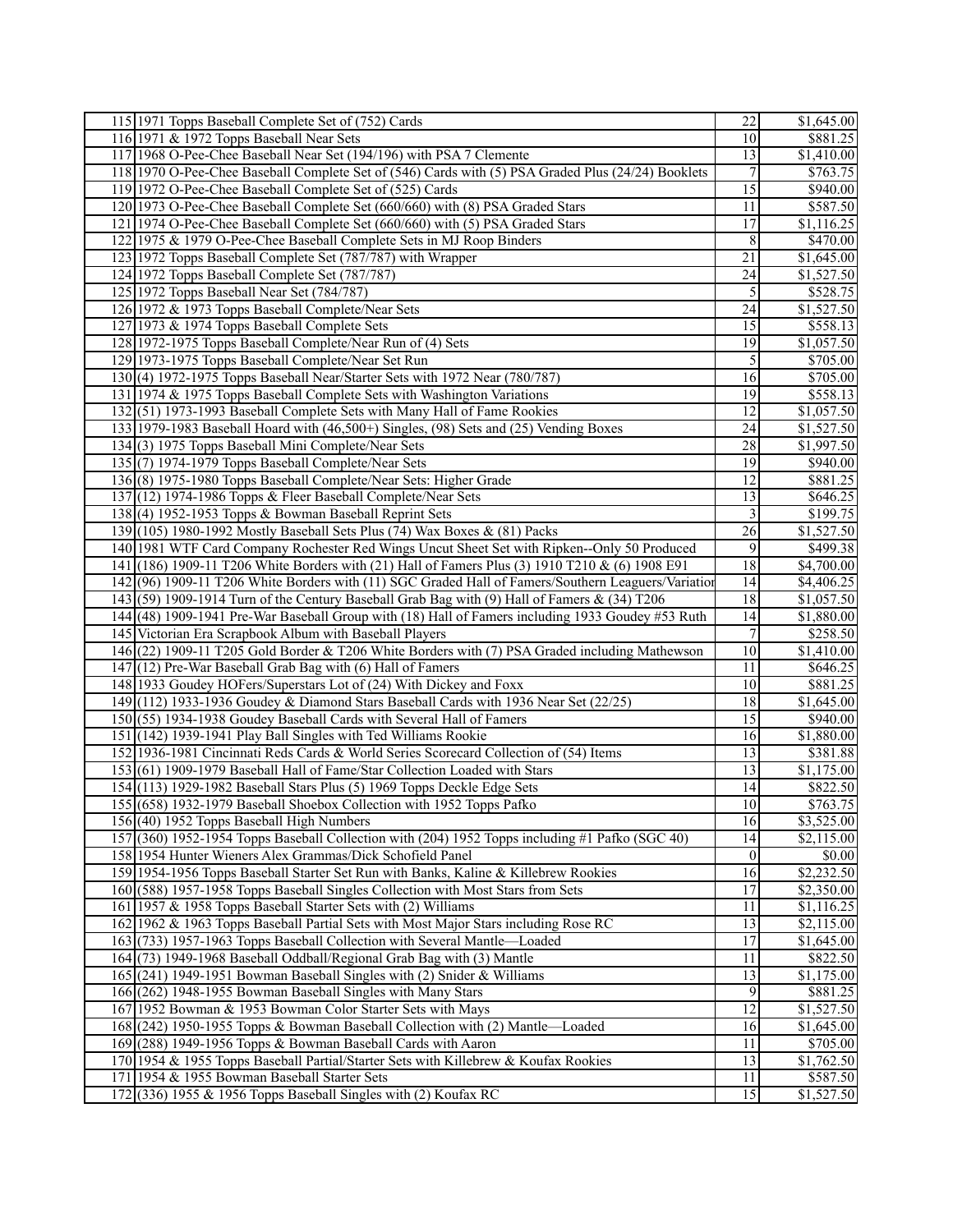|     | 115 1971 Topps Baseball Complete Set of (752) Cards                                                | 22                    | \$1,645.00             |
|-----|----------------------------------------------------------------------------------------------------|-----------------------|------------------------|
|     | 116 1971 & 1972 Topps Baseball Near Sets                                                           | $\overline{10}$       | \$881.25               |
|     | 117 1968 O-Pee-Chee Baseball Near Set (194/196) with PSA 7 Clemente                                | 13                    | \$1,410.00             |
|     | 118 1970 O-Pee-Chee Baseball Complete Set of (546) Cards with (5) PSA Graded Plus (24/24) Booklets | 7                     | \$763.75               |
|     | 119 1972 O-Pee-Chee Baseball Complete Set of (525) Cards                                           | $\overline{15}$       | \$940.00               |
|     | 120 1973 O-Pee-Chee Baseball Complete Set (660/660) with (8) PSA Graded Stars                      | 11                    | \$587.50               |
|     | 121 1974 O-Pee-Chee Baseball Complete Set (660/660) with (5) PSA Graded Stars                      | 17                    | \$1,116.25             |
|     | 122 1975 & 1979 O-Pee-Chee Baseball Complete Sets in MJ Roop Binders                               | 8                     | \$470.00               |
|     | 123 1972 Topps Baseball Complete Set (787/787) with Wrapper                                        | 21                    | \$1,645.00             |
|     | 124 1972 Topps Baseball Complete Set (787/787)                                                     | 24                    | \$1,527.50             |
|     | 125 1972 Topps Baseball Near Set (784/787)                                                         | 5                     | \$528.75               |
|     | 126 1972 & 1973 Topps Baseball Complete/Near Sets                                                  | $\overline{24}$       | \$1,527.50             |
|     | 127 1973 & 1974 Topps Baseball Complete Sets                                                       | 15                    | \$558.13               |
|     | 128 1972-1975 Topps Baseball Complete/Near Run of (4) Sets                                         | 19                    | \$1,057.50             |
|     | 129 1973-1975 Topps Baseball Complete/Near Set Run                                                 | 5                     | \$705.00               |
|     | 130(4) 1972-1975 Topps Baseball Near/Starter Sets with 1972 Near (780/787)                         | 16                    | \$705.00               |
|     | 131 1974 & 1975 Topps Baseball Complete Sets with Washington Variations                            | 19                    | \$558.13               |
|     | 132(51) 1973-1993 Baseball Complete Sets with Many Hall of Fame Rookies                            | 12                    | \$1,057.50             |
|     | 133 1979-1983 Baseball Hoard with (46,500+) Singles, (98) Sets and (25) Vending Boxes              | 24                    | \$1,527.50             |
|     | 134(3) 1975 Topps Baseball Mini Complete/Near Sets                                                 | $\overline{28}$       | \$1,997.50             |
|     | $135(7)$ 1974-1979 Topps Baseball Complete/Near Sets                                               | 19                    | \$940.00               |
|     | 136(8) 1975-1980 Topps Baseball Complete/Near Sets: Higher Grade                                   | 12                    | \$881.25               |
|     | 137(12) 1974-1986 Topps & Fleer Baseball Complete/Near Sets                                        | $\overline{13}$       | \$646.25               |
|     | 138(4) 1952-1953 Topps & Bowman Baseball Reprint Sets                                              | 3                     | $\overline{$199.75}$   |
|     | 139 (105) 1980-1992 Mostly Baseball Sets Plus (74) Wax Boxes & (81) Packs                          | $\overline{26}$       | \$1,527.50             |
|     | 140 1981 WTF Card Company Rochester Red Wings Uncut Sheet Set with Ripken--Only 50 Produced        | $\overline{9}$        | \$499.38               |
|     | 141 (186) 1909-11 T206 White Borders with (21) Hall of Famers Plus (3) 1910 T210 & (6) 1908 E91    | $\overline{18}$       | \$4,700.00             |
|     | 142(96) 1909-11 T206 White Borders with (11) SGC Graded Hall of Famers/Southern Leaguers/Variation | 14                    | \$4,406.25             |
|     | 143(59) 1909-1914 Turn of the Century Baseball Grab Bag with (9) Hall of Famers & $(34)$ T206      | $\overline{18}$       | \$1,057.50             |
|     | 144 (48) 1909-1941 Pre-War Baseball Group with (18) Hall of Famers including 1933 Goudey #53 Ruth  | 14                    | \$1,880.00             |
|     |                                                                                                    | 7                     |                        |
|     | 145 Victorian Era Scrapbook Album with Baseball Players                                            | 10                    | \$258.50               |
|     | 146 (22) 1909-11 T205 Gold Border & T206 White Borders with (7) PSA Graded including Mathewson     |                       | \$1,410.00             |
|     | 147 $(12)$ Pre-War Baseball Grab Bag with $(6)$ Hall of Famers                                     | 11                    | \$646.25               |
|     | 148 1933 Goudey HOFers/Superstars Lot of (24) With Dickey and Foxx                                 | 10                    | \$881.25               |
|     | 149 (112) 1933-1936 Goudey & Diamond Stars Baseball Cards with 1936 Near Set (22/25)               | 18<br>$\overline{15}$ | \$1,645.00<br>\$940.00 |
|     | 150 (55) 1934-1938 Goudey Baseball Cards with Several Hall of Famers                               |                       |                        |
|     | 151 (142) 1939-1941 Play Ball Singles with Ted Williams Rookie                                     | 16                    | \$1,880.00             |
|     | 152 1936-1981 Cincinnati Reds Cards & World Series Scorecard Collection of (54) Items              | 13                    | \$381.88               |
|     | 153(61) 1909-1979 Baseball Hall of Fame/Star Collection Loaded with Stars                          | 13                    | \$1,175.00             |
|     | 154 (113) 1929-1982 Baseball Stars Plus (5) 1969 Topps Deckle Edge Sets                            | 14                    | \$822.50               |
|     | 155 (658) 1932-1979 Baseball Shoebox Collection with 1952 Topps Pafko                              | 10 <sup>1</sup>       | \$763.75               |
|     | 156 (40) 1952 Topps Baseball High Numbers                                                          | 16                    | \$3,525.00             |
|     | 157 (360) 1952-1954 Topps Baseball Collection with (204) 1952 Topps including #1 Pafko (SGC 40)    | 14                    | \$2,115.00             |
|     | 158 1954 Hunter Wieners Alex Grammas/Dick Schofield Panel                                          | 0                     | \$0.00                 |
|     | 159 1954-1956 Topps Baseball Starter Set Run with Banks, Kaline & Killebrew Rookies                | 16                    | \$2,232.50             |
|     | 160 (588) 1957-1958 Topps Baseball Singles Collection with Most Stars from Sets                    | 17                    | \$2,350.00             |
|     | 161 1957 & 1958 Topps Baseball Starter Sets with (2) Williams                                      | 11                    | \$1,116.25             |
|     | 162 1962 & 1963 Topps Baseball Partial Sets with Most Major Stars including Rose RC                | $\overline{13}$       | \$2,115.00             |
|     | 163(733) 1957-1963 Topps Baseball Collection with Several Mantle—Loaded                            | 17                    | \$1,645.00             |
|     | 164(73) 1949-1968 Baseball Oddball/Regional Grab Bag with (3) Mantle                               | 11                    | \$822.50               |
|     | 165 (241) 1949-1951 Bowman Baseball Singles with (2) Snider & Williams                             | $\overline{13}$       | \$1,175.00             |
|     | 166 (262) 1948-1955 Bowman Baseball Singles with Many Stars                                        | 9                     | \$881.25               |
|     | 167 1952 Bowman & 1953 Bowman Color Starter Sets with Mays                                         | 12                    | \$1,527.50             |
|     | 168 (242) 1950-1955 Topps & Bowman Baseball Collection with (2) Mantle—Loaded                      | 16                    | \$1,645.00             |
|     | 169 (288) 1949-1956 Topps & Bowman Baseball Cards with Aaron                                       | 11                    | \$705.00               |
|     | 170 1954 & 1955 Topps Baseball Partial/Starter Sets with Killebrew & Koufax Rookies                | 13                    | \$1,762.50             |
|     | 171 1954 & 1955 Bowman Baseball Starter Sets                                                       | 11                    | \$587.50               |
| 172 | (336) 1955 & 1956 Topps Baseball Singles with $(2)$ Koufax RC                                      | $\overline{15}$       | \$1,527.50             |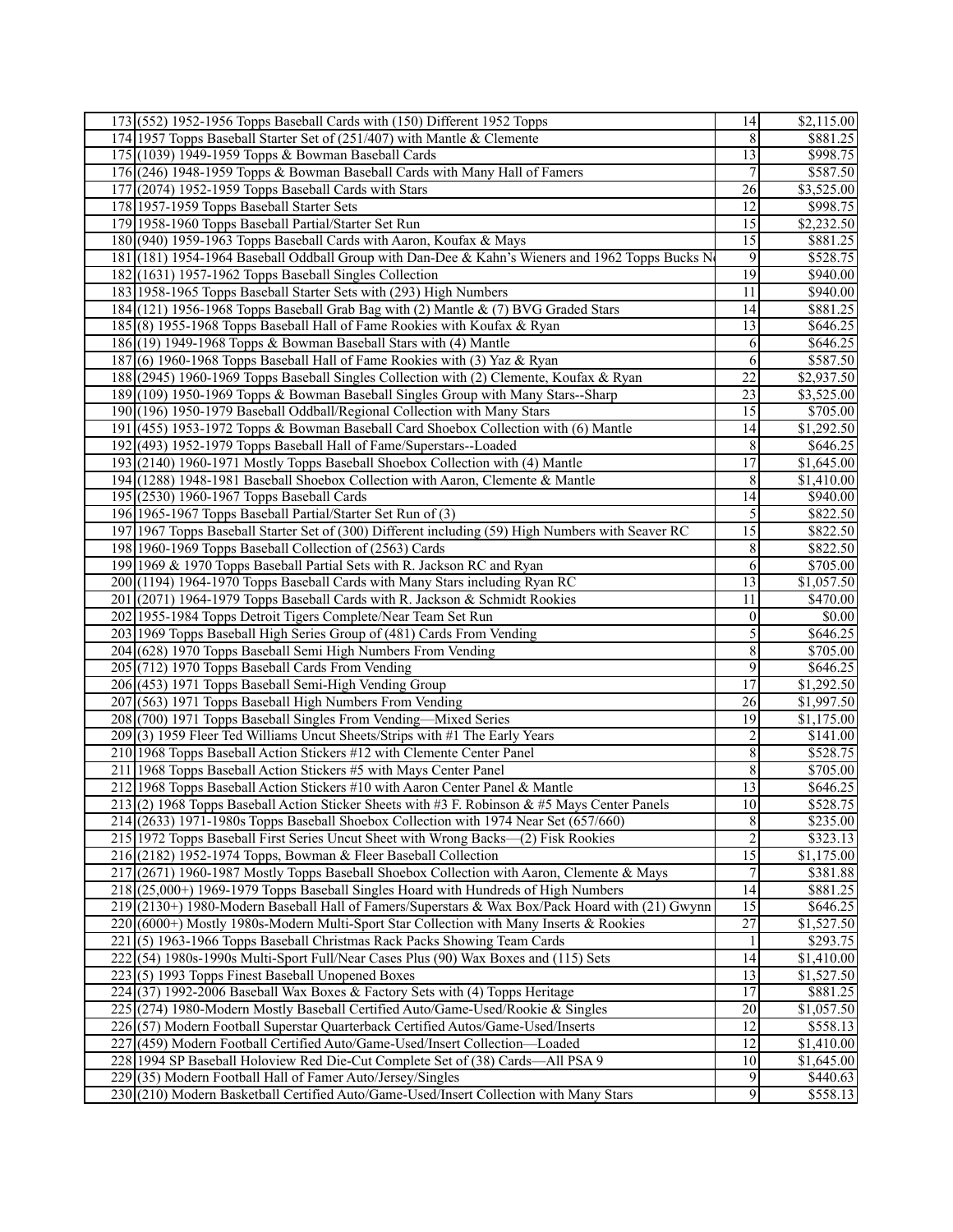| 173 (552) 1952-1956 Topps Baseball Cards with (150) Different 1952 Topps                                                               | 14                    | \$2,115.00            |
|----------------------------------------------------------------------------------------------------------------------------------------|-----------------------|-----------------------|
| 174 1957 Topps Baseball Starter Set of (251/407) with Mantle & Clemente                                                                | 8                     | \$881.25              |
| 175 (1039) 1949-1959 Topps & Bowman Baseball Cards                                                                                     | 13                    | \$998.75              |
| 176 (246) 1948-1959 Topps & Bowman Baseball Cards with Many Hall of Famers                                                             | $\boldsymbol{7}$      | \$587.50              |
| $177$ $(2074)$ 1952-1959 Topps Baseball Cards with Stars                                                                               | 26                    | \$3,525.00            |
| 178 1957-1959 Topps Baseball Starter Sets                                                                                              | 12                    | \$998.75              |
| 179 1958-1960 Topps Baseball Partial/Starter Set Run                                                                                   | 15                    | \$2,232.50            |
| 180 (940) 1959-1963 Topps Baseball Cards with Aaron, Koufax & Mays                                                                     | $\overline{15}$       | \$881.25              |
| 181 (181) 1954-1964 Baseball Oddball Group with Dan-Dee & Kahn's Wieners and 1962 Topps Bucks N                                        | 9                     | \$528.75              |
| 182 (1631) 1957-1962 Topps Baseball Singles Collection                                                                                 | $\overline{19}$       | \$940.00              |
| 183 1958-1965 Topps Baseball Starter Sets with (293) High Numbers                                                                      | 11                    | \$940.00              |
| 184 (121) 1956-1968 Topps Baseball Grab Bag with (2) Mantle & (7) BVG Graded Stars                                                     | 14                    | \$881.25              |
| 185(8) 1955-1968 Topps Baseball Hall of Fame Rookies with Koufax & Ryan                                                                | 13                    | \$646.25              |
| 186 (19) 1949-1968 Topps & Bowman Baseball Stars with (4) Mantle                                                                       | 6                     | \$646.25              |
| 187(6) 1960-1968 Topps Baseball Hall of Fame Rookies with (3) Yaz & Ryan                                                               | $\overline{6}$        | \$587.50              |
| 188 (2945) 1960-1969 Topps Baseball Singles Collection with (2) Clemente, Koufax & Ryan                                                | $\overline{22}$       | \$2,937.50            |
|                                                                                                                                        |                       |                       |
| 189 (109) 1950-1969 Topps & Bowman Baseball Singles Group with Many Stars--Sharp                                                       | 23                    | \$3,525.00            |
| 190 (196) 1950-1979 Baseball Oddball/Regional Collection with Many Stars                                                               | $\overline{15}$       | \$705.00              |
| 191 (455) 1953-1972 Topps & Bowman Baseball Card Shoebox Collection with (6) Mantle                                                    | 14                    | \$1,292.50            |
| 192 (493) 1952-1979 Topps Baseball Hall of Fame/Superstars--Loaded                                                                     | 8                     | \$646.25              |
| 193 (2140) 1960-1971 Mostly Topps Baseball Shoebox Collection with (4) Mantle                                                          | $\overline{17}$       | \$1,645.00            |
| 194 (1288) 1948-1981 Baseball Shoebox Collection with Aaron, Clemente & Mantle                                                         | 8                     | \$1,410.00            |
| 195 (2530) 1960-1967 Topps Baseball Cards                                                                                              | 14                    | \$940.00              |
| 196 1965-1967 Topps Baseball Partial/Starter Set Run of (3)                                                                            | 5                     | \$822.50              |
| 197 1967 Topps Baseball Starter Set of (300) Different including (59) High Numbers with Seaver RC                                      | $\overline{15}$       | \$822.50              |
| 198 1960-1969 Topps Baseball Collection of (2563) Cards                                                                                | $\,8\,$               | \$822.50              |
| 199 1969 & 1970 Topps Baseball Partial Sets with R. Jackson RC and Ryan                                                                | 6                     | \$705.00              |
| 200 (1194) 1964-1970 Topps Baseball Cards with Many Stars including Ryan RC                                                            | 13                    | \$1,057.50            |
| 201 (2071) 1964-1979 Topps Baseball Cards with R. Jackson & Schmidt Rookies                                                            | 11                    | \$470.00              |
| 202 1955-1984 Topps Detroit Tigers Complete/Near Team Set Run<br>203 1969 Topps Baseball High Series Group of (481) Cards From Vending | $\boldsymbol{0}$<br>5 | \$0.00<br>\$646.25    |
| 204 (628) 1970 Topps Baseball Semi High Numbers From Vending                                                                           | $\overline{8}$        | \$705.00              |
| 205 (712) 1970 Topps Baseball Cards From Vending                                                                                       | 9                     | \$646.25              |
| 206 (453) 1971 Topps Baseball Semi-High Vending Group                                                                                  | 17                    | \$1,292.50            |
| 207 (563) 1971 Topps Baseball High Numbers From Vending                                                                                | 26                    | \$1,997.50            |
| 208 (700) 1971 Topps Baseball Singles From Vending-Mixed Series                                                                        | 19                    | \$1,175.00            |
| 209 (3) 1959 Fleer Ted Williams Uncut Sheets/Strips with #1 The Early Years                                                            | $\overline{2}$        | \$141.00              |
| 210 1968 Topps Baseball Action Stickers #12 with Clemente Center Panel                                                                 | $\overline{8}$        | \$528.75              |
| 211 1968 Topps Baseball Action Stickers #5 with Mays Center Panel                                                                      | $\bf 8$               | \$705.00              |
| 212 1968 Topps Baseball Action Stickers #10 with Aaron Center Panel & Mantle                                                           | $\overline{13}$       | \$646.25              |
| 213 (2) 1968 Topps Baseball Action Sticker Sheets with #3 F. Robinson & #5 Mays Center Panels                                          | 10                    | \$528.75              |
| 214 (2633) 1971-1980s Topps Baseball Shoebox Collection with 1974 Near Set (657/660)                                                   | $\,8\,$               | \$235.00              |
| 215 1972 Topps Baseball First Series Uncut Sheet with Wrong Backs-(2) Fisk Rookies                                                     | $\overline{2}$        | \$323.13              |
| $216(2182)$ 1952-1974 Topps, Bowman & Fleer Baseball Collection                                                                        | $\overline{15}$       | \$1,175.00            |
| 217 (2671) 1960-1987 Mostly Topps Baseball Shoebox Collection with Aaron, Clemente & Mays                                              | $\boldsymbol{7}$      | \$381.88              |
| 218 (25,000+) 1969-1979 Topps Baseball Singles Hoard with Hundreds of High Numbers                                                     | 14                    | \$881.25              |
| 219 (2130+) 1980-Modern Baseball Hall of Famers/Superstars & Wax Box/Pack Hoard with (21) Gwynn                                        | 15                    | \$646.25              |
| 220 (6000+) Mostly 1980s-Modern Multi-Sport Star Collection with Many Inserts & Rookies                                                | $\overline{27}$       | $\overline{1,527.50}$ |
| 221 (5) 1963-1966 Topps Baseball Christmas Rack Packs Showing Team Cards                                                               | 1                     | \$293.75              |
| 222(54) 1980s-1990s Multi-Sport Full/Near Cases Plus (90) Wax Boxes and (115) Sets                                                     | 14                    | \$1,410.00            |
| 223(5) 1993 Topps Finest Baseball Unopened Boxes                                                                                       | 13                    | \$1,527.50            |
| 224(37) 1992-2006 Baseball Wax Boxes & Factory Sets with (4) Topps Heritage                                                            | 17                    | \$881.25              |
| 225 (274) 1980-Modern Mostly Baseball Certified Auto/Game-Used/Rookie & Singles                                                        | 20                    | \$1,057.50            |
| 226(57) Modern Football Superstar Quarterback Certified Autos/Game-Used/Inserts                                                        | 12                    | \$558.13              |
| 227 (459) Modern Football Certified Auto/Game-Used/Insert Collection-Loaded                                                            | 12                    | \$1,410.00            |
| 228 1994 SP Baseball Holoview Red Die-Cut Complete Set of (38) Cards—All PSA 9                                                         | 10                    | \$1,645.00            |
| 229 (35) Modern Football Hall of Famer Auto/Jersey/Singles                                                                             | $\overline{9}$        | \$440.63              |
| 230 (210) Modern Basketball Certified Auto/Game-Used/Insert Collection with Many Stars                                                 | $\overline{9}$        | \$558.13              |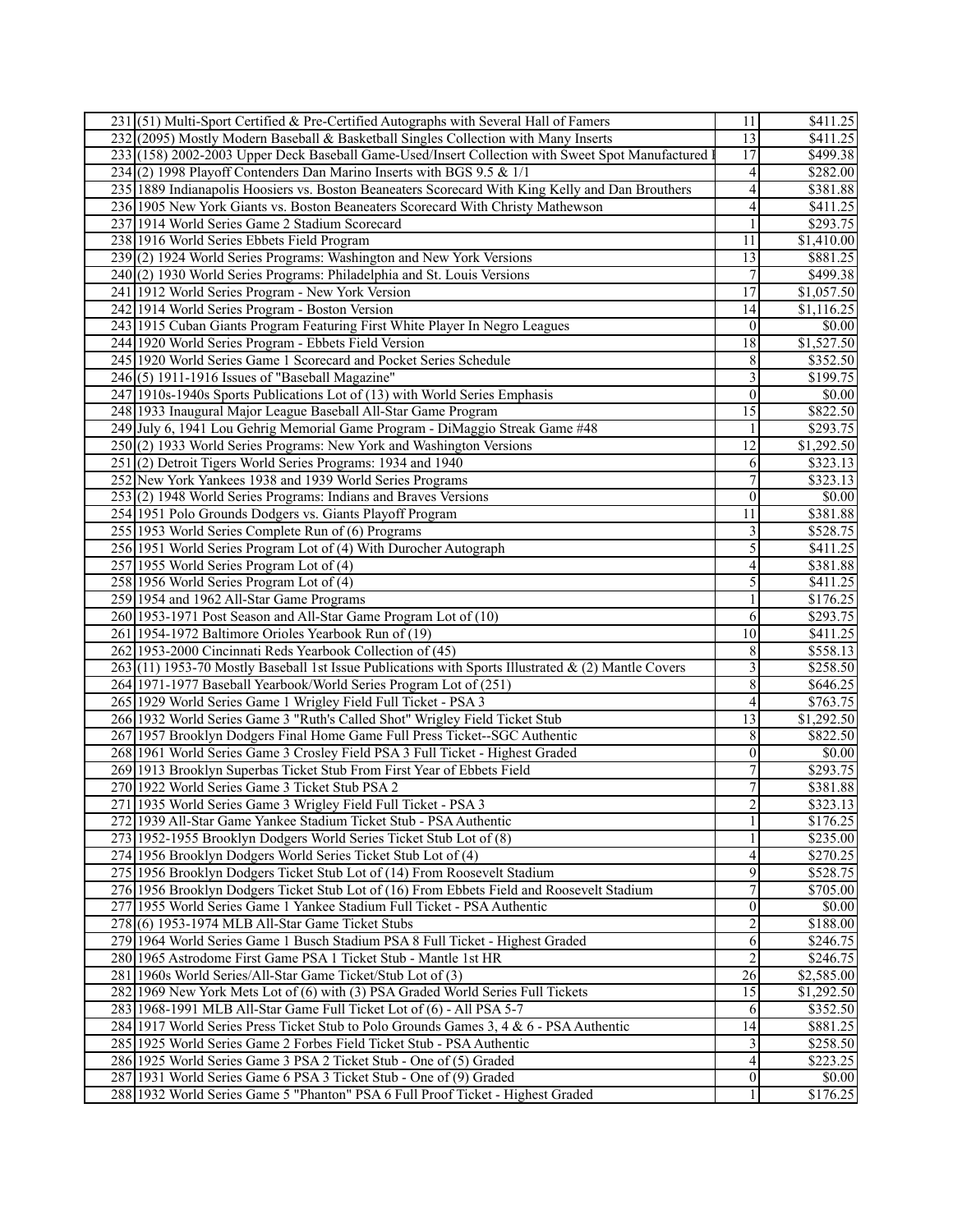| 231 (51) Multi-Sport Certified & Pre-Certified Autographs with Several Hall of Famers                | 11                      | \$411.25               |
|------------------------------------------------------------------------------------------------------|-------------------------|------------------------|
| 232 (2095) Mostly Modern Baseball & Basketball Singles Collection with Many Inserts                  | $\overline{13}$         | \$411.25               |
| 233 (158) 2002-2003 Upper Deck Baseball Game-Used/Insert Collection with Sweet Spot Manufactured     | $\overline{17}$         | \$499.38               |
| 234(2) 1998 Playoff Contenders Dan Marino Inserts with BGS 9.5 & 1/1                                 | 4                       | \$282.00               |
| 235   1889 Indianapolis Hoosiers vs. Boston Beaneaters Scorecard With King Kelly and Dan Brouthers   | 4                       | \$381.88               |
| 236 1905 New York Giants vs. Boston Beaneaters Scorecard With Christy Mathewson                      | 4                       | \$411.25               |
| 237 1914 World Series Game 2 Stadium Scorecard                                                       | $\mathbf{1}$            | \$293.75               |
| 238 1916 World Series Ebbets Field Program                                                           | 11                      | \$1,410.00             |
| 239(2) 1924 World Series Programs: Washington and New York Versions                                  | 13                      | \$881.25               |
| 240(2) 1930 World Series Programs: Philadelphia and St. Louis Versions                               | 7                       | \$499.38               |
|                                                                                                      | $\overline{17}$         | \$1,057.50             |
| 241 1912 World Series Program - New York Version                                                     |                         |                        |
| 242 1914 World Series Program - Boston Version                                                       | 14                      | $\overline{$1,116.25}$ |
| 243 1915 Cuban Giants Program Featuring First White Player In Negro Leagues                          | $\boldsymbol{0}$        | \$0.00                 |
| 244 1920 World Series Program - Ebbets Field Version                                                 | $\overline{18}$         | \$1,527.50             |
| 245 1920 World Series Game 1 Scorecard and Pocket Series Schedule                                    | $\,8\,$                 | \$352.50               |
| $246(5)$ 1911-1916 Issues of "Baseball Magazine"                                                     | 3                       | \$199.75               |
| 247 1910s-1940s Sports Publications Lot of (13) with World Series Emphasis                           | $\mathbf{0}$            | \$0.00                 |
| 248 1933 Inaugural Major League Baseball All-Star Game Program                                       | $\overline{15}$         | \$822.50               |
| 249 July 6, 1941 Lou Gehrig Memorial Game Program - DiMaggio Streak Game #48                         | $\mathbf{1}$            | \$293.75               |
| 250(2) 1933 World Series Programs: New York and Washington Versions                                  | $\overline{12}$         | \$1,292.50             |
| 251(2) Detroit Tigers World Series Programs: 1934 and 1940                                           | 6                       | \$323.13               |
| 252 New York Yankees 1938 and 1939 World Series Programs                                             | $\boldsymbol{7}$        | \$323.13               |
| $253(2)$ 1948 World Series Programs: Indians and Braves Versions                                     | $\mathbf{0}$            | \$0.00                 |
| 254 1951 Polo Grounds Dodgers vs. Giants Playoff Program                                             | 11                      | \$381.88               |
| 255 1953 World Series Complete Run of (6) Programs                                                   | 3                       | \$528.75               |
| 256 1951 World Series Program Lot of (4) With Durocher Autograph                                     | 5                       | \$411.25               |
| 257 1955 World Series Program Lot of (4)                                                             | $\overline{\mathbf{4}}$ | \$381.88               |
| 258 1956 World Series Program Lot of (4)                                                             | 5                       | \$411.25               |
| 259 1954 and 1962 All-Star Game Programs                                                             | 1                       | \$176.25               |
| 260 1953-1971 Post Season and All-Star Game Program Lot of (10)                                      | 6                       | \$293.75               |
| 261 1954-1972 Baltimore Orioles Yearbook Run of (19)                                                 | $\overline{10}$         | $\overline{$411.25}$   |
| 262 1953-2000 Cincinnati Reds Yearbook Collection of (45)                                            | 8                       | \$558.13               |
| $263(11)$ 1953-70 Mostly Baseball 1st Issue Publications with Sports Illustrated & (2) Mantle Covers | 3                       | \$258.50               |
| 264 1971-1977 Baseball Yearbook/World Series Program Lot of (251)                                    | 8                       | \$646.25               |
| 265 1929 World Series Game 1 Wrigley Field Full Ticket - PSA 3                                       | 4                       | \$763.75               |
| 266 1932 World Series Game 3 "Ruth's Called Shot" Wrigley Field Ticket Stub                          | $\overline{13}$         | \$1,292.50             |
| 267 1957 Brooklyn Dodgers Final Home Game Full Press Ticket--SGC Authentic                           | 8                       | $\overline{$822.50}$   |
| 268 1961 World Series Game 3 Crosley Field PSA 3 Full Ticket - Highest Graded                        | $\boldsymbol{0}$        | \$0.00                 |
| 269 1913 Brooklyn Superbas Ticket Stub From First Year of Ebbets Field                               | $\overline{7}$          | \$293.75               |
| 270 1922 World Series Game 3 Ticket Stub PSA 2                                                       | 7                       | \$381.88               |
| 271 1935 World Series Game 3 Wrigley Field Full Ticket - PSA 3                                       | $\overline{2}$          | \$323.13               |
| 272 1939 All-Star Game Yankee Stadium Ticket Stub - PSA Authentic                                    | $\mathbf{1}$            | \$176.25               |
| 273 1952-1955 Brooklyn Dodgers World Series Ticket Stub Lot of (8)                                   | $\mathbf{1}$            | \$235.00               |
| 274 1956 Brooklyn Dodgers World Series Ticket Stub Lot of (4)                                        | 4                       | \$270.25               |
| 275 1956 Brooklyn Dodgers Ticket Stub Lot of (14) From Roosevelt Stadium                             | 9                       | \$528.75               |
| 276 1956 Brooklyn Dodgers Ticket Stub Lot of (16) From Ebbets Field and Roosevelt Stadium            | 7                       | \$705.00               |
| 277 1955 World Series Game 1 Yankee Stadium Full Ticket - PSA Authentic                              | $\boldsymbol{0}$        | \$0.00                 |
| 278(6) 1953-1974 MLB All-Star Game Ticket Stubs                                                      | $\overline{c}$          | \$188.00               |
| 279 1964 World Series Game 1 Busch Stadium PSA 8 Full Ticket - Highest Graded                        | 6                       | \$246.75               |
| 280 1965 Astrodome First Game PSA 1 Ticket Stub - Mantle 1st HR                                      | $\overline{c}$          | \$246.75               |
| 281 1960s World Series/All-Star Game Ticket/Stub Lot of (3)                                          | 26                      | \$2,585.00             |
| 282 1969 New York Mets Lot of (6) with (3) PSA Graded World Series Full Tickets                      | 15                      | \$1,292.50             |
| 283 1968-1991 MLB All-Star Game Full Ticket Lot of (6) - All PSA 5-7                                 | 6                       | \$352.50               |
| 284 1917 World Series Press Ticket Stub to Polo Grounds Games 3, 4 & 6 - PSA Authentic               | 14                      | \$881.25               |
| 285 1925 World Series Game 2 Forbes Field Ticket Stub - PSA Authentic                                | 3                       | \$258.50               |
| 286 1925 World Series Game 3 PSA 2 Ticket Stub - One of (5) Graded                                   | 4                       | \$223.25               |
| 287 1931 World Series Game 6 PSA 3 Ticket Stub - One of (9) Graded                                   | $\vert 0 \vert$         | \$0.00                 |
| 288 1932 World Series Game 5 "Phanton" PSA 6 Full Proof Ticket - Highest Graded                      | 1                       | \$176.25               |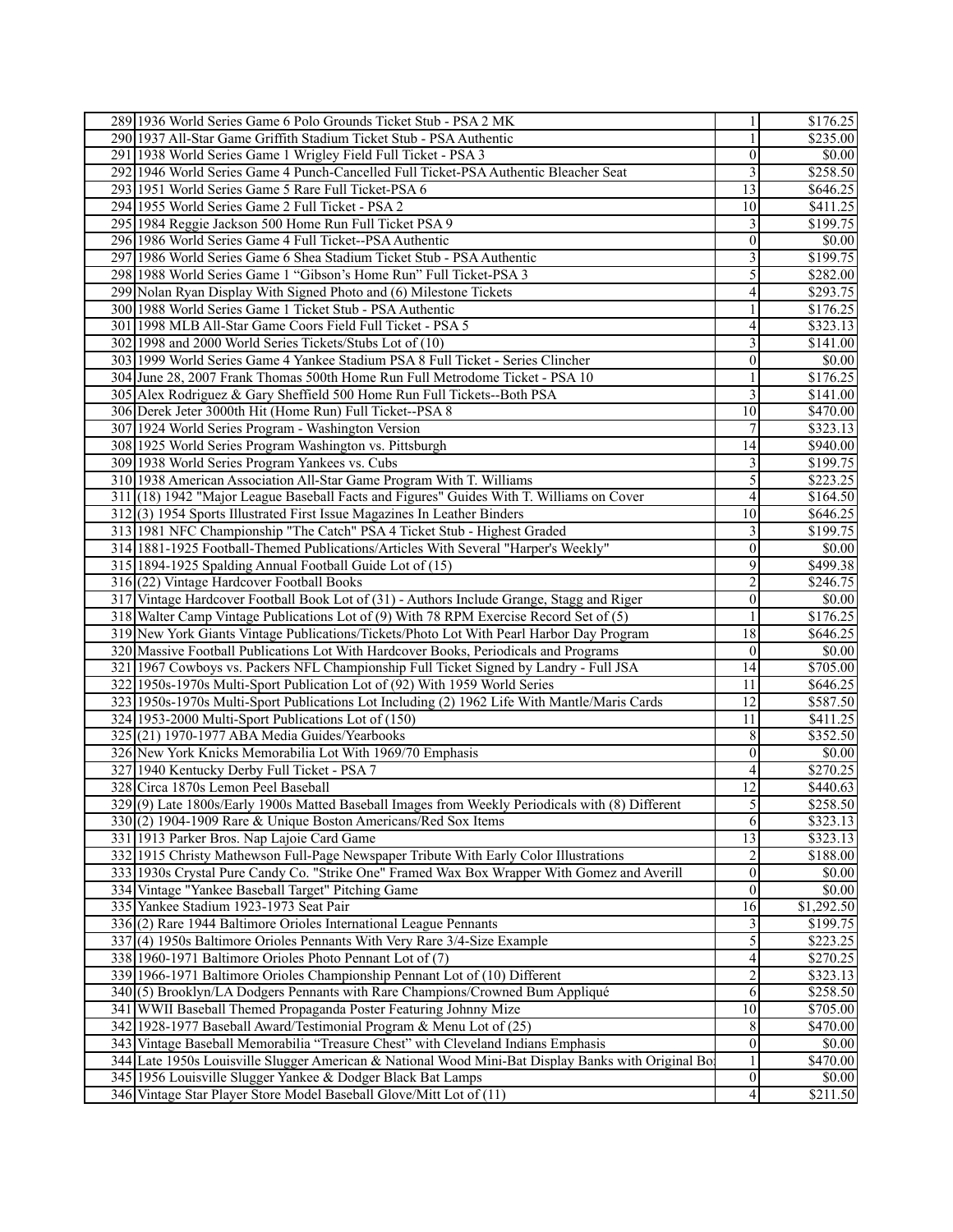| 289 1936 World Series Game 6 Polo Grounds Ticket Stub - PSA 2 MK                                   | $\mathbf{1}$             | \$176.25             |
|----------------------------------------------------------------------------------------------------|--------------------------|----------------------|
| 290 1937 All-Star Game Griffith Stadium Ticket Stub - PSA Authentic                                | $\mathbf{1}$             | \$235.00             |
| 291 1938 World Series Game 1 Wrigley Field Full Ticket - PSA 3                                     | $\boldsymbol{0}$         | \$0.00               |
| 292 1946 World Series Game 4 Punch-Cancelled Full Ticket-PSA Authentic Bleacher Seat               | 3                        | \$258.50             |
| 293 1951 World Series Game 5 Rare Full Ticket-PSA 6                                                | $\overline{13}$          | \$646.25             |
| 294 1955 World Series Game 2 Full Ticket - PSA 2                                                   | 10                       | \$411.25             |
| 295 1984 Reggie Jackson 500 Home Run Full Ticket PSA 9                                             | 3                        | \$199.75             |
| 296 1986 World Series Game 4 Full Ticket--PSA Authentic                                            | $\boldsymbol{0}$         | \$0.00               |
| 297 1986 World Series Game 6 Shea Stadium Ticket Stub - PSA Authentic                              | 3                        | \$199.75             |
| 298 1988 World Series Game 1 "Gibson's Home Run" Full Ticket-PSA 3                                 | 5                        | \$282.00             |
| 299 Nolan Ryan Display With Signed Photo and (6) Milestone Tickets                                 | 4                        | \$293.75             |
| 300 1988 World Series Game 1 Ticket Stub - PSA Authentic                                           | $\mathbf{1}$             | \$176.25             |
| 301 1998 MLB All-Star Game Coors Field Full Ticket - PSA 5                                         | 4                        | \$323.13             |
| 302 1998 and 2000 World Series Tickets/Stubs Lot of (10)                                           | 3                        | \$141.00             |
| 303 1999 World Series Game 4 Yankee Stadium PSA 8 Full Ticket - Series Clincher                    | $\vert 0 \vert$          | \$0.00               |
|                                                                                                    |                          |                      |
| 304 June 28, 2007 Frank Thomas 500th Home Run Full Metrodome Ticket - PSA 10                       | 1                        | \$176.25             |
| 305 Alex Rodriguez & Gary Sheffield 500 Home Run Full Tickets--Both PSA                            | 3                        | \$141.00             |
| 306 Derek Jeter 3000th Hit (Home Run) Full Ticket--PSA 8                                           | 10                       | \$470.00             |
| 307 1924 World Series Program - Washington Version                                                 | 7                        | \$323.13             |
| 308 1925 World Series Program Washington vs. Pittsburgh                                            | 14                       | \$940.00             |
| 309 1938 World Series Program Yankees vs. Cubs                                                     | 3                        | \$199.75             |
| 310 1938 American Association All-Star Game Program With T. Williams                               | 5                        | \$223.25             |
| 311 (18) 1942 "Major League Baseball Facts and Figures" Guides With T. Williams on Cover           | $\overline{\mathcal{A}}$ | \$164.50             |
| 312(3) 1954 Sports Illustrated First Issue Magazines In Leather Binders                            | $\overline{10}$          | \$646.25             |
| 313 1981 NFC Championship "The Catch" PSA 4 Ticket Stub - Highest Graded                           | 3                        | \$199.75             |
| 314 1881-1925 Football-Themed Publications/Articles With Several "Harper's Weekly"                 | $\boldsymbol{0}$         | \$0.00               |
| 315 1894-1925 Spalding Annual Football Guide Lot of (15)                                           | 9                        | \$499.38             |
| 316 (22) Vintage Hardcover Football Books                                                          | $\overline{c}$           | \$246.75             |
| 317 Vintage Hardcover Football Book Lot of (31) - Authors Include Grange, Stagg and Riger          | $\boldsymbol{0}$         | $\overline{$}0.00$   |
| 318 Walter Camp Vintage Publications Lot of (9) With 78 RPM Exercise Record Set of (5)             | $\mathbf{1}$             | \$176.25             |
| 319 New York Giants Vintage Publications/Tickets/Photo Lot With Pearl Harbor Day Program           | 18                       | \$646.25             |
| 320 Massive Football Publications Lot With Hardcover Books, Periodicals and Programs               | $\boldsymbol{0}$         | \$0.00               |
| 321 1967 Cowboys vs. Packers NFL Championship Full Ticket Signed by Landry - Full JSA              | 14                       | \$705.00             |
| 322 1950s-1970s Multi-Sport Publication Lot of (92) With 1959 World Series                         | 11                       | \$646.25             |
| 323 1950s-1970s Multi-Sport Publications Lot Including (2) 1962 Life With Mantle/Maris Cards       | $\overline{12}$          | \$587.50             |
| 324 1953-2000 Multi-Sport Publications Lot of (150)                                                | 11                       | \$411.25             |
| $325(21)$ 1970-1977 ABA Media Guides/Yearbooks                                                     | 8                        | \$352.50             |
| 326 New York Knicks Memorabilia Lot With 1969/70 Emphasis                                          | $\boldsymbol{0}$         | \$0.00               |
| 327 1940 Kentucky Derby Full Ticket - PSA 7                                                        |                          | \$270.25             |
|                                                                                                    | 4                        |                      |
| 328 Circa 1870s Lemon Peel Baseball                                                                | $\overline{12}$          | \$440.63             |
| 329(9) Late 1800s/Early 1900s Matted Baseball Images from Weekly Periodicals with (8) Different    | $\mathfrak{S}$           | \$258.50             |
| 330(2) 1904-1909 Rare & Unique Boston Americans/Red Sox Items                                      | 6                        | \$323.13             |
| 331 1913 Parker Bros. Nap Lajoie Card Game                                                         | $\overline{13}$          | $\overline{$323.13}$ |
| 332 1915 Christy Mathewson Full-Page Newspaper Tribute With Early Color Illustrations              | 2                        | \$188.00             |
| 333 1930s Crystal Pure Candy Co. "Strike One" Framed Wax Box Wrapper With Gomez and Averill        | $\boldsymbol{0}$         | \$0.00               |
| 334 Vintage "Yankee Baseball Target" Pitching Game                                                 | $\vert 0 \vert$          | \$0.00               |
| 335 Yankee Stadium 1923-1973 Seat Pair                                                             | 16                       | \$1,292.50           |
| 336(2) Rare 1944 Baltimore Orioles International League Pennants                                   | 3                        | \$199.75             |
| 337(4) 1950s Baltimore Orioles Pennants With Very Rare 3/4-Size Example                            | 5                        | \$223.25             |
| 338 1960-1971 Baltimore Orioles Photo Pennant Lot of (7)                                           | 4                        | \$270.25             |
| 339 1966-1971 Baltimore Orioles Championship Pennant Lot of (10) Different                         | $\overline{c}$           | \$323.13             |
| 340(5) Brooklyn/LA Dodgers Pennants with Rare Champions/Crowned Bum Appliqué                       | 6                        | \$258.50             |
| 341 WWII Baseball Themed Propaganda Poster Featuring Johnny Mize                                   | 10                       | \$705.00             |
| 342 1928-1977 Baseball Award/Testimonial Program & Menu Lot of (25)                                | $\,8\,$                  | \$470.00             |
| 343 Vintage Baseball Memorabilia "Treasure Chest" with Cleveland Indians Emphasis                  | $\vert 0 \vert$          | \$0.00               |
| 344 Late 1950s Louisville Slugger American & National Wood Mini-Bat Display Banks with Original Bo | $\mathbf{1}$             | \$470.00             |
| 345 1956 Louisville Slugger Yankee & Dodger Black Bat Lamps                                        | $\vert 0 \vert$          | \$0.00               |
| 346 Vintage Star Player Store Model Baseball Glove/Mitt Lot of (11)                                | 4                        | \$211.50             |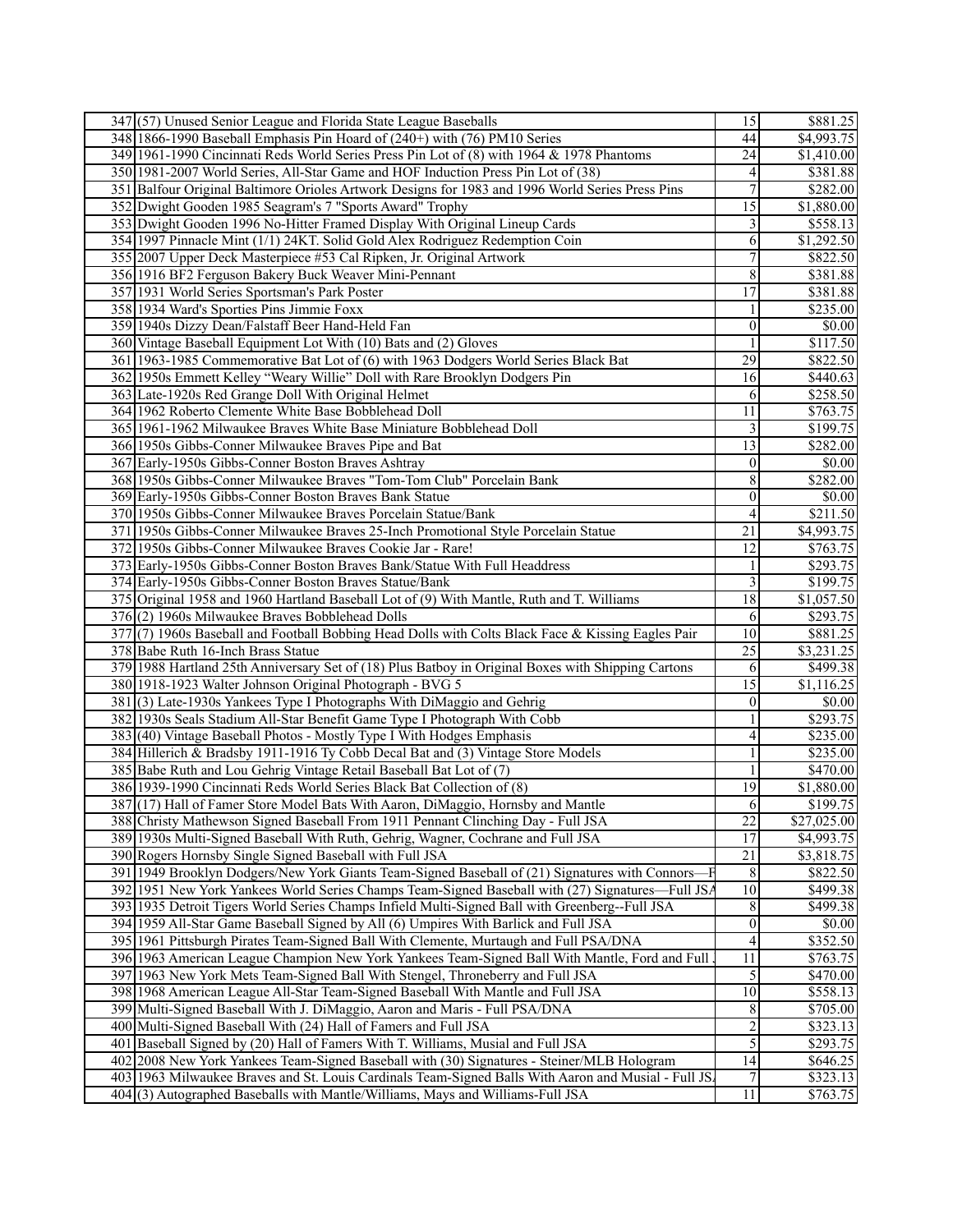| 347(57) Unused Senior League and Florida State League Baseballs                                                                                                                                    | 15                               | \$881.25             |
|----------------------------------------------------------------------------------------------------------------------------------------------------------------------------------------------------|----------------------------------|----------------------|
| 348 1866-1990 Baseball Emphasis Pin Hoard of (240+) with (76) PM10 Series                                                                                                                          | 44                               | \$4,993.75           |
| 349 1961-1990 Cincinnati Reds World Series Press Pin Lot of (8) with 1964 & 1978 Phantoms                                                                                                          | 24                               | \$1,410.00           |
| 350 1981-2007 World Series, All-Star Game and HOF Induction Press Pin Lot of (38)                                                                                                                  | 4                                | \$381.88             |
| 351 Balfour Original Baltimore Orioles Artwork Designs for 1983 and 1996 World Series Press Pins                                                                                                   | $\sqrt{ }$                       | \$282.00             |
| 352 Dwight Gooden 1985 Seagram's 7 "Sports Award" Trophy                                                                                                                                           | $\overline{15}$                  | \$1,880.00           |
| 353 Dwight Gooden 1996 No-Hitter Framed Display With Original Lineup Cards                                                                                                                         | 3                                | \$558.13             |
| 354 1997 Pinnacle Mint (1/1) 24KT. Solid Gold Alex Rodriguez Redemption Coin                                                                                                                       | 6                                | \$1,292.50           |
| 355 2007 Upper Deck Masterpiece #53 Cal Ripken, Jr. Original Artwork                                                                                                                               | 7                                | \$822.50             |
| 356 1916 BF2 Ferguson Bakery Buck Weaver Mini-Pennant                                                                                                                                              | 8                                | \$381.88             |
|                                                                                                                                                                                                    | 17                               | \$381.88             |
| 357 1931 World Series Sportsman's Park Poster                                                                                                                                                      |                                  |                      |
| 358 1934 Ward's Sporties Pins Jimmie Foxx                                                                                                                                                          | 1                                | \$235.00             |
| 359 1940s Dizzy Dean/Falstaff Beer Hand-Held Fan                                                                                                                                                   | $\boldsymbol{0}$                 | \$0.00               |
| 360 Vintage Baseball Equipment Lot With (10) Bats and (2) Gloves                                                                                                                                   | $\mathbf{1}$                     | \$117.50             |
| 361 1963-1985 Commemorative Bat Lot of (6) with 1963 Dodgers World Series Black Bat                                                                                                                | 29                               | \$822.50             |
| 362 1950s Emmett Kelley "Weary Willie" Doll with Rare Brooklyn Dodgers Pin                                                                                                                         | 16                               | \$440.63             |
| 363 Late-1920s Red Grange Doll With Original Helmet                                                                                                                                                | 6                                | \$258.50             |
| 364 1962 Roberto Clemente White Base Bobblehead Doll                                                                                                                                               | $\overline{11}$                  | \$763.75             |
| 365 1961-1962 Milwaukee Braves White Base Miniature Bobblehead Doll                                                                                                                                | 3                                | $\overline{$199.75}$ |
| 366 1950s Gibbs-Conner Milwaukee Braves Pipe and Bat                                                                                                                                               | $\overline{13}$                  | \$282.00             |
| 367 Early-1950s Gibbs-Conner Boston Braves Ashtray                                                                                                                                                 | $\boldsymbol{0}$                 | \$0.00               |
| 368 1950s Gibbs-Conner Milwaukee Braves "Tom-Tom Club" Porcelain Bank                                                                                                                              | 8                                | \$282.00             |
| 369 Early-1950s Gibbs-Conner Boston Braves Bank Statue                                                                                                                                             | $\mathbf{0}$                     | \$0.00               |
| 370 1950s Gibbs-Conner Milwaukee Braves Porcelain Statue/Bank                                                                                                                                      | $\overline{4}$                   | $\overline{$}211.50$ |
| 371 1950s Gibbs-Conner Milwaukee Braves 25-Inch Promotional Style Porcelain Statue                                                                                                                 | $\overline{21}$                  | \$4,993.75           |
| 372 1950s Gibbs-Conner Milwaukee Braves Cookie Jar - Rare!                                                                                                                                         | $\overline{12}$                  | \$763.75             |
| 373 Early-1950s Gibbs-Conner Boston Braves Bank/Statue With Full Headdress                                                                                                                         | $\mathbf{1}$                     | \$293.75             |
| 374 Early-1950s Gibbs-Conner Boston Braves Statue/Bank                                                                                                                                             | $\overline{\mathbf{3}}$          | \$199.75             |
| 375 Original 1958 and 1960 Hartland Baseball Lot of (9) With Mantle, Ruth and T. Williams                                                                                                          | 18                               | \$1,057.50           |
| 376(2) 1960s Milwaukee Braves Bobblehead Dolls                                                                                                                                                     | 6                                | \$293.75             |
| 377(7) 1960s Baseball and Football Bobbing Head Dolls with Colts Black Face & Kissing Eagles Pair                                                                                                  | $\overline{10}$                  | \$881.25             |
| 378 Babe Ruth 16-Inch Brass Statue                                                                                                                                                                 | $\overline{25}$                  | \$3,231.25           |
| 379 1988 Hartland 25th Anniversary Set of (18) Plus Batboy in Original Boxes with Shipping Cartons                                                                                                 | 6                                | \$499.38             |
| 380 1918-1923 Walter Johnson Original Photograph - BVG 5                                                                                                                                           |                                  |                      |
|                                                                                                                                                                                                    | $\overline{15}$                  | \$1,116.25           |
| 381(3) Late-1930s Yankees Type I Photographs With DiMaggio and Gehrig                                                                                                                              | $\boldsymbol{0}$                 | \$0.00               |
| 382 1930s Seals Stadium All-Star Benefit Game Type I Photograph With Cobb                                                                                                                          | $\mathbf{1}$                     | \$293.75             |
| 383(40) Vintage Baseball Photos - Mostly Type I With Hodges Emphasis                                                                                                                               | 4                                | \$235.00             |
| 384 Hillerich & Bradsby 1911-1916 Ty Cobb Decal Bat and (3) Vintage Store Models                                                                                                                   | $\mathbf{1}$                     | \$235.00             |
| 385 Babe Ruth and Lou Gehrig Vintage Retail Baseball Bat Lot of (7)                                                                                                                                | 1                                | \$470.00             |
| 386 1939-1990 Cincinnati Reds World Series Black Bat Collection of (8)                                                                                                                             | 19                               | \$1,880.00           |
| 387 (17) Hall of Famer Store Model Bats With Aaron, DiMaggio, Hornsby and Mantle                                                                                                                   | 6                                | \$199.75             |
| 388 Christy Mathewson Signed Baseball From 1911 Pennant Clinching Day - Full JSA                                                                                                                   | $\overline{22}$                  | \$27,025.00          |
| 389 1930s Multi-Signed Baseball With Ruth, Gehrig, Wagner, Cochrane and Full JSA                                                                                                                   | $\overline{17}$                  | \$4,993.75           |
| 390 Rogers Hornsby Single Signed Baseball with Full JSA                                                                                                                                            | $\overline{21}$                  | \$3,818.75           |
| 391 1949 Brooklyn Dodgers/New York Giants Team-Signed Baseball of (21) Signatures with Connors-                                                                                                    | $\,8\,$                          | \$822.50             |
|                                                                                                                                                                                                    | 10                               |                      |
| 392 1951 New York Yankees World Series Champs Team-Signed Baseball with (27) Signatures—Full JSA<br>393 1935 Detroit Tigers World Series Champs Infield Multi-Signed Ball with Greenberg--Full JSA | 8                                | \$499.38<br>\$499.38 |
|                                                                                                                                                                                                    | $\boldsymbol{0}$                 | \$0.00               |
| 394 1959 All-Star Game Baseball Signed by All (6) Umpires With Barlick and Full JSA<br>395 1961 Pittsburgh Pirates Team-Signed Ball With Clemente, Murtaugh and Full PSA/DNA                       | 4                                | \$352.50             |
| 396 1963 American League Champion New York Yankees Team-Signed Ball With Mantle, Ford and Full                                                                                                     | 11                               | \$763.75             |
|                                                                                                                                                                                                    |                                  | \$470.00             |
| 397 1963 New York Mets Team-Signed Ball With Stengel, Throneberry and Full JSA<br>398 1968 American League All-Star Team-Signed Baseball With Mantle and Full JSA                                  | $\sqrt{5}$<br>10                 | \$558.13             |
| 399 Multi-Signed Baseball With J. DiMaggio, Aaron and Maris - Full PSA/DNA                                                                                                                         | $\,8$                            |                      |
|                                                                                                                                                                                                    |                                  | \$705.00             |
| 400 Multi-Signed Baseball With (24) Hall of Famers and Full JSA                                                                                                                                    | $\overline{2}$<br>$\overline{5}$ | \$323.13<br>\$293.75 |
| 401 Baseball Signed by (20) Hall of Famers With T. Williams, Musial and Full JSA<br>402 2008 New York Yankees Team-Signed Baseball with (30) Signatures - Steiner/MLB Hologram                     | 14                               | \$646.25             |
| 403 1963 Milwaukee Braves and St. Louis Cardinals Team-Signed Balls With Aaron and Musial - Full JS.                                                                                               | $\boldsymbol{7}$                 | \$323.13             |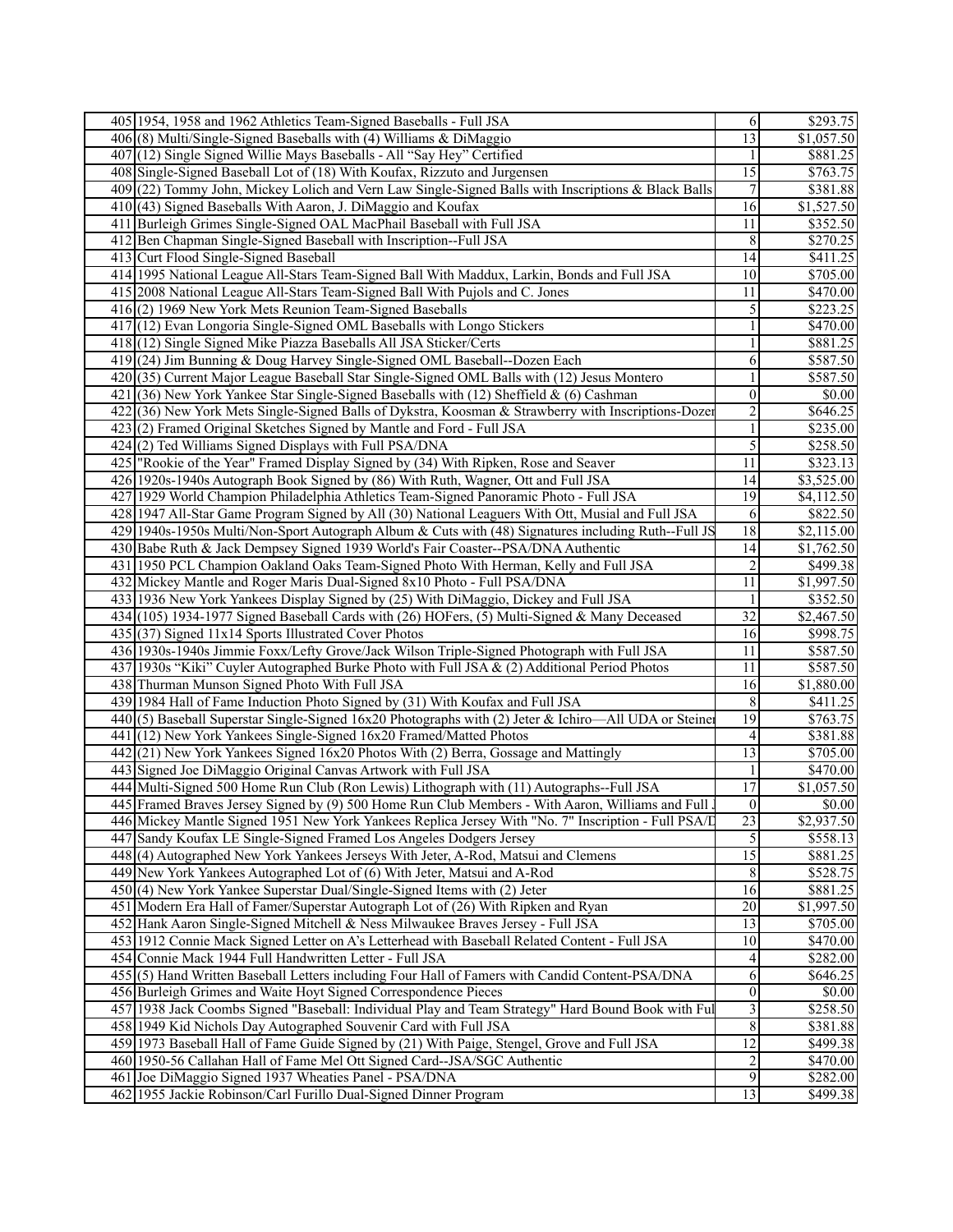|     | 405 1954, 1958 and 1962 Athletics Team-Signed Baseballs - Full JSA                                  | 6                       | \$293.75               |
|-----|-----------------------------------------------------------------------------------------------------|-------------------------|------------------------|
|     | $406(8)$ Multi/Single-Signed Baseballs with (4) Williams & DiMaggio                                 | $\overline{13}$         | $\overline{$1,057.50}$ |
|     | 407 (12) Single Signed Willie Mays Baseballs - All "Say Hey" Certified                              |                         | \$881.25               |
|     | 408 Single-Signed Baseball Lot of (18) With Koufax, Rizzuto and Jurgensen                           | $\overline{15}$         | \$763.75               |
|     | 409 (22) Tommy John, Mickey Lolich and Vern Law Single-Signed Balls with Inscriptions & Black Balls | $\tau$                  | \$381.88               |
|     | 410 (43) Signed Baseballs With Aaron, J. DiMaggio and Koufax                                        | $\overline{16}$         | \$1,527.50             |
|     | 411 Burleigh Grimes Single-Signed OAL MacPhail Baseball with Full JSA                               | 11                      | \$352.50               |
| 412 | Ben Chapman Single-Signed Baseball with Inscription--Full JSA                                       | 8                       | \$270.25               |
|     | 413 Curt Flood Single-Signed Baseball                                                               | 14                      | \$411.25               |
|     | 414 1995 National League All-Stars Team-Signed Ball With Maddux, Larkin, Bonds and Full JSA         | 10                      | \$705.00               |
|     | 415 2008 National League All-Stars Team-Signed Ball With Pujols and C. Jones                        | 11                      | \$470.00               |
|     | 416(2) 1969 New York Mets Reunion Team-Signed Baseballs                                             | 5                       | \$223.25               |
|     | 417 (12) Evan Longoria Single-Signed OML Baseballs with Longo Stickers                              | $\mathbf{1}$            | \$470.00               |
|     |                                                                                                     |                         |                        |
|     | 418 (12) Single Signed Mike Piazza Baseballs All JSA Sticker/Certs                                  | $\mathbf{1}$            | \$881.25               |
|     | 419 (24) Jim Bunning & Doug Harvey Single-Signed OML Baseball--Dozen Each                           | 6                       | \$587.50               |
|     | 420(35) Current Major League Baseball Star Single-Signed OML Balls with (12) Jesus Montero          | 1                       | \$587.50               |
| 421 | $(36)$ New York Yankee Star Single-Signed Baseballs with (12) Sheffield & (6) Cashman               | $\boldsymbol{0}$        | \$0.00                 |
|     | 422(36) New York Mets Single-Signed Balls of Dykstra, Koosman & Strawberry with Inscriptions-Dozen  | $\overline{2}$          | \$646.25               |
|     | 423(2) Framed Original Sketches Signed by Mantle and Ford - Full JSA                                | $\mathbf{1}$            | \$235.00               |
|     | 424(2) Ted Williams Signed Displays with Full PSA/DNA                                               | 5                       | \$258.50               |
|     | 425 "Rookie of the Year" Framed Display Signed by (34) With Ripken, Rose and Seaver                 | 11                      | \$323.13               |
|     | 426 1920s-1940s Autograph Book Signed by (86) With Ruth, Wagner, Ott and Full JSA                   | 14                      | \$3,525.00             |
|     | 427 1929 World Champion Philadelphia Athletics Team-Signed Panoramic Photo - Full JSA               | $\overline{19}$         | \$4,112.50             |
|     | 428 1947 All-Star Game Program Signed by All (30) National Leaguers With Ott, Musial and Full JSA   | 6                       | \$822.50               |
|     | 429 1940s-1950s Multi/Non-Sport Autograph Album & Cuts with (48) Signatures including Ruth--Full JS | 18                      | \$2,115.00             |
|     | 430 Babe Ruth & Jack Dempsey Signed 1939 World's Fair Coaster--PSA/DNA Authentic                    | 14                      | \$1,762.50             |
| 431 | 1950 PCL Champion Oakland Oaks Team-Signed Photo With Herman, Kelly and Full JSA                    | $\overline{c}$          | \$499.38               |
|     | 432 Mickey Mantle and Roger Maris Dual-Signed 8x10 Photo - Full PSA/DNA                             | 11                      | \$1,997.50             |
|     | 433 1936 New York Yankees Display Signed by (25) With DiMaggio, Dickey and Full JSA                 | 1                       | \$352.50               |
|     | 434 (105) 1934-1977 Signed Baseball Cards with (26) HOFers, (5) Multi-Signed & Many Deceased        | $\overline{32}$         | \$2,467.50             |
|     | 435(37) Signed 11x14 Sports Illustrated Cover Photos                                                | 16                      | \$998.75               |
|     | 436 1930s-1940s Jimmie Foxx/Lefty Grove/Jack Wilson Triple-Signed Photograph with Full JSA          | 11                      | \$587.50               |
|     | 437 1930s "Kiki" Cuyler Autographed Burke Photo with Full JSA & (2) Additional Period Photos        | 11                      | \$587.50               |
|     | 438 Thurman Munson Signed Photo With Full JSA                                                       | 16                      | \$1,880.00             |
|     | 439 1984 Hall of Fame Induction Photo Signed by (31) With Koufax and Full JSA                       | $\,8\,$                 | \$411.25               |
|     | 440(5) Baseball Superstar Single-Signed 16x20 Photographs with (2) Jeter & Ichiro—All UDA or Steine | 19                      | \$763.75               |
|     | 441 (12) New York Yankees Single-Signed 16x20 Framed/Matted Photos                                  | 4                       | \$381.88               |
|     | 442(21) New York Yankees Signed 16x20 Photos With (2) Berra, Gossage and Mattingly                  | 13                      | \$705.00               |
|     | 443 Signed Joe DiMaggio Original Canvas Artwork with Full JSA                                       | 1                       | \$470.00               |
|     | 444 Multi-Signed 500 Home Run Club (Ron Lewis) Lithograph with (11) Autographs--Full JSA            | $\overline{17}$         | \$1,057.50             |
|     | 445 Framed Braves Jersey Signed by (9) 500 Home Run Club Members - With Aaron, Williams and Full.   | $\vert 0 \vert$         | \$0.00                 |
|     | 446 Mickey Mantle Signed 1951 New York Yankees Replica Jersey With "No. 7" Inscription - Full PSA/I | 23                      | \$2,937.50             |
|     | 447 Sandy Koufax LE Single-Signed Framed Los Angeles Dodgers Jersey                                 | 5                       | \$558.13               |
|     | 448 (4) Autographed New York Yankees Jerseys With Jeter, A-Rod, Matsui and Clemens                  | $\overline{15}$         | \$881.25               |
|     | 449 New York Yankees Autographed Lot of (6) With Jeter, Matsui and A-Rod                            | 8 <sup>1</sup>          | \$528.75               |
|     | 450(4) New York Yankee Superstar Dual/Single-Signed Items with (2) Jeter                            | 16                      | \$881.25               |
|     | 451 Modern Era Hall of Famer/Superstar Autograph Lot of (26) With Ripken and Ryan                   | $\overline{20}$         | \$1,997.50             |
|     | 452 Hank Aaron Single-Signed Mitchell & Ness Milwaukee Braves Jersey - Full JSA                     | $\overline{13}$         | \$705.00               |
|     | 453 1912 Connie Mack Signed Letter on A's Letterhead with Baseball Related Content - Full JSA       | 10                      | \$470.00               |
|     | 454 Connie Mack 1944 Full Handwritten Letter - Full JSA                                             | $\overline{4}$          | \$282.00               |
|     | 455 (5) Hand Written Baseball Letters including Four Hall of Famers with Candid Content-PSA/DNA     | 6                       | \$646.25               |
|     | 456 Burleigh Grimes and Waite Hoyt Signed Correspondence Pieces                                     | $\overline{0}$          | \$0.00                 |
|     | 457 1938 Jack Coombs Signed "Baseball: Individual Play and Team Strategy" Hard Bound Book with Ful  | $\overline{\mathbf{3}}$ | \$258.50               |
|     | 458 1949 Kid Nichols Day Autographed Souvenir Card with Full JSA                                    | $\sqrt{8}$              | \$381.88               |
|     | 459 1973 Baseball Hall of Fame Guide Signed by (21) With Paige, Stengel, Grove and Full JSA         | $\overline{12}$         | \$499.38               |
|     | 460 1950-56 Callahan Hall of Fame Mel Ott Signed Card--JSA/SGC Authentic                            | $\overline{c}$          | \$470.00               |
|     | 461 Joe DiMaggio Signed 1937 Wheaties Panel - PSA/DNA                                               | 9                       | \$282.00               |
|     | 462 1955 Jackie Robinson/Carl Furillo Dual-Signed Dinner Program                                    | $\overline{13}$         | \$499.38               |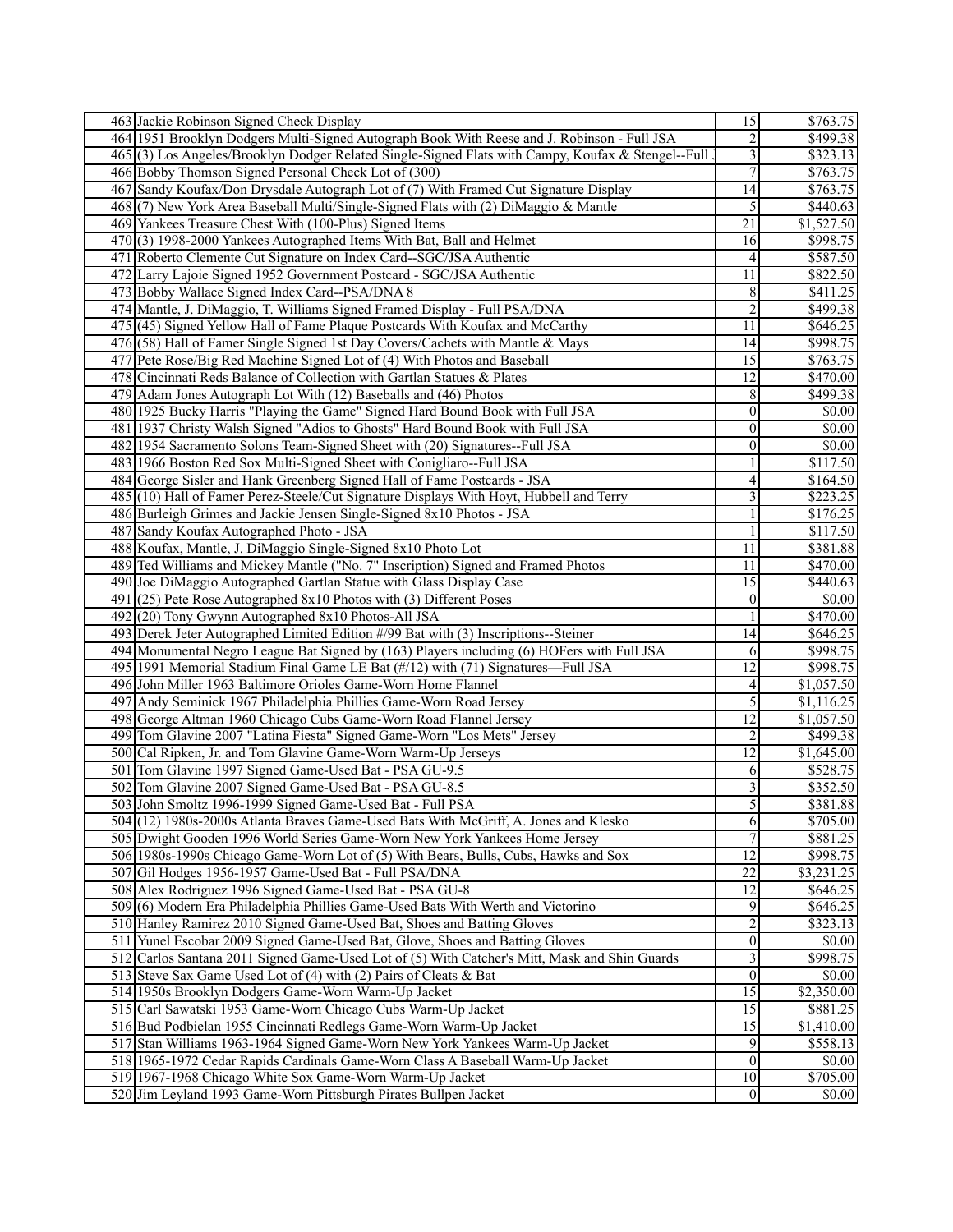|     | 463 Jackie Robinson Signed Check Display                                                                                                   | $\overline{15}$                  | \$763.75              |
|-----|--------------------------------------------------------------------------------------------------------------------------------------------|----------------------------------|-----------------------|
|     | 464 1951 Brooklyn Dodgers Multi-Signed Autograph Book With Reese and J. Robinson - Full JSA                                                | $\sqrt{2}$                       | \$499.38              |
|     | 465(3) Los Angeles/Brooklyn Dodger Related Single-Signed Flats with Campy, Koufax & Stengel--Full                                          | $\overline{\mathbf{3}}$          | \$323.13              |
|     | 466 Bobby Thomson Signed Personal Check Lot of (300)                                                                                       | $\boldsymbol{7}$                 | \$763.75              |
|     | 467 Sandy Koufax/Don Drysdale Autograph Lot of (7) With Framed Cut Signature Display                                                       | 14                               | \$763.75              |
|     | 468(7) New York Area Baseball Multi/Single-Signed Flats with (2) DiMaggio & Mantle                                                         | 5                                | \$440.63              |
|     | 469 Yankees Treasure Chest With (100-Plus) Signed Items                                                                                    | $\overline{21}$                  | \$1,527.50            |
|     | 470(3) 1998-2000 Yankees Autographed Items With Bat, Ball and Helmet                                                                       | 16                               | \$998.75              |
|     | 471 Roberto Clemente Cut Signature on Index Card--SGC/JSA Authentic                                                                        | 4                                | \$587.50              |
|     | 472 Larry Lajoie Signed 1952 Government Postcard - SGC/JSA Authentic                                                                       | 11                               | \$822.50              |
|     | 473 Bobby Wallace Signed Index Card--PSA/DNA 8                                                                                             | $\,8\,$                          | \$411.25              |
|     | 474 Mantle, J. DiMaggio, T. Williams Signed Framed Display - Full PSA/DNA                                                                  | $\overline{2}$                   | \$499.38              |
|     | 475 (45) Signed Yellow Hall of Fame Plaque Postcards With Koufax and McCarthy                                                              | $\overline{11}$                  | \$646.25              |
|     | 476(58) Hall of Famer Single Signed 1st Day Covers/Cachets with Mantle & Mays                                                              | 14                               | \$998.75              |
|     | 477 Pete Rose/Big Red Machine Signed Lot of (4) With Photos and Baseball                                                                   | $\overline{15}$                  | \$763.75              |
|     | 478 Cincinnati Reds Balance of Collection with Gartlan Statues & Plates                                                                    | 12                               | \$470.00              |
|     | 479 Adam Jones Autograph Lot With (12) Baseballs and (46) Photos                                                                           | 8                                | \$499.38              |
|     | 480 1925 Bucky Harris "Playing the Game" Signed Hard Bound Book with Full JSA                                                              | $\boldsymbol{0}$                 | \$0.00                |
|     | 481 1937 Christy Walsh Signed "Adios to Ghosts" Hard Bound Book with Full JSA                                                              | $\boldsymbol{0}$                 | $\overline{$}0.00$    |
|     | 482 1954 Sacramento Solons Team-Signed Sheet with (20) Signatures--Full JSA                                                                | $\boldsymbol{0}$                 | \$0.00                |
|     | 483 1966 Boston Red Sox Multi-Signed Sheet with Conigliaro--Full JSA                                                                       | $\mathbf{1}$                     | \$117.50              |
|     | 484 George Sisler and Hank Greenberg Signed Hall of Fame Postcards - JSA                                                                   | 4                                | \$164.50              |
|     | 485 (10) Hall of Famer Perez-Steele/Cut Signature Displays With Hoyt, Hubbell and Terry                                                    | 3                                | \$223.25              |
|     | 486 Burleigh Grimes and Jackie Jensen Single-Signed 8x10 Photos - JSA                                                                      | $\mathbf{1}$                     | \$176.25              |
|     | 487 Sandy Koufax Autographed Photo - JSA                                                                                                   | $\mathbf{1}$                     | \$117.50              |
|     | 488 Koufax, Mantle, J. DiMaggio Single-Signed 8x10 Photo Lot                                                                               | 11                               | \$381.88              |
|     | 489 Ted Williams and Mickey Mantle ("No. 7" Inscription) Signed and Framed Photos                                                          | 11                               | \$470.00              |
|     | 490 Joe DiMaggio Autographed Gartlan Statue with Glass Display Case                                                                        | 15                               | \$440.63              |
| 491 | $(25)$ Pete Rose Autographed 8x10 Photos with (3) Different Poses                                                                          | $\boldsymbol{0}$                 | \$0.00                |
| 492 | (20) Tony Gwynn Autographed 8x10 Photos-All JSA                                                                                            | $\mathbf{1}$                     | \$470.00              |
|     | 493 Derek Jeter Autographed Limited Edition #/99 Bat with (3) Inscriptions--Steiner                                                        | $\overline{14}$                  | \$646.25              |
|     | 494 Monumental Negro League Bat Signed by (163) Players including (6) HOFers with Full JSA                                                 | 6                                | \$998.75              |
|     | 495 1991 Memorial Stadium Final Game LE Bat (#/12) with (71) Signatures-Full JSA                                                           | $\overline{12}$                  | \$998.75              |
|     | 496 John Miller 1963 Baltimore Orioles Game-Worn Home Flannel                                                                              | 4                                | $\overline{1,057.50}$ |
|     | 497 Andy Seminick 1967 Philadelphia Phillies Game-Worn Road Jersey                                                                         | 5                                | \$1,116.25            |
|     | 498 George Altman 1960 Chicago Cubs Game-Worn Road Flannel Jersey                                                                          | $\overline{12}$                  | \$1,057.50            |
|     | 499 Tom Glavine 2007 "Latina Fiesta" Signed Game-Worn "Los Mets" Jersey                                                                    | $\boldsymbol{2}$                 | \$499.38              |
|     | 500 Cal Ripken, Jr. and Tom Glavine Game-Worn Warm-Up Jerseys                                                                              | $\overline{12}$                  | \$1,645.00            |
| 501 | Tom Glavine 1997 Signed Game-Used Bat - PSA GU-9.5                                                                                         |                                  | \$528.75              |
|     |                                                                                                                                            | 6                                |                       |
|     | 502 Tom Glavine 2007 Signed Game-Used Bat - PSA GU-8.5<br>503 John Smoltz 1996-1999 Signed Game-Used Bat - Full PSA                        | $\mathfrak{Z}$<br>5 <sup>1</sup> | \$352.50              |
|     | 504 (12) 1980s-2000s Atlanta Braves Game-Used Bats With McGriff, A. Jones and Klesko                                                       | 6                                | \$381.88<br>\$705.00  |
|     | 505 Dwight Gooden 1996 World Series Game-Worn New York Yankees Home Jersey                                                                 | $\overline{7}$                   | \$881.25              |
|     |                                                                                                                                            | $\overline{12}$                  | \$998.75              |
|     | 506 1980s-1990s Chicago Game-Worn Lot of (5) With Bears, Bulls, Cubs, Hawks and Sox                                                        | 22                               | \$3,231.25            |
|     | 507 Gil Hodges 1956-1957 Game-Used Bat - Full PSA/DNA                                                                                      |                                  |                       |
|     | 508 Alex Rodriguez 1996 Signed Game-Used Bat - PSA GU-8<br>509(6) Modern Era Philadelphia Phillies Game-Used Bats With Werth and Victorino | 12                               | \$646.25              |
|     | 510 Hanley Ramirez 2010 Signed Game-Used Bat, Shoes and Batting Gloves                                                                     | 9                                | \$646.25              |
|     |                                                                                                                                            | $\sqrt{2}$<br>$\overline{0}$     | \$323.13              |
|     | 511 Yunel Escobar 2009 Signed Game-Used Bat, Glove, Shoes and Batting Gloves                                                               |                                  | \$0.00                |
|     | 512 Carlos Santana 2011 Signed Game-Used Lot of (5) With Catcher's Mitt, Mask and Shin Guards                                              | $\overline{\mathbf{3}}$          | \$998.75              |
|     | 513 Steve Sax Game Used Lot of (4) with (2) Pairs of Cleats & Bat                                                                          | $\vert 0 \vert$                  | \$0.00                |
|     | 514 1950s Brooklyn Dodgers Game-Worn Warm-Up Jacket                                                                                        | $\overline{15}$                  | \$2,350.00            |
|     | 515 Carl Sawatski 1953 Game-Worn Chicago Cubs Warm-Up Jacket                                                                               | 15                               | \$881.25              |
|     | 516 Bud Podbielan 1955 Cincinnati Redlegs Game-Worn Warm-Up Jacket                                                                         | $\overline{15}$                  | \$1,410.00            |
|     | 517 Stan Williams 1963-1964 Signed Game-Worn New York Yankees Warm-Up Jacket                                                               | 9                                | \$558.13              |
|     | 518 1965-1972 Cedar Rapids Cardinals Game-Worn Class A Baseball Warm-Up Jacket                                                             | $\vert 0 \vert$                  | \$0.00                |
|     | 519 1967-1968 Chicago White Sox Game-Worn Warm-Up Jacket                                                                                   | 10 <sup>1</sup>                  | \$705.00              |
|     | 520 Jim Leyland 1993 Game-Worn Pittsburgh Pirates Bullpen Jacket                                                                           | 0                                | \$0.00                |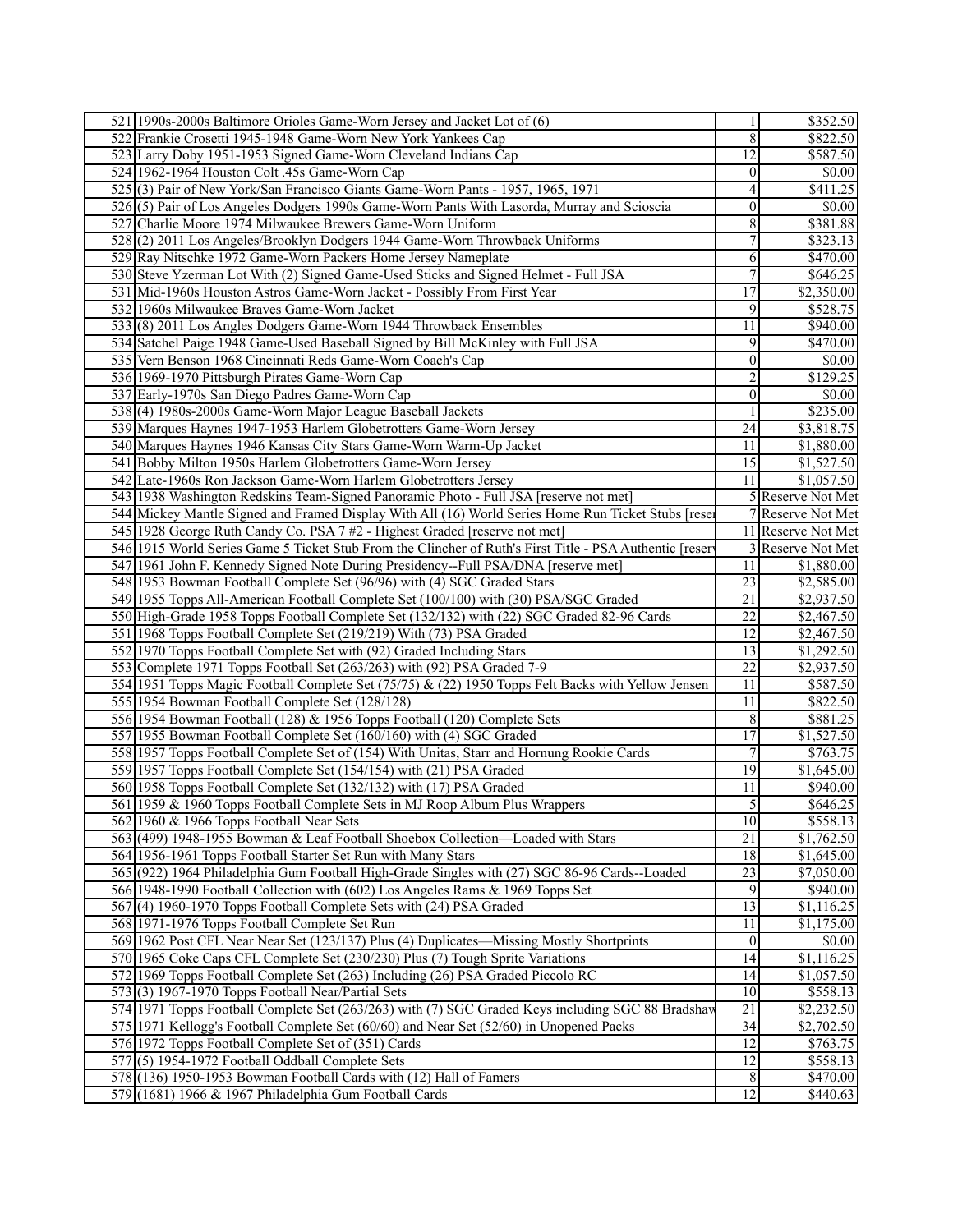| 521 1990s-2000s Baltimore Orioles Game-Worn Jersey and Jacket Lot of (6)                                | $\mathbf{1}$     | \$352.50              |
|---------------------------------------------------------------------------------------------------------|------------------|-----------------------|
| 522 Frankie Crosetti 1945-1948 Game-Worn New York Yankees Cap                                           | 8                | \$822.50              |
| 523 Larry Doby 1951-1953 Signed Game-Worn Cleveland Indians Cap                                         | 12               | \$587.50              |
| 524 1962-1964 Houston Colt .45s Game-Worn Cap                                                           | $\vert 0 \vert$  | \$0.00                |
| 525(3) Pair of New York/San Francisco Giants Game-Worn Pants - 1957, 1965, 1971                         | $\overline{4}$   | \$411.25              |
| 526(5) Pair of Los Angeles Dodgers 1990s Game-Worn Pants With Lasorda, Murray and Scioscia              | $\vert 0 \vert$  | \$0.00                |
| 527 Charlie Moore 1974 Milwaukee Brewers Game-Worn Uniform                                              | $\overline{8}$   | \$381.88              |
| 528(2) 2011 Los Angeles/Brooklyn Dodgers 1944 Game-Worn Throwback Uniforms                              | $\overline{7}$   | \$323.13              |
| 529 Ray Nitschke 1972 Game-Worn Packers Home Jersey Nameplate                                           | 6                | \$470.00              |
| 530 Steve Yzerman Lot With (2) Signed Game-Used Sticks and Signed Helmet - Full JSA                     | $\tau$           | \$646.25              |
| 531 Mid-1960s Houston Astros Game-Worn Jacket - Possibly From First Year                                | 17               | \$2,350.00            |
| 532 1960s Milwaukee Braves Game-Worn Jacket                                                             | 9                | \$528.75              |
| 533(8) 2011 Los Angles Dodgers Game-Worn 1944 Throwback Ensembles                                       | $\overline{11}$  | \$940.00              |
|                                                                                                         |                  | \$470.00              |
| 534 Satchel Paige 1948 Game-Used Baseball Signed by Bill McKinley with Full JSA                         | 9                |                       |
| 535 Vern Benson 1968 Cincinnati Reds Game-Worn Coach's Cap                                              | $\boldsymbol{0}$ | \$0.00                |
| 536 1969-1970 Pittsburgh Pirates Game-Worn Cap                                                          | $\overline{2}$   | \$129.25              |
| 537 Early-1970s San Diego Padres Game-Worn Cap                                                          | $\vert 0 \vert$  | \$0.00                |
| 538(4) 1980s-2000s Game-Worn Major League Baseball Jackets                                              | 1                | \$235.00              |
| 539 Marques Haynes 1947-1953 Harlem Globetrotters Game-Worn Jersey                                      | 24               | \$3,818.75            |
| 540 Marques Haynes 1946 Kansas City Stars Game-Worn Warm-Up Jacket                                      | 11               | \$1,880.00            |
| 541 Bobby Milton 1950s Harlem Globetrotters Game-Worn Jersey                                            | 15               | \$1,527.50            |
| 542 Late-1960s Ron Jackson Game-Worn Harlem Globetrotters Jersey                                        | 11               | \$1,057.50            |
| 543 1938 Washington Redskins Team-Signed Panoramic Photo - Full JSA [reserve not met]                   |                  | 5 Reserve Not Met     |
| 544 Mickey Mantle Signed and Framed Display With All (16) World Series Home Run Ticket Stubs [rese      |                  | 7 Reserve Not Met     |
| 545 1928 George Ruth Candy Co. PSA 7 #2 - Highest Graded [reserve not met]                              |                  | 11 Reserve Not Met    |
| 546 1915 World Series Game 5 Ticket Stub From the Clincher of Ruth's First Title - PSA Authentic [reser |                  | 3 Reserve Not Met     |
| 547 1961 John F. Kennedy Signed Note During Presidency--Full PSA/DNA [reserve met]                      | 11               | \$1,880.00            |
| 548 1953 Bowman Football Complete Set (96/96) with (4) SGC Graded Stars                                 | 23               | \$2,585.00            |
| 549 1955 Topps All-American Football Complete Set (100/100) with (30) PSA/SGC Graded                    | 21               | \$2,937.50            |
| 550 High-Grade 1958 Topps Football Complete Set (132/132) with (22) SGC Graded 82-96 Cards              | $\overline{22}$  | \$2,467.50            |
| 551 1968 Topps Football Complete Set (219/219) With (73) PSA Graded                                     | $\overline{12}$  | \$2,467.50            |
| 552 1970 Topps Football Complete Set with (92) Graded Including Stars                                   | 13               | \$1,292.50            |
| 553 Complete 1971 Topps Football Set (263/263) with (92) PSA Graded 7-9                                 | 22               | \$2,937.50            |
| 554 1951 Topps Magic Football Complete Set (75/75) & (22) 1950 Topps Felt Backs with Yellow Jensen      | 11               | \$587.50              |
| 555 1954 Bowman Football Complete Set (128/128)                                                         | 11               | \$822.50              |
| 556 1954 Bowman Football (128) & 1956 Topps Football (120) Complete Sets                                | $\,8\,$          | \$881.25              |
| 557 1955 Bowman Football Complete Set (160/160) with (4) SGC Graded                                     | $\overline{17}$  | \$1,527.50            |
| 558 1957 Topps Football Complete Set of (154) With Unitas, Starr and Hornung Rookie Cards               | $\overline{7}$   | \$763.75              |
| 559 1957 Topps Football Complete Set (154/154) with (21) PSA Graded                                     | 19               | \$1,645.00            |
| 560 1958 Topps Football Complete Set (132/132) with (17) PSA Graded                                     | 11               | \$940.00              |
| 561 1959 & 1960 Topps Football Complete Sets in MJ Roop Album Plus Wrappers                             | $\overline{5}$   | \$646.25              |
| 562 1960 & 1966 Topps Football Near Sets                                                                | 10               | \$558.13              |
| 563 (499) 1948-1955 Bowman & Leaf Football Shoebox Collection—Loaded with Stars                         | $\overline{21}$  | \$1,762.50            |
| 564 1956-1961 Topps Football Starter Set Run with Many Stars                                            | $\overline{18}$  | \$1,645.00            |
| 565 (922) 1964 Philadelphia Gum Football High-Grade Singles with (27) SGC 86-96 Cards--Loaded           | $\overline{23}$  | \$7,050.00            |
| 566 1948-1990 Football Collection with (602) Los Angeles Rams & 1969 Topps Set                          | 9                | \$940.00              |
| 567(4) 1960-1970 Topps Football Complete Sets with (24) PSA Graded                                      | 13               | $\overline{1,}116.25$ |
| 568 1971-1976 Topps Football Complete Set Run                                                           | $\overline{11}$  | \$1,175.00            |
| 569 1962 Post CFL Near Near Set (123/137) Plus (4) Duplicates—Missing Mostly Shortprints                | $\vert 0 \vert$  | \$0.00                |
| 570 1965 Coke Caps CFL Complete Set (230/230) Plus (7) Tough Sprite Variations                          | 14               | \$1,116.25            |
| 572 1969 Topps Football Complete Set (263) Including (26) PSA Graded Piccolo RC                         | 14               | \$1,057.50            |
| $573(3)$ 1967-1970 Topps Football Near/Partial Sets                                                     | 10 <sup>1</sup>  | \$558.13              |
| 574 1971 Topps Football Complete Set (263/263) with (7) SGC Graded Keys including SGC 88 Bradshav       | $\overline{21}$  | \$2,232.50            |
| 575 1971 Kellogg's Football Complete Set (60/60) and Near Set (52/60) in Unopened Packs                 | $\overline{34}$  | \$2,702.50            |
| 576 1972 Topps Football Complete Set of (351) Cards                                                     | $\overline{12}$  | \$763.75              |
| $577$ $(5)$ 1954-1972 Football Oddball Complete Sets                                                    | 12               | \$558.13              |
| 578 (136) 1950-1953 Bowman Football Cards with (12) Hall of Famers                                      | $\,8$            | \$470.00              |
| 579 (1681) 1966 & 1967 Philadelphia Gum Football Cards                                                  | $\overline{12}$  | \$440.63              |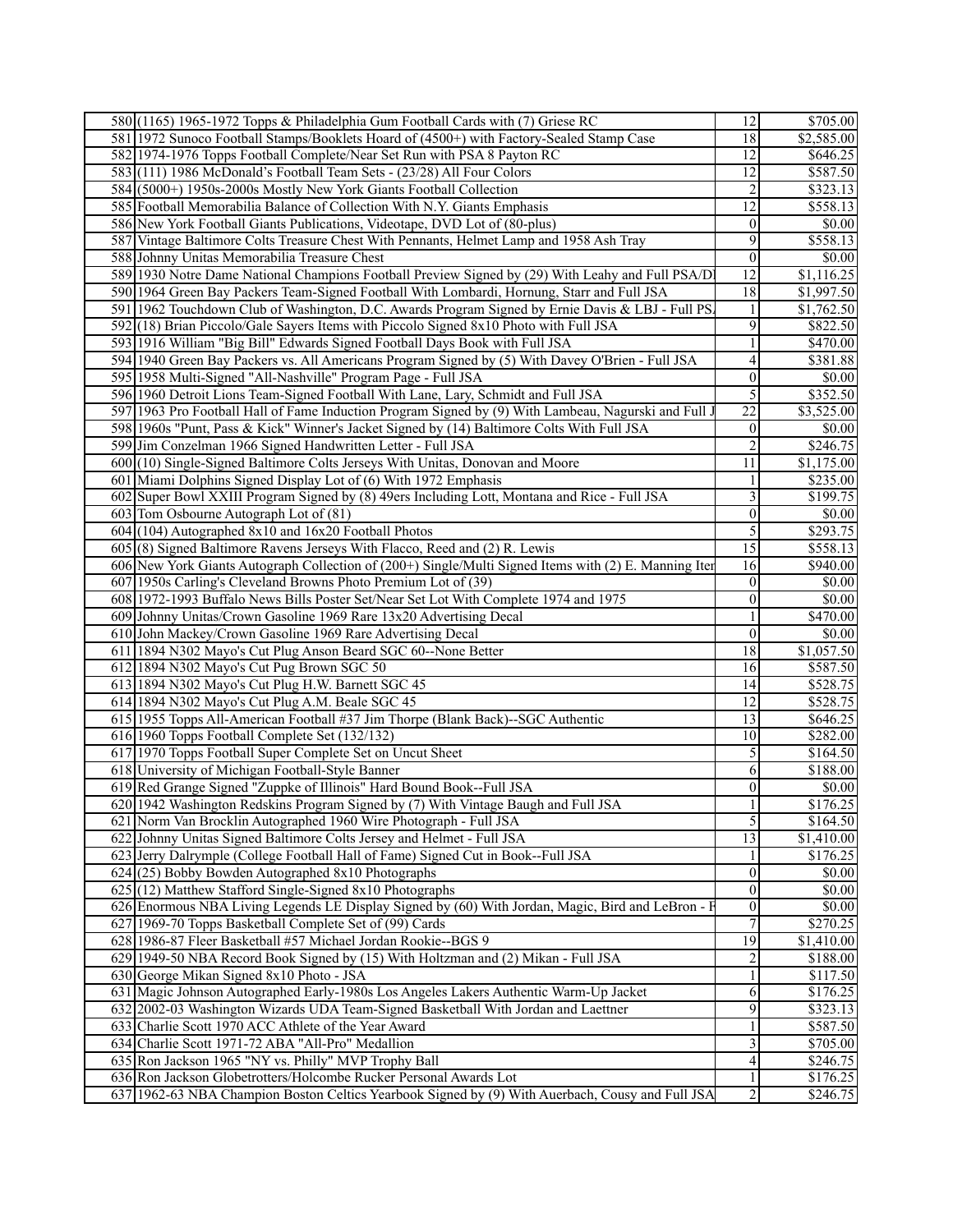| 580 (1165) 1965-1972 Topps & Philadelphia Gum Football Cards with (7) Griese RC                       | 12                        | \$705.00             |
|-------------------------------------------------------------------------------------------------------|---------------------------|----------------------|
| 581 1972 Sunoco Football Stamps/Booklets Hoard of (4500+) with Factory-Sealed Stamp Case              | 18                        | \$2,585.00           |
| 582 1974-1976 Topps Football Complete/Near Set Run with PSA 8 Payton RC                               | 12                        | \$646.25             |
| 583(111) 1986 McDonald's Football Team Sets - (23/28) All Four Colors                                 | $\overline{12}$           | \$587.50             |
| 584 (5000+) 1950s-2000s Mostly New York Giants Football Collection                                    | $\boldsymbol{2}$          | \$323.13             |
| 585 Football Memorabilia Balance of Collection With N.Y. Giants Emphasis                              | $\overline{12}$           | \$558.13             |
| 586 New York Football Giants Publications, Videotape, DVD Lot of (80-plus)                            | $\boldsymbol{0}$          | $\overline{50.00}$   |
| 587 Vintage Baltimore Colts Treasure Chest With Pennants, Helmet Lamp and 1958 Ash Tray               | 9                         | \$558.13             |
| 588 Johnny Unitas Memorabilia Treasure Chest                                                          | $\mathbf{0}$              | \$0.00               |
| 589 1930 Notre Dame National Champions Football Preview Signed by (29) With Leahy and Full PSA/D      | $\overline{12}$           | \$1,116.25           |
| 590 1964 Green Bay Packers Team-Signed Football With Lombardi, Hornung, Starr and Full JSA            | $\overline{18}$           | \$1,997.50           |
| 591 1962 Touchdown Club of Washington, D.C. Awards Program Signed by Ernie Davis & LBJ - Full PS.     | $\mathbf{1}$              | \$1,762.50           |
| 592 (18) Brian Piccolo/Gale Sayers Items with Piccolo Signed 8x10 Photo with Full JSA                 | 9                         | \$822.50             |
| 593 1916 William "Big Bill" Edwards Signed Football Days Book with Full JSA                           | $\mathbf{1}$              | \$470.00             |
| 594 1940 Green Bay Packers vs. All Americans Program Signed by (5) With Davey O'Brien - Full JSA      | 4                         | \$381.88             |
| 595 1958 Multi-Signed "All-Nashville" Program Page - Full JSA                                         | $\boldsymbol{0}$          | \$0.00               |
| 596 1960 Detroit Lions Team-Signed Football With Lane, Lary, Schmidt and Full JSA                     | 5                         | \$352.50             |
| 597 1963 Pro Football Hall of Fame Induction Program Signed by (9) With Lambeau, Nagurski and Full    | $\overline{22}$           | \$3,525.00           |
| 598 1960s "Punt, Pass & Kick" Winner's Jacket Signed by (14) Baltimore Colts With Full JSA            | $\boldsymbol{0}$          | \$0.00               |
| 599 Jim Conzelman 1966 Signed Handwritten Letter - Full JSA                                           | $\overline{c}$            | \$246.75             |
| 600 (10) Single-Signed Baltimore Colts Jerseys With Unitas, Donovan and Moore                         | 11                        | \$1,175.00           |
| 601 Miami Dolphins Signed Display Lot of (6) With 1972 Emphasis                                       | $\mathbf{1}$              | \$235.00             |
| 602 Super Bowl XXIII Program Signed by (8) 49ers Including Lott, Montana and Rice - Full JSA          | $\overline{\overline{3}}$ | $\overline{$199.75}$ |
| 603 Tom Osbourne Autograph Lot of (81)                                                                | $\boldsymbol{0}$          | \$0.00               |
| $604$ (104) Autographed 8x10 and 16x20 Football Photos                                                | 5                         | \$293.75             |
| 605(8) Signed Baltimore Ravens Jerseys With Flacco, Reed and (2) R. Lewis                             | $\overline{15}$           | \$558.13             |
| 606 New York Giants Autograph Collection of (200+) Single/Multi Signed Items with (2) E. Manning Iter | 16                        | \$940.00             |
| 607 1950s Carling's Cleveland Browns Photo Premium Lot of (39)                                        | $\boldsymbol{0}$          | \$0.00               |
| 608 1972-1993 Buffalo News Bills Poster Set/Near Set Lot With Complete 1974 and 1975                  | $\boldsymbol{0}$          | \$0.00               |
| 609 Johnny Unitas/Crown Gasoline 1969 Rare 13x20 Advertising Decal                                    | 1                         | \$470.00             |
| 610 John Mackey/Crown Gasoline 1969 Rare Advertising Decal                                            | $\boldsymbol{0}$          | \$0.00               |
| 611 1894 N302 Mayo's Cut Plug Anson Beard SGC 60--None Better                                         | 18                        | \$1,057.50           |
| 612 1894 N302 Mayo's Cut Pug Brown SGC 50                                                             | 16                        | \$587.50             |
| 613 1894 N302 Mayo's Cut Plug H.W. Barnett SGC 45                                                     | 14                        | \$528.75             |
| 614 1894 N302 Mayo's Cut Plug A.M. Beale SGC 45                                                       | $\overline{12}$           | \$528.75             |
| 615 1955 Topps All-American Football #37 Jim Thorpe (Blank Back)--SGC Authentic                       | $\overline{13}$           | \$646.25             |
| 616 1960 Topps Football Complete Set (132/132)                                                        | 10                        | \$282.00             |
| 617 1970 Topps Football Super Complete Set on Uncut Sheet                                             | 5                         | \$164.50             |
| 618 University of Michigan Football-Style Banner                                                      | 6                         | \$188.00             |
| 619 Red Grange Signed "Zuppke of Illinois" Hard Bound Book--Full JSA                                  | $\vert 0 \vert$           | \$0.00               |
| 620 1942 Washington Redskins Program Signed by (7) With Vintage Baugh and Full JSA                    | $\,1$                     | \$176.25             |
| 621 Norm Van Brocklin Autographed 1960 Wire Photograph - Full JSA                                     | 5                         | \$164.50             |
| 622 Johnny Unitas Signed Baltimore Colts Jersey and Helmet - Full JSA                                 | 13                        | \$1,410.00           |
| 623 Jerry Dalrymple (College Football Hall of Fame) Signed Cut in Book--Full JSA                      | 1                         | \$176.25             |
| $624$ (25) Bobby Bowden Autographed 8x10 Photographs                                                  | $\boldsymbol{0}$          | \$0.00               |
| $625(12)$ Matthew Stafford Single-Signed 8x10 Photographs                                             | $\overline{0}$            | \$0.00               |
| 626 Enormous NBA Living Legends LE Display Signed by (60) With Jordan, Magic, Bird and LeBron - F     | $\boldsymbol{0}$          | \$0.00               |
| 627 1969-70 Topps Basketball Complete Set of (99) Cards                                               | 7                         | \$270.25             |
| 628 1986-87 Fleer Basketball #57 Michael Jordan Rookie--BGS 9                                         | 19                        | \$1,410.00           |
| 629 1949-50 NBA Record Book Signed by (15) With Holtzman and (2) Mikan - Full JSA                     | $\overline{c}$            | \$188.00             |
| 630 George Mikan Signed 8x10 Photo - JSA                                                              | $\mathbf{1}$              | \$117.50             |
| 631 Magic Johnson Autographed Early-1980s Los Angeles Lakers Authentic Warm-Up Jacket                 | 6                         | \$176.25             |
| 632 2002-03 Washington Wizards UDA Team-Signed Basketball With Jordan and Laettner                    | $\overline{9}$            | \$323.13             |
| 633 Charlie Scott 1970 ACC Athlete of the Year Award                                                  | $\mathbf{1}$              | \$587.50             |
| 634 Charlie Scott 1971-72 ABA "All-Pro" Medallion                                                     | 3                         | \$705.00             |
| 635 Ron Jackson 1965 "NY vs. Philly" MVP Trophy Ball                                                  | $\overline{\mathcal{L}}$  | \$246.75             |
| 636 Ron Jackson Globetrotters/Holcombe Rucker Personal Awards Lot                                     | $\mathbf{1}$              |                      |
| 637 1962-63 NBA Champion Boston Celtics Yearbook Signed by (9) With Auerbach, Cousy and Full JSA      | $\overline{2}$            | \$176.25<br>\$246.75 |
|                                                                                                       |                           |                      |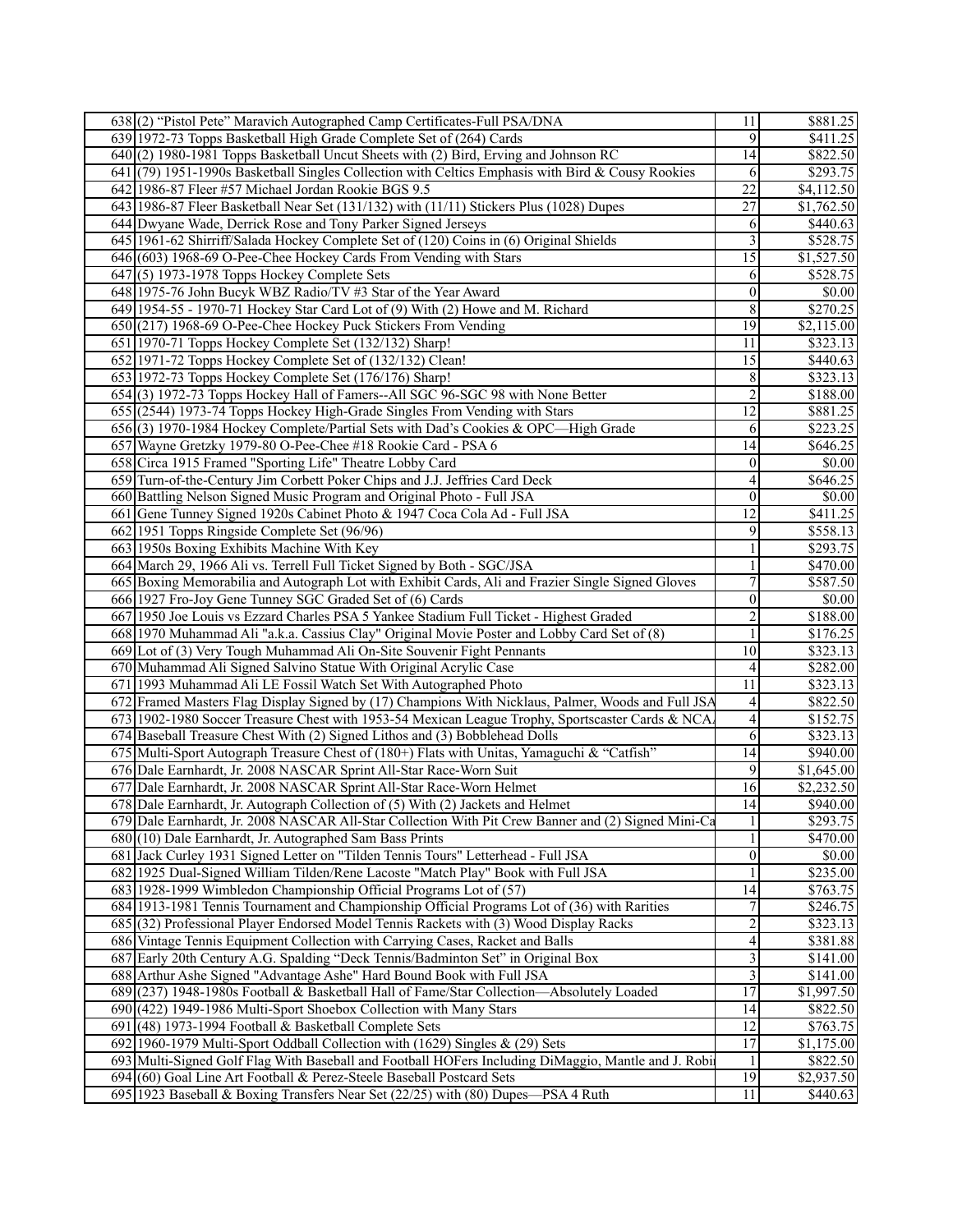|     | 638(2) "Pistol Pete" Maravich Autographed Camp Certificates-Full PSA/DNA                            | 11               | \$881.25   |
|-----|-----------------------------------------------------------------------------------------------------|------------------|------------|
|     | 639 1972-73 Topps Basketball High Grade Complete Set of (264) Cards                                 | 9                | \$411.25   |
|     | 640(2) 1980-1981 Topps Basketball Uncut Sheets with (2) Bird, Erving and Johnson RC                 | 14               | \$822.50   |
|     | 641 (79) 1951-1990s Basketball Singles Collection with Celtics Emphasis with Bird & Cousy Rookies   | 6                | \$293.75   |
|     | 642 1986-87 Fleer #57 Michael Jordan Rookie BGS 9.5                                                 | $\overline{22}$  | \$4,112.50 |
|     | 643 1986-87 Fleer Basketball Near Set (131/132) with (11/11) Stickers Plus (1028) Dupes             | $\overline{27}$  | \$1,762.50 |
|     | 644 Dwyane Wade, Derrick Rose and Tony Parker Signed Jerseys                                        | 6                | \$440.63   |
|     | 645 1961-62 Shirriff/Salada Hockey Complete Set of (120) Coins in (6) Original Shields              | 3                | \$528.75   |
|     | 646(603) 1968-69 O-Pee-Chee Hockey Cards From Vending with Stars                                    | $\overline{15}$  | \$1,527.50 |
| 647 | $\left(5\right)$ 1973-1978 Topps Hockey Complete Sets                                               | 6                | \$528.75   |
|     | 648 1975-76 John Bucyk WBZ Radio/TV #3 Star of the Year Award                                       | $\boldsymbol{0}$ | \$0.00     |
|     | 649 1954-55 - 1970-71 Hockey Star Card Lot of (9) With (2) Howe and M. Richard                      | $\overline{8}$   | \$270.25   |
|     | 650 (217) 1968-69 O-Pee-Chee Hockey Puck Stickers From Vending                                      | $\overline{19}$  | \$2,115.00 |
|     | 651 1970-71 Topps Hockey Complete Set (132/132) Sharp!                                              | 11               | \$323.13   |
|     | 652 1971-72 Topps Hockey Complete Set of (132/132) Clean!                                           | 15               | \$440.63   |
|     |                                                                                                     |                  |            |
|     | 653 1972-73 Topps Hockey Complete Set (176/176) Sharp!                                              | 8                | \$323.13   |
|     | 654(3) 1972-73 Topps Hockey Hall of Famers--All SGC 96-SGC 98 with None Better                      | $\overline{c}$   | \$188.00   |
|     | 655 (2544) 1973-74 Topps Hockey High-Grade Singles From Vending with Stars                          | $\overline{12}$  | \$881.25   |
|     | 656(3) 1970-1984 Hockey Complete/Partial Sets with Dad's Cookies & OPC-High Grade                   | 6                | \$223.25   |
|     | 657 Wayne Gretzky 1979-80 O-Pee-Chee #18 Rookie Card - PSA 6                                        | 14               | \$646.25   |
|     | 658 Circa 1915 Framed "Sporting Life" Theatre Lobby Card                                            | $\boldsymbol{0}$ | \$0.00     |
|     | 659 Turn-of-the-Century Jim Corbett Poker Chips and J.J. Jeffries Card Deck                         | 4                | \$646.25   |
|     | 660 Battling Nelson Signed Music Program and Original Photo - Full JSA                              | $\boldsymbol{0}$ | \$0.00     |
|     | 661 Gene Tunney Signed 1920s Cabinet Photo & 1947 Coca Cola Ad - Full JSA                           | 12               | \$411.25   |
|     | 662 1951 Topps Ringside Complete Set (96/96)                                                        | 9                | \$558.13   |
|     | 663 1950s Boxing Exhibits Machine With Key                                                          | 1                | \$293.75   |
|     | 664 March 29, 1966 Ali vs. Terrell Full Ticket Signed by Both - SGC/JSA                             | 1                | \$470.00   |
|     | 665 Boxing Memorabilia and Autograph Lot with Exhibit Cards, Ali and Frazier Single Signed Gloves   | 7                | \$587.50   |
|     | 666 1927 Fro-Joy Gene Tunney SGC Graded Set of (6) Cards                                            | $\boldsymbol{0}$ | \$0.00     |
|     | 667 1950 Joe Louis vs Ezzard Charles PSA 5 Yankee Stadium Full Ticket - Highest Graded              | $\overline{2}$   | \$188.00   |
|     | 668 1970 Muhammad Ali "a.k.a. Cassius Clay" Original Movie Poster and Lobby Card Set of (8)         | 1                | \$176.25   |
|     | 669 Lot of (3) Very Tough Muhammad Ali On-Site Souvenir Fight Pennants                              | 10               | \$323.13   |
|     | 670 Muhammad Ali Signed Salvino Statue With Original Acrylic Case                                   | 4                | \$282.00   |
|     | 671 1993 Muhammad Ali LE Fossil Watch Set With Autographed Photo                                    | 11               | \$323.13   |
|     | 672 Framed Masters Flag Display Signed by (17) Champions With Nicklaus, Palmer, Woods and Full JSA  | $\overline{4}$   | \$822.50   |
|     | 673 1902-1980 Soccer Treasure Chest with 1953-54 Mexican League Trophy, Sportscaster Cards & NCA    | $\overline{4}$   | \$152.75   |
|     | 674 Baseball Treasure Chest With (2) Signed Lithos and (3) Bobblehead Dolls                         | 6                | \$323.13   |
|     | 675 Multi-Sport Autograph Treasure Chest of (180+) Flats with Unitas, Yamaguchi & "Catfish"         | 14               | \$940.00   |
|     | 676 Dale Earnhardt, Jr. 2008 NASCAR Sprint All-Star Race-Worn Suit                                  | 9                | \$1,645.00 |
|     | 677 Dale Earnhardt, Jr. 2008 NASCAR Sprint All-Star Race-Worn Helmet                                | 16               | \$2,232.50 |
|     | 678 Dale Earnhardt, Jr. Autograph Collection of (5) With (2) Jackets and Helmet                     | 14               | \$940.00   |
|     | 679 Dale Earnhardt, Jr. 2008 NASCAR All-Star Collection With Pit Crew Banner and (2) Signed Mini-Ca | $\mathbf{1}$     | \$293.75   |
|     | $680(10)$ Dale Earnhardt, Jr. Autographed Sam Bass Prints                                           | $\mathbf{1}$     | \$470.00   |
|     | 681 Jack Curley 1931 Signed Letter on "Tilden Tennis Tours" Letterhead - Full JSA                   | $\boldsymbol{0}$ | \$0.00     |
|     | 682 1925 Dual-Signed William Tilden/Rene Lacoste "Match Play" Book with Full JSA                    | $\mathbf{1}$     | \$235.00   |
|     | 683 1928-1999 Wimbledon Championship Official Programs Lot of (57)                                  | 14               | \$763.75   |
|     | 684 1913-1981 Tennis Tournament and Championship Official Programs Lot of (36) with Rarities        | $\boldsymbol{7}$ | \$246.75   |
|     | 685 (32) Professional Player Endorsed Model Tennis Rackets with (3) Wood Display Racks              | $\overline{2}$   | \$323.13   |
|     | 686 Vintage Tennis Equipment Collection with Carrying Cases, Racket and Balls                       | 4                | \$381.88   |
|     | 687 Early 20th Century A.G. Spalding "Deck Tennis/Badminton Set" in Original Box                    | 3                | \$141.00   |
|     | 688 Arthur Ashe Signed "Advantage Ashe" Hard Bound Book with Full JSA                               | $\mathfrak{Z}$   | \$141.00   |
|     | 689(237) 1948-1980s Football & Basketball Hall of Fame/Star Collection—Absolutely Loaded            | $\overline{17}$  | \$1,997.50 |
|     | 690 (422) 1949-1986 Multi-Sport Shoebox Collection with Many Stars                                  | 14               | \$822.50   |
|     | 691 $(48)$ 1973-1994 Football & Basketball Complete Sets                                            | $\overline{12}$  | \$763.75   |
|     | 692 1960-1979 Multi-Sport Oddball Collection with (1629) Singles & (29) Sets                        | $\overline{17}$  | \$1,175.00 |
|     |                                                                                                     |                  |            |
|     | 693 Multi-Signed Golf Flag With Baseball and Football HOFers Including DiMaggio, Mantle and J. Robi | 1                | \$822.50   |
|     | 694 (60) Goal Line Art Football & Perez-Steele Baseball Postcard Sets                               | 19               | \$2,937.50 |
|     | 695 1923 Baseball & Boxing Transfers Near Set $(22/25)$ with $(80)$ Dupes—PSA 4 Ruth                | 11               | \$440.63   |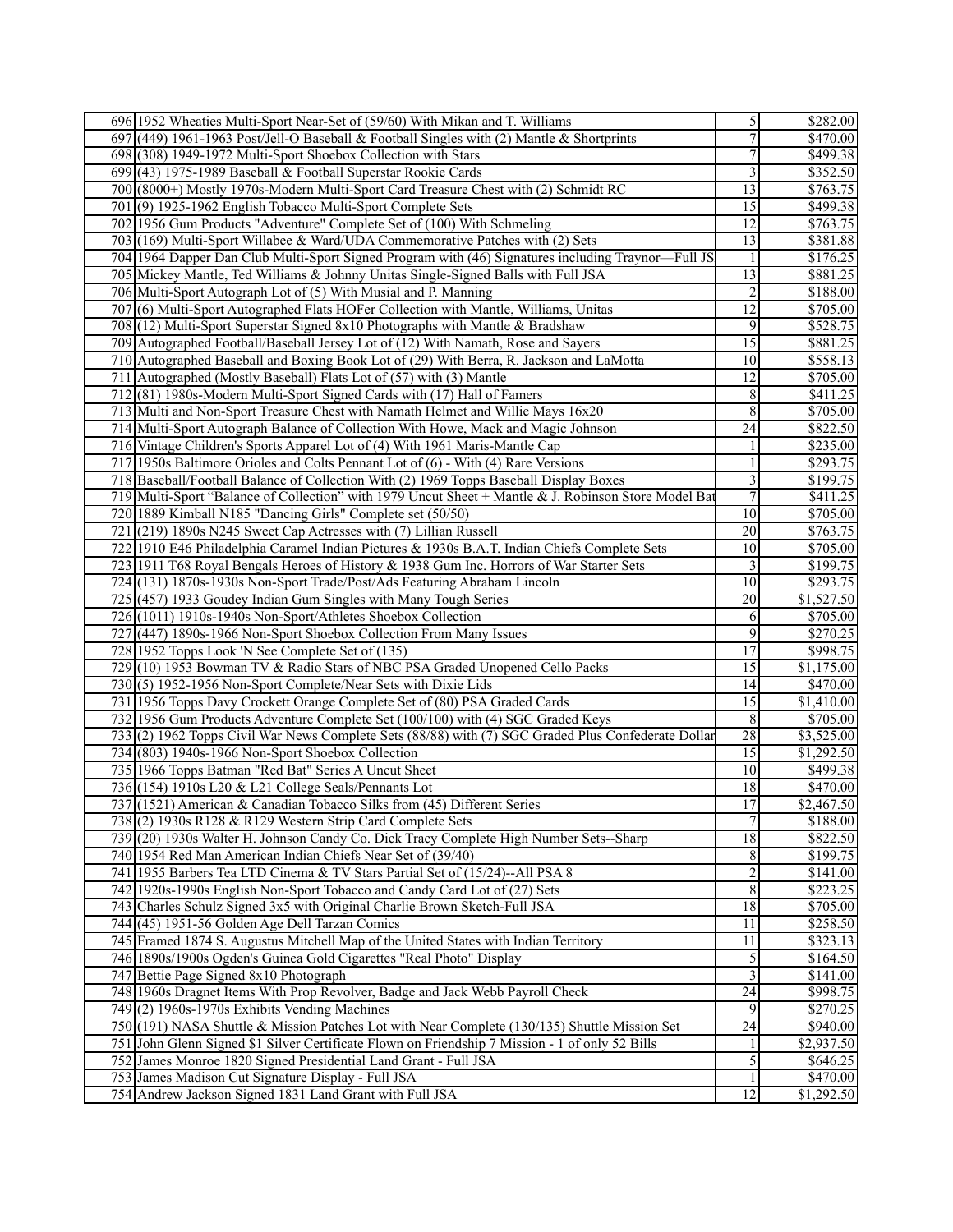| 696 1952 Wheaties Multi-Sport Near-Set of (59/60) With Mikan and T. Williams                         | 5                        | \$282.00             |
|------------------------------------------------------------------------------------------------------|--------------------------|----------------------|
| 697 (449) 1961-1963 Post/Jell-O Baseball & Football Singles with (2) Mantle & Shortprints            | $\overline{7}$           | \$470.00             |
| 698 (308) 1949-1972 Multi-Sport Shoebox Collection with Stars                                        | $\overline{\mathcal{I}}$ | \$499.38             |
| 699(43) 1975-1989 Baseball & Football Superstar Rookie Cards                                         | $\mathfrak{Z}$           | \$352.50             |
| 700 (8000+) Mostly 1970s-Modern Multi-Sport Card Treasure Chest with (2) Schmidt RC                  | $\overline{13}$          | \$763.75             |
| 701(9) 1925-1962 English Tobacco Multi-Sport Complete Sets                                           | $\overline{15}$          | \$499.38             |
| 702 1956 Gum Products "Adventure" Complete Set of (100) With Schmeling                               | 12                       | \$763.75             |
| 703 (169) Multi-Sport Willabee & Ward/UDA Commemorative Patches with (2) Sets                        | $\overline{13}$          | \$381.88             |
| 704 1964 Dapper Dan Club Multi-Sport Signed Program with (46) Signatures including Traynor—Full JS   | $\mathbf{1}$             | \$176.25             |
| 705 Mickey Mantle, Ted Williams & Johnny Unitas Single-Signed Balls with Full JSA                    | $\overline{13}$          | \$881.25             |
| 706 Multi-Sport Autograph Lot of (5) With Musial and P. Manning                                      | $\sqrt{2}$               | \$188.00             |
| 707(6) Multi-Sport Autographed Flats HOFer Collection with Mantle, Williams, Unitas                  | $\overline{12}$          | \$705.00             |
| 708 (12) Multi-Sport Superstar Signed 8x10 Photographs with Mantle & Bradshaw                        | 9                        | \$528.75             |
| 709 Autographed Football/Baseball Jersey Lot of (12) With Namath, Rose and Sayers                    | $\overline{15}$          | \$881.25             |
| 710 Autographed Baseball and Boxing Book Lot of (29) With Berra, R. Jackson and LaMotta              | 10                       | \$558.13             |
| 711 Autographed (Mostly Baseball) Flats Lot of (57) with (3) Mantle                                  | $\overline{12}$          | \$705.00             |
| 712(81) 1980s-Modern Multi-Sport Signed Cards with (17) Hall of Famers                               | $\,8\,$                  | \$411.25             |
| 713 Multi and Non-Sport Treasure Chest with Namath Helmet and Willie Mays 16x20                      | $\overline{\bf 8}$       | \$705.00             |
| 714 Multi-Sport Autograph Balance of Collection With Howe, Mack and Magic Johnson                    | $\overline{24}$          | \$822.50             |
| 716 Vintage Children's Sports Apparel Lot of (4) With 1961 Maris-Mantle Cap                          | 1                        | \$235.00             |
| 717 1950s Baltimore Orioles and Colts Pennant Lot of (6) - With (4) Rare Versions                    | $\mathbf{1}$             | \$293.75             |
| 718 Baseball/Football Balance of Collection With (2) 1969 Topps Baseball Display Boxes               | $\overline{\mathbf{3}}$  | $\overline{$199.75}$ |
| 719 Multi-Sport "Balance of Collection" with 1979 Uncut Sheet + Mantle & J. Robinson Store Model Bat | $\overline{7}$           | \$411.25             |
| 720   1889 Kimball N185 "Dancing Girls" Complete set (50/50)                                         | 10                       | \$705.00             |
| 721 (219) 1890s N245 Sweet Cap Actresses with (7) Lillian Russell                                    | $\overline{20}$          | \$763.75             |
| 722 1910 E46 Philadelphia Caramel Indian Pictures & 1930s B.A.T. Indian Chiefs Complete Sets         | $\overline{10}$          | \$705.00             |
| 723 1911 T68 Royal Bengals Heroes of History & 1938 Gum Inc. Horrors of War Starter Sets             | 3                        | \$199.75             |
| 724 (131) 1870s-1930s Non-Sport Trade/Post/Ads Featuring Abraham Lincoln                             | 10                       | \$293.75             |
| 725 (457) 1933 Goudey Indian Gum Singles with Many Tough Series                                      | $\overline{20}$          | \$1,527.50           |
| 726(1011) 1910s-1940s Non-Sport/Athletes Shoebox Collection                                          | 6                        | \$705.00             |
| 727 (447) 1890s-1966 Non-Sport Shoebox Collection From Many Issues                                   | 9                        | \$270.25             |
| 728 1952 Topps Look 'N See Complete Set of (135)                                                     | 17                       | \$998.75             |
| 729 (10) 1953 Bowman TV & Radio Stars of NBC PSA Graded Unopened Cello Packs                         | 15                       | \$1,175.00           |
| 730(5) 1952-1956 Non-Sport Complete/Near Sets with Dixie Lids                                        | 14                       | \$470.00             |
| 731 1956 Topps Davy Crockett Orange Complete Set of (80) PSA Graded Cards                            | $\overline{15}$          | \$1,410.00           |
| 732 1956 Gum Products Adventure Complete Set (100/100) with (4) SGC Graded Keys                      | $\,8\,$                  | \$705.00             |
| 733(2) 1962 Topps Civil War News Complete Sets (88/88) with (7) SGC Graded Plus Confederate Dollar   | $\overline{28}$          | \$3,525.00           |
| 734 (803) 1940s-1966 Non-Sport Shoebox Collection                                                    | 15                       | \$1,292.50           |
| 735 1966 Topps Batman "Red Bat" Series A Uncut Sheet                                                 | 10                       | \$499.38             |
| 736 (154) 1910s L20 & L21 College Seals/Pennants Lot                                                 | 18                       | \$470.00             |
| 737 (1521) American & Canadian Tobacco Silks from (45) Different Series                              | 17                       | \$2,467.50           |
| 738(2) 1930s R128 & R129 Western Strip Card Complete Sets                                            | $\overline{7}$           | \$188.00             |
| 739 (20) 1930s Walter H. Johnson Candy Co. Dick Tracy Complete High Number Sets--Sharp               | $\overline{18}$          | \$822.50             |
| 740 1954 Red Man American Indian Chiefs Near Set of (39/40)                                          | $\,8\,$                  | \$199.75             |
| 741 1955 Barbers Tea LTD Cinema & TV Stars Partial Set of (15/24)--All PSA 8                         | $\boldsymbol{2}$         | \$141.00             |
| 742 1920s-1990s English Non-Sport Tobacco and Candy Card Lot of (27) Sets                            | $\,8\,$                  | \$223.25             |
| 743 Charles Schulz Signed 3x5 with Original Charlie Brown Sketch-Full JSA                            | $\overline{18}$          | \$705.00             |
| 744 (45) 1951-56 Golden Age Dell Tarzan Comics                                                       | 11                       | \$258.50             |
| 745 Framed 1874 S. Augustus Mitchell Map of the United States with Indian Territory                  | 11                       | \$323.13             |
| 746 1890s/1900s Ogden's Guinea Gold Cigarettes "Real Photo" Display                                  | $\overline{\mathcal{S}}$ | \$164.50             |
| 747 Bettie Page Signed 8x10 Photograph                                                               | 3                        | \$141.00             |
| 748 1960s Dragnet Items With Prop Revolver, Badge and Jack Webb Payroll Check                        | 24                       | \$998.75             |
| $749(2)$ 1960s-1970s Exhibits Vending Machines                                                       | $\overline{9}$           | \$270.25             |
| 750 (191) NASA Shuttle & Mission Patches Lot with Near Complete (130/135) Shuttle Mission Set        | $\overline{24}$          | \$940.00             |
| 751 John Glenn Signed \$1 Silver Certificate Flown on Friendship 7 Mission - 1 of only 52 Bills      | 1                        | \$2,937.50           |
| 752 James Monroe 1820 Signed Presidential Land Grant - Full JSA                                      | 5                        | \$646.25             |
| 753 James Madison Cut Signature Display - Full JSA                                                   | 1                        | \$470.00             |
| 754 Andrew Jackson Signed 1831 Land Grant with Full JSA                                              | $\overline{12}$          | \$1,292.50           |
|                                                                                                      |                          |                      |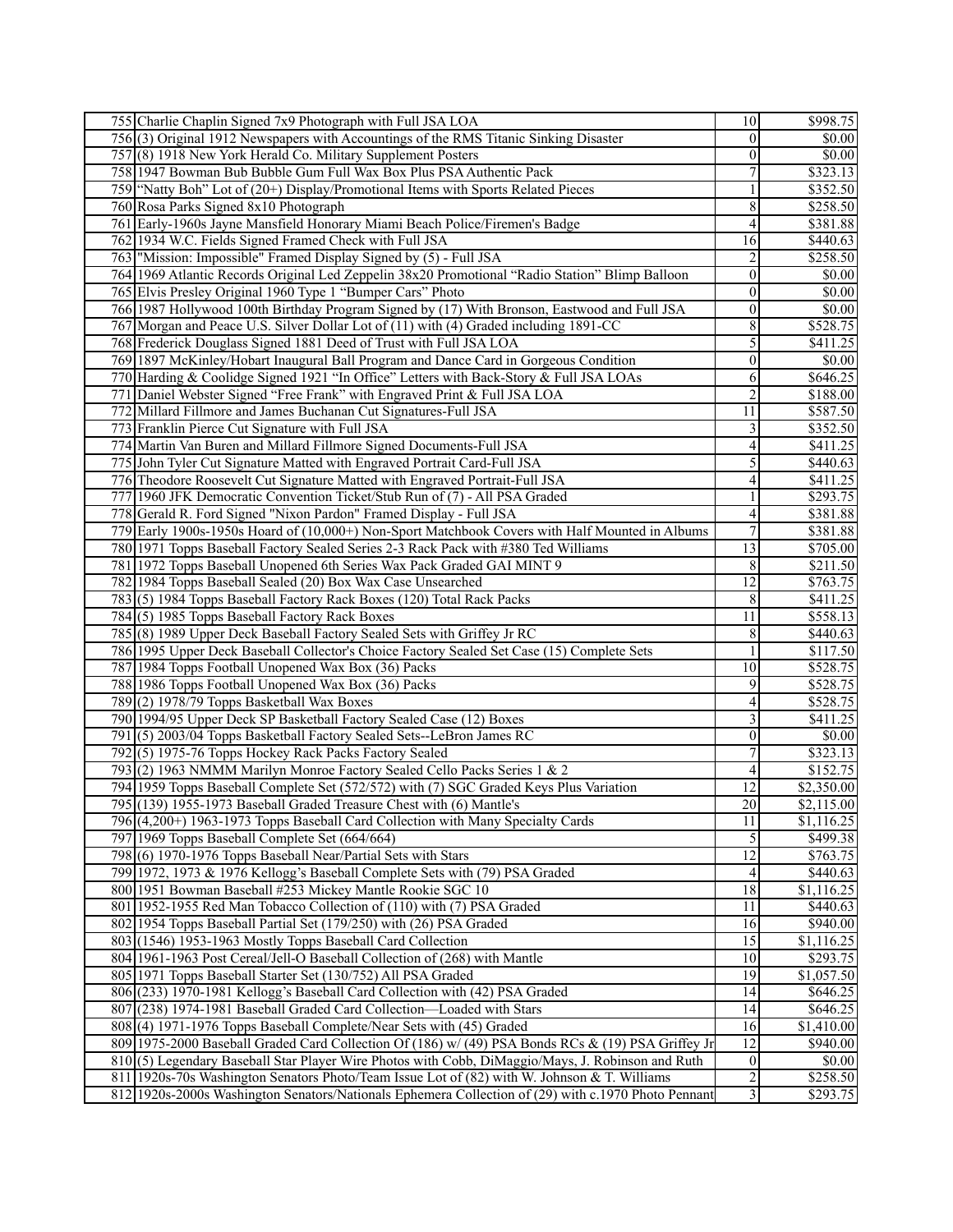| 755 Charlie Chaplin Signed 7x9 Photograph with Full JSA LOA                                                                                                                                         | 10                           | \$998.75             |
|-----------------------------------------------------------------------------------------------------------------------------------------------------------------------------------------------------|------------------------------|----------------------|
| 756(3) Original 1912 Newspapers with Accountings of the RMS Titanic Sinking Disaster                                                                                                                | $\boldsymbol{0}$             | \$0.00               |
| 757(8) 1918 New York Herald Co. Military Supplement Posters                                                                                                                                         | $\boldsymbol{0}$             | \$0.00               |
| 758 1947 Bowman Bub Bubble Gum Full Wax Box Plus PSA Authentic Pack                                                                                                                                 | $\overline{7}$               | \$323.13             |
| 759 "Natty Boh" Lot of (20+) Display/Promotional Items with Sports Related Pieces                                                                                                                   | 1                            | \$352.50             |
| 760 Rosa Parks Signed 8x10 Photograph                                                                                                                                                               | $\overline{8}$               | \$258.50             |
| 761 Early-1960s Jayne Mansfield Honorary Miami Beach Police/Firemen's Badge                                                                                                                         | $\overline{\mathcal{A}}$     | \$381.88             |
| 762 1934 W.C. Fields Signed Framed Check with Full JSA                                                                                                                                              | 16                           | \$440.63             |
| 763   "Mission: Impossible" Framed Display Signed by (5) - Full JSA                                                                                                                                 | $\sqrt{2}$                   | \$258.50             |
| 764 1969 Atlantic Records Original Led Zeppelin 38x20 Promotional "Radio Station" Blimp Balloon                                                                                                     | $\boldsymbol{0}$             | $\overline{$0.00}$   |
| 765 Elvis Presley Original 1960 Type 1 "Bumper Cars" Photo                                                                                                                                          | $\boldsymbol{0}$             | $\overline{50.00}$   |
| 766 1987 Hollywood 100th Birthday Program Signed by (17) With Bronson, Eastwood and Full JSA                                                                                                        | $\overline{0}$               | $\overline{50.00}$   |
| 767 Morgan and Peace U.S. Silver Dollar Lot of (11) with (4) Graded including 1891-CC                                                                                                               | 8                            | $\overline{$}528.75$ |
| 768 Frederick Douglass Signed 1881 Deed of Trust with Full JSA LOA                                                                                                                                  | 5                            | \$411.25             |
| 769 1897 McKinley/Hobart Inaugural Ball Program and Dance Card in Gorgeous Condition                                                                                                                | $\boldsymbol{0}$             | \$0.00               |
| 770 Harding & Coolidge Signed 1921 "In Office" Letters with Back-Story & Full JSA LOAs                                                                                                              | 6                            | \$646.25             |
| 771 Daniel Webster Signed "Free Frank" with Engraved Print & Full JSA LOA                                                                                                                           | $\overline{c}$               | \$188.00             |
| 772 Millard Fillmore and James Buchanan Cut Signatures-Full JSA                                                                                                                                     | $\overline{11}$              | \$587.50             |
| 773 Franklin Pierce Cut Signature with Full JSA                                                                                                                                                     | 3                            | \$352.50             |
| 774 Martin Van Buren and Millard Fillmore Signed Documents-Full JSA                                                                                                                                 | 4                            | \$411.25             |
| 775 John Tyler Cut Signature Matted with Engraved Portrait Card-Full JSA                                                                                                                            | 5                            | \$440.63             |
| 776 Theodore Roosevelt Cut Signature Matted with Engraved Portrait-Full JSA                                                                                                                         | 4                            | $\overline{$411.25}$ |
| 777 1960 JFK Democratic Convention Ticket/Stub Run of (7) - All PSA Graded                                                                                                                          | 1                            | \$293.75             |
| 778 Gerald R. Ford Signed "Nixon Pardon" Framed Display - Full JSA                                                                                                                                  | $\overline{4}$               | \$381.88             |
| 779 Early 1900s-1950s Hoard of (10,000+) Non-Sport Matchbook Covers with Half Mounted in Albums                                                                                                     | $\overline{7}$               | \$381.88             |
| 780 1971 Topps Baseball Factory Sealed Series 2-3 Rack Pack with #380 Ted Williams                                                                                                                  | $\overline{13}$              | \$705.00             |
| 781 1972 Topps Baseball Unopened 6th Series Wax Pack Graded GAI MINT 9                                                                                                                              | $\,8\,$                      | \$211.50             |
| 782 1984 Topps Baseball Sealed (20) Box Wax Case Unsearched                                                                                                                                         | $\overline{12}$              | \$763.75             |
| 783(5) 1984 Topps Baseball Factory Rack Boxes (120) Total Rack Packs                                                                                                                                | 8                            | \$411.25             |
| 784(5) 1985 Topps Baseball Factory Rack Boxes                                                                                                                                                       | $\overline{11}$              | \$558.13             |
| 785 (8) 1989 Upper Deck Baseball Factory Sealed Sets with Griffey Jr RC                                                                                                                             | 8                            | \$440.63             |
| 786 1995 Upper Deck Baseball Collector's Choice Factory Sealed Set Case (15) Complete Sets                                                                                                          | 1                            | \$117.50             |
| 787 1984 Topps Football Unopened Wax Box (36) Packs                                                                                                                                                 | $\overline{10}$              | \$528.75             |
| 788 1986 Topps Football Unopened Wax Box (36) Packs                                                                                                                                                 | 9                            | \$528.75             |
| 789(2) 1978/79 Topps Basketball Wax Boxes                                                                                                                                                           | 4                            | \$528.75             |
| 790 1994/95 Upper Deck SP Basketball Factory Sealed Case (12) Boxes                                                                                                                                 | 3                            | $\overline{$}411.25$ |
| 791(5) 2003/04 Topps Basketball Factory Sealed Sets--LeBron James RC                                                                                                                                | $\boldsymbol{0}$             | \$0.00               |
| 792(5) 1975-76 Topps Hockey Rack Packs Factory Sealed                                                                                                                                               | $\tau$                       | \$323.13             |
| 793 (2) 1963 NMMM Marilyn Monroe Factory Sealed Cello Packs Series 1 & 2                                                                                                                            | $\overline{\mathbf{4}}$      | \$152.75             |
| 794 1959 Topps Baseball Complete Set (572/572) with (7) SGC Graded Keys Plus Variation                                                                                                              | 12                           | \$2,350.00           |
| 795 (139) 1955-1973 Baseball Graded Treasure Chest with (6) Mantle's                                                                                                                                | 20 <sup>1</sup>              | \$2,115.00           |
| 796 (4,200+) 1963-1973 Topps Baseball Card Collection with Many Specialty Cards                                                                                                                     | 11                           | \$1,116.25           |
|                                                                                                                                                                                                     |                              | \$499.38             |
|                                                                                                                                                                                                     |                              |                      |
| 797 1969 Topps Baseball Complete Set (664/664)                                                                                                                                                      | $\overline{5}$               |                      |
| 798(6) 1970-1976 Topps Baseball Near/Partial Sets with Stars                                                                                                                                        | $\overline{12}$              | \$763.75             |
| 799 1972, 1973 & 1976 Kellogg's Baseball Complete Sets with (79) PSA Graded                                                                                                                         | 4                            | \$440.63             |
| 800 1951 Bowman Baseball #253 Mickey Mantle Rookie SGC 10                                                                                                                                           | 18                           | \$1,116.25           |
| 801 1952-1955 Red Man Tobacco Collection of (110) with (7) PSA Graded                                                                                                                               | 11                           | \$440.63             |
| 802 1954 Topps Baseball Partial Set (179/250) with (26) PSA Graded                                                                                                                                  | 16                           | \$940.00             |
| 803 (1546) 1953-1963 Mostly Topps Baseball Card Collection                                                                                                                                          | 15                           | \$1,116.25           |
| 804 1961-1963 Post Cereal/Jell-O Baseball Collection of (268) with Mantle                                                                                                                           | 10                           | \$293.75             |
| 805 1971 Topps Baseball Starter Set (130/752) All PSA Graded                                                                                                                                        | 19                           | \$1,057.50           |
| 806 (233) 1970-1981 Kellogg's Baseball Card Collection with (42) PSA Graded                                                                                                                         | 14                           | \$646.25             |
| 807 (238) 1974-1981 Baseball Graded Card Collection—Loaded with Stars                                                                                                                               | 4                            | \$646.25             |
| 808(4) 1971-1976 Topps Baseball Complete/Near Sets with (45) Graded                                                                                                                                 | 16                           | \$1,410.00           |
| 809 1975-2000 Baseball Graded Card Collection Of (186) w/ (49) PSA Bonds RCs & (19) PSA Griffey Jr                                                                                                  | 12                           | \$940.00             |
| 810(5) Legendary Baseball Star Player Wire Photos with Cobb, DiMaggio/Mays, J. Robinson and Ruth                                                                                                    | $\boldsymbol{0}$             | \$0.00               |
| 811 1920s-70s Washington Senators Photo/Team Issue Lot of (82) with W. Johnson & T. Williams<br>812 1920s-2000s Washington Senators/Nationals Ephemera Collection of (29) with c.1970 Photo Pennant | $\sqrt{2}$<br>$\overline{3}$ | \$258.50<br>\$293.75 |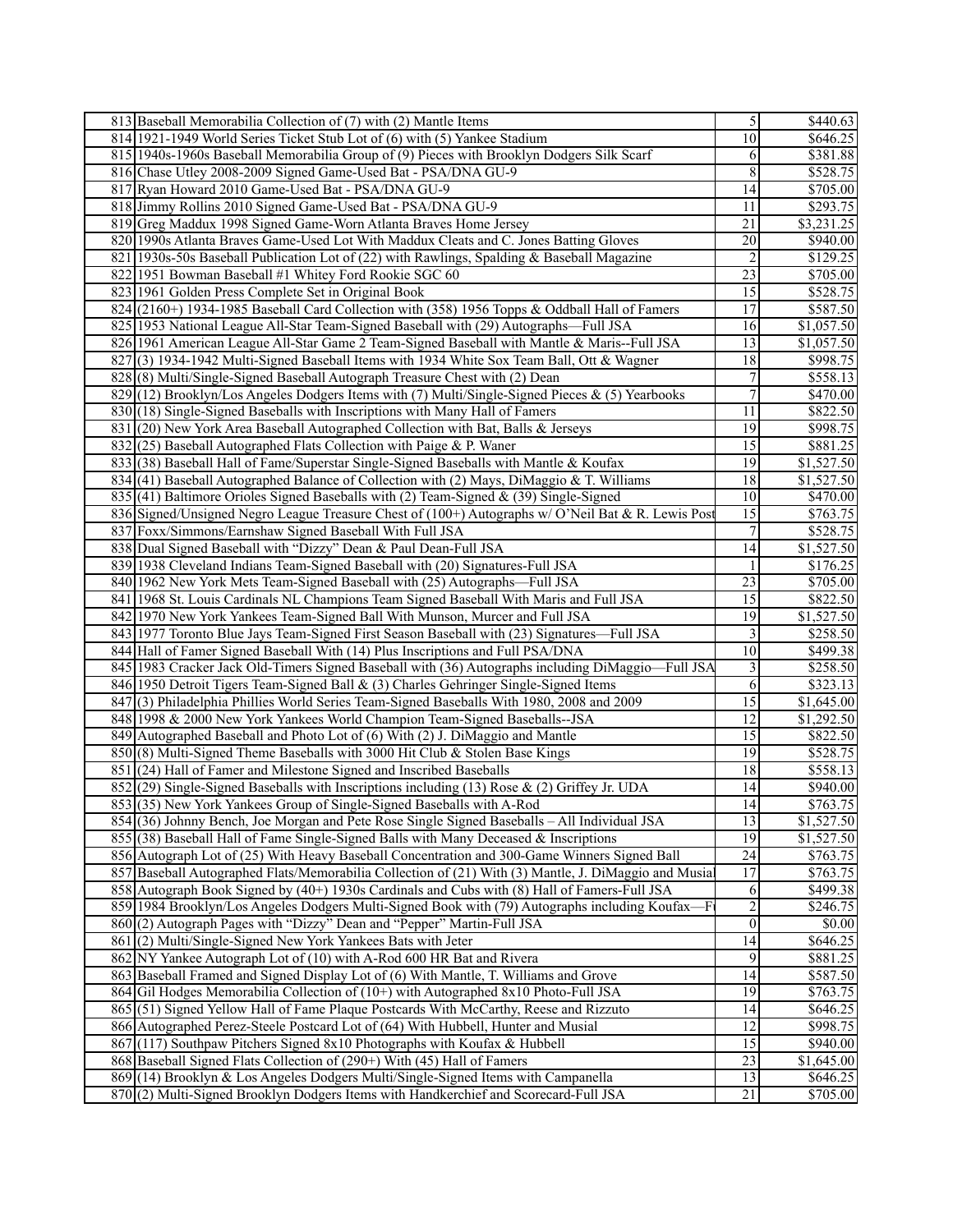| 813 Baseball Memorabilia Collection of (7) with (2) Mantle Items                                                                                                                  | 5                    | \$440.63             |
|-----------------------------------------------------------------------------------------------------------------------------------------------------------------------------------|----------------------|----------------------|
| 814 1921-1949 World Series Ticket Stub Lot of (6) with (5) Yankee Stadium                                                                                                         | 10                   | \$646.25             |
| 815 1940s-1960s Baseball Memorabilia Group of (9) Pieces with Brooklyn Dodgers Silk Scarf                                                                                         | 6                    | \$381.88             |
| 816 Chase Utley 2008-2009 Signed Game-Used Bat - PSA/DNA GU-9                                                                                                                     | 8                    | \$528.75             |
| 817 Ryan Howard 2010 Game-Used Bat - PSA/DNA GU-9                                                                                                                                 | 14                   | \$705.00             |
| 818 Jimmy Rollins 2010 Signed Game-Used Bat - PSA/DNA GU-9                                                                                                                        | 11                   | \$293.75             |
| 819 Greg Maddux 1998 Signed Game-Worn Atlanta Braves Home Jersey                                                                                                                  | 21                   | \$3,231.25           |
| 820 1990s Atlanta Braves Game-Used Lot With Maddux Cleats and C. Jones Batting Gloves                                                                                             | 20                   | \$940.00             |
| 821 1930s-50s Baseball Publication Lot of (22) with Rawlings, Spalding & Baseball Magazine                                                                                        | $\overline{c}$       | \$129.25             |
| 822 1951 Bowman Baseball #1 Whitey Ford Rookie SGC 60                                                                                                                             | $\overline{23}$      | \$705.00             |
| 823 1961 Golden Press Complete Set in Original Book                                                                                                                               | 15                   | \$528.75             |
| $824$ (2160+) 1934-1985 Baseball Card Collection with (358) 1956 Topps & Oddball Hall of Famers                                                                                   | $\overline{17}$      | \$587.50             |
| 825 1953 National League All-Star Team-Signed Baseball with (29) Autographs—Full JSA                                                                                              | 16                   | \$1,057.50           |
| 826 1961 American League All-Star Game 2 Team-Signed Baseball with Mantle & Maris--Full JSA                                                                                       | 13                   | \$1,057.50           |
| $827$ (3) 1934-1942 Multi-Signed Baseball Items with 1934 White Sox Team Ball, Ott & Wagner                                                                                       | 18                   | \$998.75             |
| 828(8) Multi/Single-Signed Baseball Autograph Treasure Chest with (2) Dean                                                                                                        | $\boldsymbol{7}$     | \$558.13             |
| 829 (12) Brooklyn/Los Angeles Dodgers Items with (7) Multi/Single-Signed Pieces & (5) Yearbooks                                                                                   | $\overline{7}$       | \$470.00             |
| 830(18) Single-Signed Baseballs with Inscriptions with Many Hall of Famers                                                                                                        | 11                   | \$822.50             |
| 831 (20) New York Area Baseball Autographed Collection with Bat, Balls & Jerseys                                                                                                  | $\overline{19}$      | \$998.75             |
| $832(25)$ Baseball Autographed Flats Collection with Paige & P. Waner                                                                                                             | $\overline{15}$      | \$881.25             |
| 833 (38) Baseball Hall of Fame/Superstar Single-Signed Baseballs with Mantle & Koufax                                                                                             | 19                   | \$1,527.50           |
| $834$ (41) Baseball Autographed Balance of Collection with (2) Mays, DiMaggio & T. Williams                                                                                       | 18                   | \$1,527.50           |
| 835 (41) Baltimore Orioles Signed Baseballs with (2) Team-Signed & (39) Single-Signed                                                                                             | 10                   | \$470.00             |
| 836 Signed/Unsigned Negro League Treasure Chest of (100+) Autographs w/ O'Neil Bat & R. Lewis Post                                                                                | $\overline{15}$      | \$763.75             |
| 837 Foxx/Simmons/Earnshaw Signed Baseball With Full JSA                                                                                                                           | $\overline{7}$       | \$528.75             |
| 838   Dual Signed Baseball with "Dizzy" Dean & Paul Dean-Full JSA                                                                                                                 | $\overline{14}$      | \$1,527.50           |
| 839 1938 Cleveland Indians Team-Signed Baseball with (20) Signatures-Full JSA                                                                                                     | 1                    | \$176.25             |
| 840 1962 New York Mets Team-Signed Baseball with (25) Autographs—Full JSA                                                                                                         | 23                   | \$705.00             |
| 841 1968 St. Louis Cardinals NL Champions Team Signed Baseball With Maris and Full JSA                                                                                            | $\overline{15}$      | \$822.50             |
| 842 1970 New York Yankees Team-Signed Ball With Munson, Murcer and Full JSA                                                                                                       | $\overline{19}$      | \$1,527.50           |
| 843 1977 Toronto Blue Jays Team-Signed First Season Baseball with (23) Signatures—Full JSA                                                                                        | 3                    | \$258.50             |
| 844 Hall of Famer Signed Baseball With (14) Plus Inscriptions and Full PSA/DNA                                                                                                    | 10                   | \$499.38             |
| 845 1983 Cracker Jack Old-Timers Signed Baseball with (36) Autographs including DiMaggio-Full JSA                                                                                 | 3                    | \$258.50<br>\$323.13 |
| 846 1950 Detroit Tigers Team-Signed Ball & (3) Charles Gehringer Single-Signed Items<br>847 (3) Philadelphia Phillies World Series Team-Signed Baseballs With 1980, 2008 and 2009 | 6<br>$\overline{15}$ | \$1,645.00           |
| 848 1998 & 2000 New York Yankees World Champion Team-Signed Baseballs--JSA                                                                                                        | $\overline{12}$      | \$1,292.50           |
| 849 Autographed Baseball and Photo Lot of (6) With (2) J. DiMaggio and Mantle                                                                                                     | $\overline{15}$      | \$822.50             |
| 850(8) Multi-Signed Theme Baseballs with 3000 Hit Club & Stolen Base Kings                                                                                                        | $\overline{19}$      | \$528.75             |
| 851 (24) Hall of Famer and Milestone Signed and Inscribed Baseballs                                                                                                               | 18                   | \$558.13             |
| 852 (29) Single-Signed Baseballs with Inscriptions including (13) Rose & (2) Griffey Jr. UDA                                                                                      | 14                   | \$940.00             |
| 853(35) New York Yankees Group of Single-Signed Baseballs with A-Rod                                                                                                              | 4                    | \$763.75             |
| 854 (36) Johnny Bench, Joe Morgan and Pete Rose Single Signed Baseballs – All Individual JSA                                                                                      | $\overline{13}$      | \$1,527.50           |
| $855(38)$ Baseball Hall of Fame Single-Signed Balls with Many Deceased & Inscriptions                                                                                             | 19                   | \$1,527.50           |
| 856 Autograph Lot of (25) With Heavy Baseball Concentration and 300-Game Winners Signed Ball                                                                                      | $\overline{24}$      | \$763.75             |
| 857 Baseball Autographed Flats/Memorabilia Collection of (21) With (3) Mantle, J. DiMaggio and Musia                                                                              | 17                   | \$763.75             |
| 858 Autograph Book Signed by (40+) 1930s Cardinals and Cubs with (8) Hall of Famers-Full JSA                                                                                      | 6                    | \$499.38             |
| 859 1984 Brooklyn/Los Angeles Dodgers Multi-Signed Book with (79) Autographs including Koufax-                                                                                    | $\overline{2}$       | \$246.75             |
| 860(2) Autograph Pages with "Dizzy" Dean and "Pepper" Martin-Full JSA                                                                                                             | $\overline{0}$       | \$0.00               |
| 861 (2) Multi/Single-Signed New York Yankees Bats with Jeter                                                                                                                      | 14                   | \$646.25             |
| 862 NY Yankee Autograph Lot of (10) with A-Rod 600 HR Bat and Rivera                                                                                                              | $\overline{9}$       | \$881.25             |
| 863 Baseball Framed and Signed Display Lot of (6) With Mantle, T. Williams and Grove                                                                                              | 14                   | \$587.50             |
| 864 Gil Hodges Memorabilia Collection of (10+) with Autographed 8x10 Photo-Full JSA                                                                                               | 19                   | \$763.75             |
| 865 (51) Signed Yellow Hall of Fame Plaque Postcards With McCarthy, Reese and Rizzuto                                                                                             | 14                   | \$646.25             |
| 866 Autographed Perez-Steele Postcard Lot of (64) With Hubbell, Hunter and Musial                                                                                                 | $\overline{12}$      | \$998.75             |
| 867(117) Southpaw Pitchers Signed 8x10 Photographs with Koufax & Hubbell                                                                                                          | $\overline{15}$      | \$940.00             |
| 868 Baseball Signed Flats Collection of (290+) With (45) Hall of Famers                                                                                                           | 23                   | \$1,645.00           |
| 869(14) Brooklyn & Los Angeles Dodgers Multi/Single-Signed Items with Campanella                                                                                                  | 13                   | \$646.25             |
| 870(2) Multi-Signed Brooklyn Dodgers Items with Handkerchief and Scorecard-Full JSA                                                                                               | 21                   | \$705.00             |